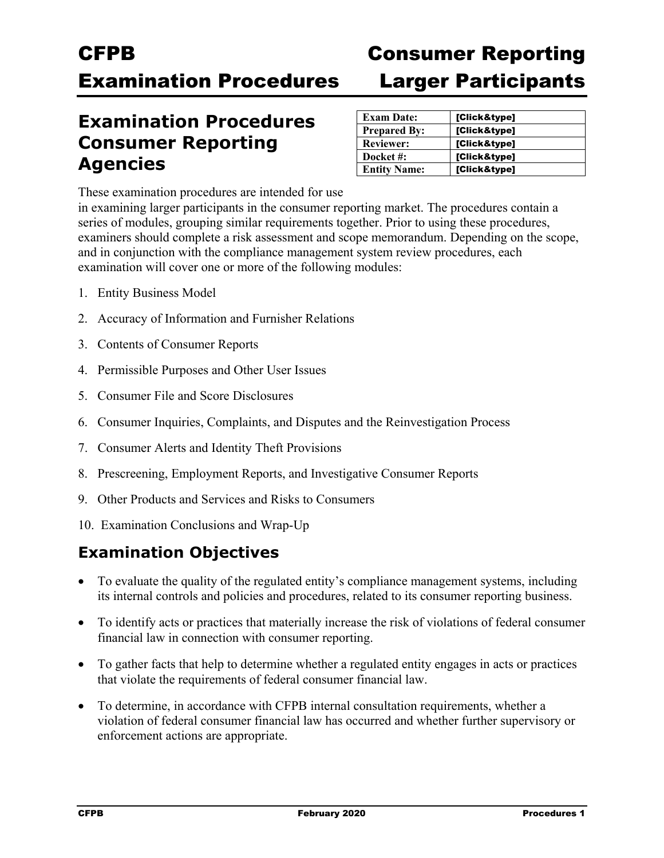### CFPB Consumer Reporting **Examination Procedures**

### **Examination Procedures Consumer Reporting Agencies**

| <b>Consumer Reporting</b>  |  |
|----------------------------|--|
| <b>Larger Participants</b> |  |

| <b>Exam Date:</b>   | [Click&type] |
|---------------------|--------------|
| <b>Prepared By:</b> | [Click&type] |
| <b>Reviewer:</b>    | [Click&type] |
| Docket #:           | [Click&type] |
| <b>Entity Name:</b> | [Click&type] |

These examination procedures are intended for use

in examining larger participants in the consumer reporting market. The procedures contain a series of modules, grouping similar requirements together. Prior to using these procedures, examiners should complete a risk assessment and scope memorandum. Depending on the scope, and in conjunction with the compliance management system review procedures, each examination will cover one or more of the following modules:

- 1. Entity Business Model
- 2. Accuracy of Information and Furnisher Relations
- 3. Contents of Consumer Reports
- 4. Permissible Purposes and Other User Issues
- 5. Consumer File and Score Disclosures
- 6. Consumer Inquiries, Complaints, and Disputes and the Reinvestigation Process
- 7. Consumer Alerts and Identity Theft Provisions
- 8. Prescreening, Employment Reports, and Investigative Consumer Reports
- 9. Other Products and Services and Risks to Consumers
- 10. Examination Conclusions and Wrap-Up

### **Examination Objectives**

- To evaluate the quality of the regulated entity's compliance management systems, including its internal controls and policies and procedures, related to its consumer reporting business.
- To identify acts or practices that materially increase the risk of violations of federal consumer financial law in connection with consumer reporting.
- To gather facts that help to determine whether a regulated entity engages in acts or practices that violate the requirements of federal consumer financial law.
- To determine, in accordance with CFPB internal consultation requirements, whether a violation of federal consumer financial law has occurred and whether further supervisory or enforcement actions are appropriate.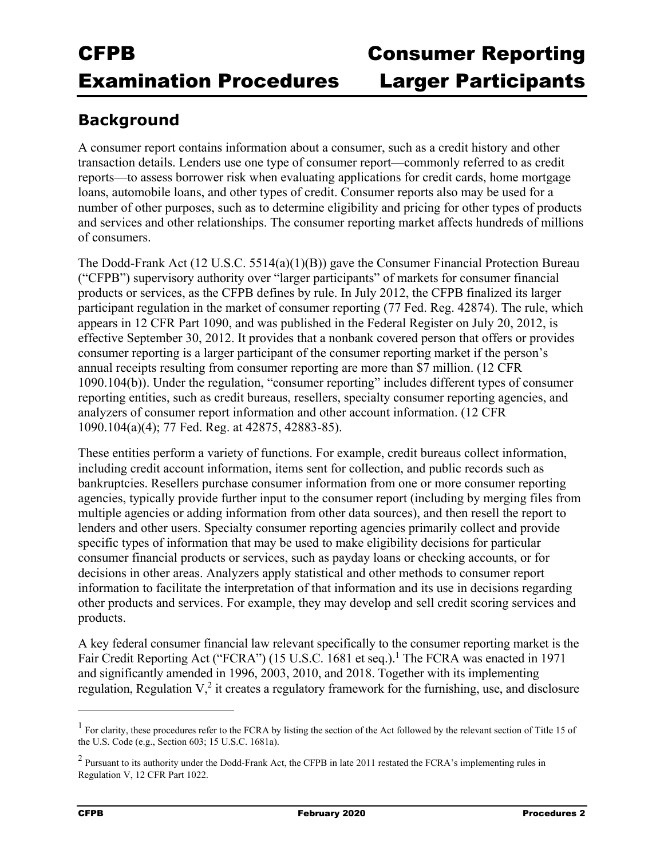### **Background**

A consumer report contains information about a consumer, such as a credit history and other transaction details. Lenders use one type of consumer report—commonly referred to as credit reports—to assess borrower risk when evaluating applications for credit cards, home mortgage loans, automobile loans, and other types of credit. Consumer reports also may be used for a number of other purposes, such as to determine eligibility and pricing for other types of products and services and other relationships. The consumer reporting market affects hundreds of millions of consumers.

The Dodd-Frank Act (12 U.S.C. 5514(a)(1)(B)) gave the Consumer Financial Protection Bureau ("CFPB") supervisory authority over "larger participants" of markets for consumer financial products or services, as the CFPB defines by rule. In July 2012, the CFPB finalized its larger participant regulation in the market of consumer reporting (77 Fed. Reg. 42874). The rule, which appears in 12 CFR Part 1090, and was published in the Federal Register on July 20, 2012, is effective September 30, 2012. It provides that a nonbank covered person that offers or provides consumer reporting is a larger participant of the consumer reporting market if the person's annual receipts resulting from consumer reporting are more than \$7 million. (12 CFR 1090.104(b)). Under the regulation, "consumer reporting" includes different types of consumer reporting entities, such as credit bureaus, resellers, specialty consumer reporting agencies, and analyzers of consumer report information and other account information. (12 CFR 1090.104(a)(4); 77 Fed. Reg. at 42875, 42883-85).

These entities perform a variety of functions. For example, credit bureaus collect information, including credit account information, items sent for collection, and public records such as bankruptcies. Resellers purchase consumer information from one or more consumer reporting agencies, typically provide further input to the consumer report (including by merging files from multiple agencies or adding information from other data sources), and then resell the report to lenders and other users. Specialty consumer reporting agencies primarily collect and provide specific types of information that may be used to make eligibility decisions for particular consumer financial products or services, such as payday loans or checking accounts, or for decisions in other areas. Analyzers apply statistical and other methods to consumer report information to facilitate the interpretation of that information and its use in decisions regarding other products and services. For example, they may develop and sell credit scoring services and products.

A key federal consumer financial law relevant specifically to the consumer reporting market is the Fair Credit Reporting Act ("FCRA") (15 U.S.C. 1681 et seq.).<sup>1</sup> The FCRA was enacted in 1971 and significantly amended in 1996, 2003, 2010, and 2018. Together with its implementing regulation, Regulation  $V<sub>l</sub><sup>2</sup>$  it creates a regulatory framework for the furnishing, use, and disclosure

 $<sup>1</sup>$  For clarity, these procedures refer to the FCRA by listing the section of the Act followed by the relevant section of Title 15 of</sup> the U.S. Code (e.g., Section 603; 15 U.S.C. 1681a).

<sup>&</sup>lt;sup>2</sup> Pursuant to its authority under the Dodd-Frank Act, the CFPB in late 2011 restated the FCRA's implementing rules in Regulation V, 12 CFR Part 1022.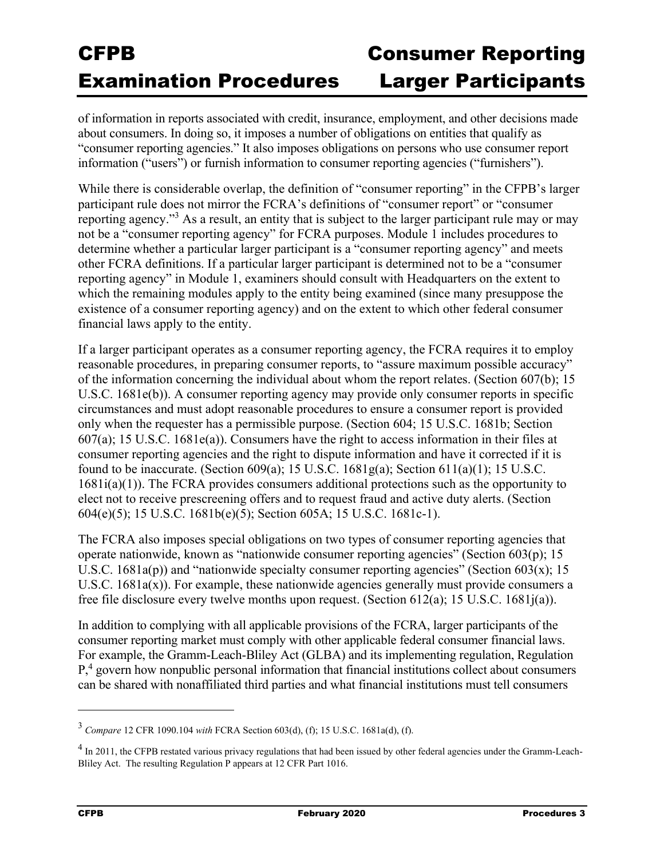of information in reports associated with credit, insurance, employment, and other decisions made about consumers. In doing so, it imposes a number of obligations on entities that qualify as "consumer reporting agencies." It also imposes obligations on persons who use consumer report information ("users") or furnish information to consumer reporting agencies ("furnishers").

While there is considerable overlap, the definition of "consumer reporting" in the CFPB's larger participant rule does not mirror the FCRA's definitions of "consumer report" or "consumer reporting agency."<sup>3</sup> As a result, an entity that is subject to the larger participant rule may or may not be a "consumer reporting agency" for FCRA purposes. Module 1 includes procedures to determine whether a particular larger participant is a "consumer reporting agency" and meets other FCRA definitions. If a particular larger participant is determined not to be a "consumer reporting agency" in Module 1, examiners should consult with Headquarters on the extent to which the remaining modules apply to the entity being examined (since many presuppose the existence of a consumer reporting agency) and on the extent to which other federal consumer financial laws apply to the entity.

If a larger participant operates as a consumer reporting agency, the FCRA requires it to employ reasonable procedures, in preparing consumer reports, to "assure maximum possible accuracy" of the information concerning the individual about whom the report relates. (Section 607(b); 15 U.S.C. 1681e(b)). A consumer reporting agency may provide only consumer reports in specific circumstances and must adopt reasonable procedures to ensure a consumer report is provided only when the requester has a permissible purpose. (Section 604; 15 U.S.C. 1681b; Section 607(a); 15 U.S.C. 1681e(a)). Consumers have the right to access information in their files at consumer reporting agencies and the right to dispute information and have it corrected if it is found to be inaccurate. (Section 609(a); 15 U.S.C. 1681g(a); Section 611(a)(1); 15 U.S.C. 1681i(a)(1)). The FCRA provides consumers additional protections such as the opportunity to elect not to receive prescreening offers and to request fraud and active duty alerts. (Section 604(e)(5); 15 U.S.C. 1681b(e)(5); Section 605A; 15 U.S.C. 1681c-1).

The FCRA also imposes special obligations on two types of consumer reporting agencies that operate nationwide, known as "nationwide consumer reporting agencies" (Section  $603(p)$ ; 15 U.S.C. 1681a(p)) and "nationwide specialty consumer reporting agencies" (Section 603(x); 15 U.S.C. 1681a(x)). For example, these nationwide agencies generally must provide consumers a free file disclosure every twelve months upon request. (Section 612(a); 15 U.S.C. 1681j(a)).

In addition to complying with all applicable provisions of the FCRA, larger participants of the consumer reporting market must comply with other applicable federal consumer financial laws. For example, the Gramm-Leach-Bliley Act (GLBA) and its implementing regulation, Regulation P<sup>4</sup>, govern how nonpublic personal information that financial institutions collect about consumers can be shared with nonaffiliated third parties and what financial institutions must tell consumers

<sup>3</sup> *Compare* 12 CFR 1090.104 *with* FCRA Section 603(d), (f); 15 U.S.C. 1681a(d), (f).

 $<sup>4</sup>$  In 2011, the CFPB restated various privacy regulations that had been issued by other federal agencies under the Gramm-Leach-</sup> Bliley Act. The resulting Regulation P appears at 12 CFR Part 1016.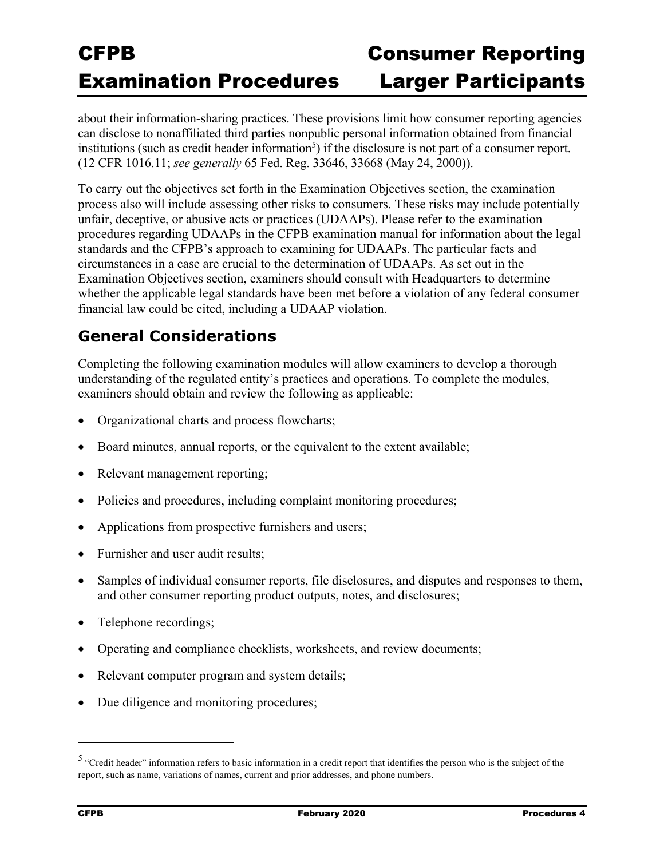about their information-sharing practices. These provisions limit how consumer reporting agencies can disclose to nonaffiliated third parties nonpublic personal information obtained from financial institutions (such as credit header information<sup>5</sup>) if the disclosure is not part of a consumer report. (12 CFR 1016.11; *see generally* 65 Fed. Reg. 33646, 33668 (May 24, 2000)).

To carry out the objectives set forth in the Examination Objectives section, the examination process also will include assessing other risks to consumers. These risks may include potentially unfair, deceptive, or abusive acts or practices (UDAAPs). Please refer to the examination procedures regarding UDAAPs in the CFPB examination manual for information about the legal standards and the CFPB's approach to examining for UDAAPs. The particular facts and circumstances in a case are crucial to the determination of UDAAPs. As set out in the Examination Objectives section, examiners should consult with Headquarters to determine whether the applicable legal standards have been met before a violation of any federal consumer financial law could be cited, including a UDAAP violation.

### **General Considerations**

Completing the following examination modules will allow examiners to develop a thorough understanding of the regulated entity's practices and operations. To complete the modules, examiners should obtain and review the following as applicable:

- Organizational charts and process flowcharts;
- Board minutes, annual reports, or the equivalent to the extent available;
- Relevant management reporting;
- Policies and procedures, including complaint monitoring procedures;
- Applications from prospective furnishers and users;
- Furnisher and user audit results;
- Samples of individual consumer reports, file disclosures, and disputes and responses to them, and other consumer reporting product outputs, notes, and disclosures;
- Telephone recordings;
- Operating and compliance checklists, worksheets, and review documents;
- Relevant computer program and system details;
- Due diligence and monitoring procedures;

<sup>&</sup>lt;sup>5</sup> "Credit header" information refers to basic information in a credit report that identifies the person who is the subject of the report, such as name, variations of names, current and prior addresses, and phone numbers.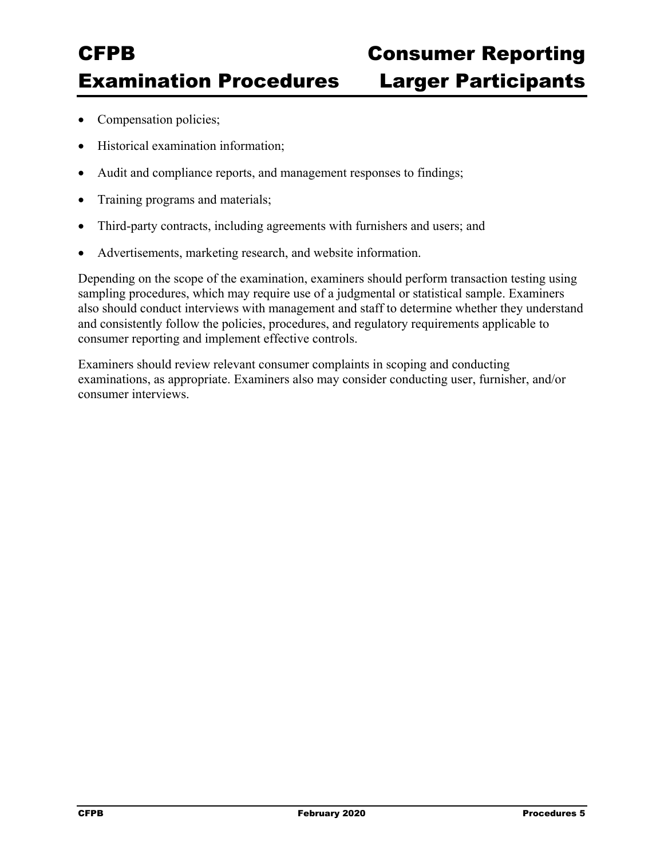- Compensation policies;
- Historical examination information;
- Audit and compliance reports, and management responses to findings;
- Training programs and materials;
- Third-party contracts, including agreements with furnishers and users; and
- Advertisements, marketing research, and website information.

Depending on the scope of the examination, examiners should perform transaction testing using sampling procedures, which may require use of a judgmental or statistical sample. Examiners also should conduct interviews with management and staff to determine whether they understand and consistently follow the policies, procedures, and regulatory requirements applicable to consumer reporting and implement effective controls.

Examiners should review relevant consumer complaints in scoping and conducting examinations, as appropriate. Examiners also may consider conducting user, furnisher, and/or consumer interviews.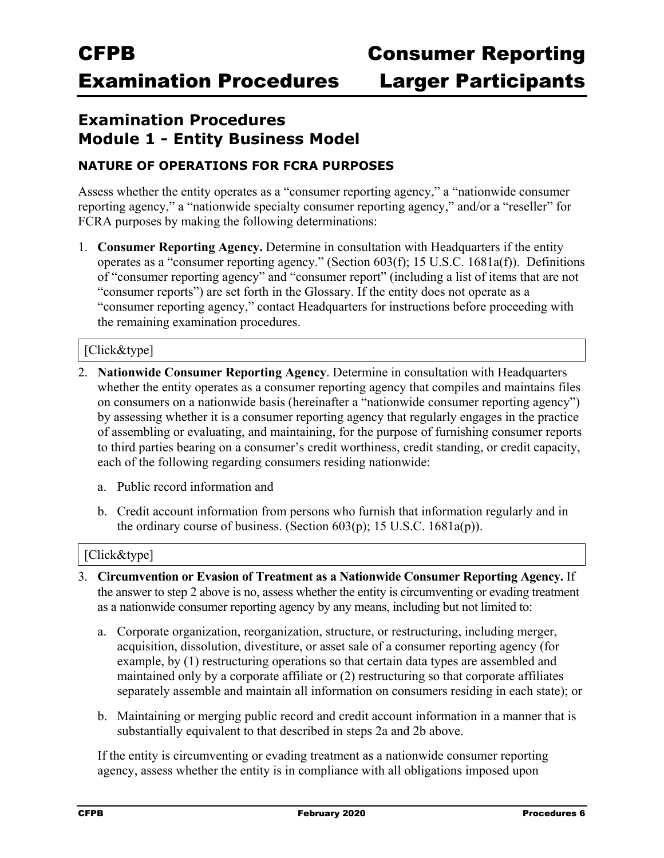### **Examination Procedures Module 1 - Entity Business Model**

### **NATURE OF OPERATIONS FOR FCRA PURPOSES**

Assess whether the entity operates as a "consumer reporting agency," a "nationwide consumer reporting agency," a "nationwide specialty consumer reporting agency," and/or a "reseller" for FCRA purposes by making the following determinations:

1. **Consumer Reporting Agency.** Determine in consultation with Headquarters if the entity operates as a "consumer reporting agency." (Section 603(f); 15 U.S.C. 1681a(f)). Definitions of "consumer reporting agency" and "consumer report" (including a list of items that are not "consumer reports") are set forth in the Glossary. If the entity does not operate as a "consumer reporting agency," contact Headquarters for instructions before proceeding with the remaining examination procedures.

#### [Click&type]

- 2. **Nationwide Consumer Reporting Agency**. Determine in consultation with Headquarters whether the entity operates as a consumer reporting agency that compiles and maintains files on consumers on a nationwide basis (hereinafter a "nationwide consumer reporting agency") by assessing whether it is a consumer reporting agency that regularly engages in the practice of assembling or evaluating, and maintaining, for the purpose of furnishing consumer reports to third parties bearing on a consumer's credit worthiness, credit standing, or credit capacity, each of the following regarding consumers residing nationwide:
	- a. Public record information and
	- b. Credit account information from persons who furnish that information regularly and in the ordinary course of business. (Section  $603(p)$ ; 15 U.S.C. 1681a(p)).

#### [Click&type]

- 3. **Circumvention or Evasion of Treatment as a Nationwide Consumer Reporting Agency.** If the answer to step 2 above is no, assess whether the entity is circumventing or evading treatment as a nationwide consumer reporting agency by any means, including but not limited to:
	- a. Corporate organization, reorganization, structure, or restructuring, including merger, acquisition, dissolution, divestiture, or asset sale of a consumer reporting agency (for example, by (1) restructuring operations so that certain data types are assembled and maintained only by a corporate affiliate or (2) restructuring so that corporate affiliates separately assemble and maintain all information on consumers residing in each state); or
	- b. Maintaining or merging public record and credit account information in a manner that is substantially equivalent to that described in steps 2a and 2b above.

If the entity is circumventing or evading treatment as a nationwide consumer reporting agency, assess whether the entity is in compliance with all obligations imposed upon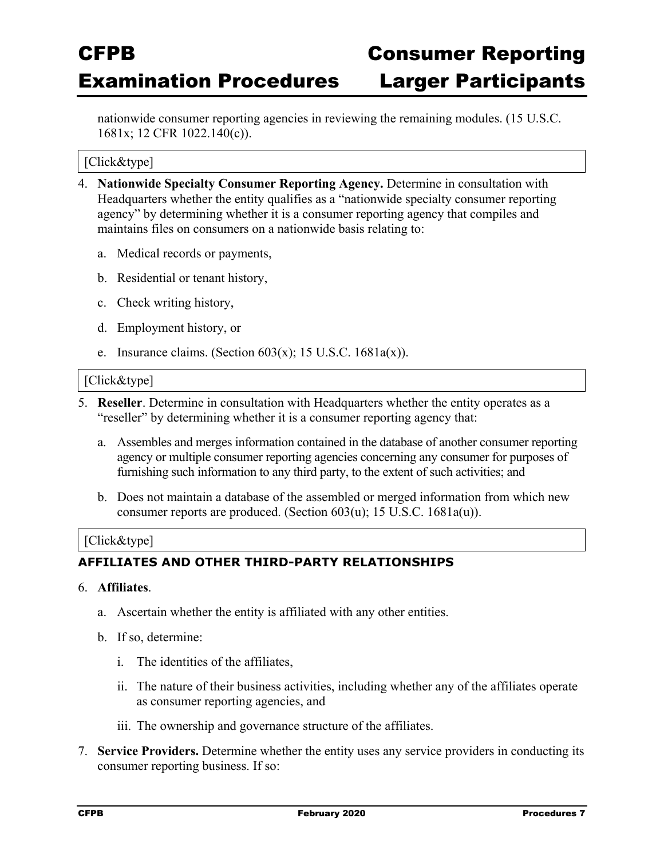nationwide consumer reporting agencies in reviewing the remaining modules. (15 U.S.C. 1681x; 12 CFR 1022.140(c)).

#### [Click&type]

- 4. **Nationwide Specialty Consumer Reporting Agency.** Determine in consultation with Headquarters whether the entity qualifies as a "nationwide specialty consumer reporting agency" by determining whether it is a consumer reporting agency that compiles and maintains files on consumers on a nationwide basis relating to:
	- a. Medical records or payments,
	- b. Residential or tenant history,
	- c. Check writing history,
	- d. Employment history, or
	- e. Insurance claims. (Section  $603(x)$ ; 15 U.S.C. 1681a(x)).

#### [Click&type]

- 5. **Reseller**. Determine in consultation with Headquarters whether the entity operates as a "reseller" by determining whether it is a consumer reporting agency that:
	- a. Assembles and merges information contained in the database of another consumer reporting agency or multiple consumer reporting agencies concerning any consumer for purposes of furnishing such information to any third party, to the extent of such activities; and
	- b. Does not maintain a database of the assembled or merged information from which new consumer reports are produced. (Section 603(u); 15 U.S.C. 1681a(u)).

#### [Click&type]

#### **AFFILIATES AND OTHER THIRD-PARTY RELATIONSHIPS**

#### 6. **Affiliates**.

- a. Ascertain whether the entity is affiliated with any other entities.
- b. If so, determine:
	- i. The identities of the affiliates,
	- ii. The nature of their business activities, including whether any of the affiliates operate as consumer reporting agencies, and
	- iii. The ownership and governance structure of the affiliates.
- 7. **Service Providers.** Determine whether the entity uses any service providers in conducting its consumer reporting business. If so: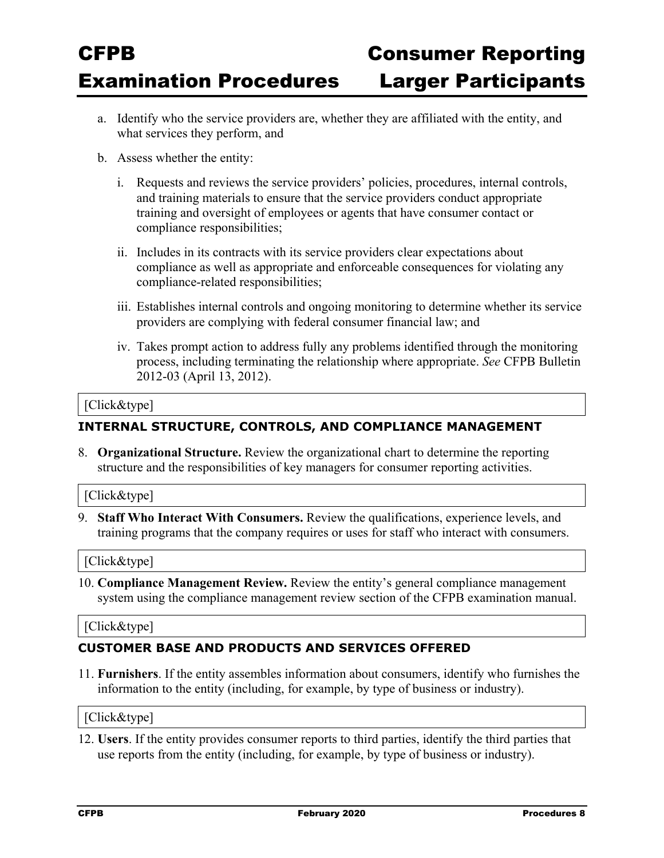- a. Identify who the service providers are, whether they are affiliated with the entity, and what services they perform, and
- b. Assess whether the entity:
	- i. Requests and reviews the service providers' policies, procedures, internal controls, and training materials to ensure that the service providers conduct appropriate training and oversight of employees or agents that have consumer contact or compliance responsibilities;
	- ii. Includes in its contracts with its service providers clear expectations about compliance as well as appropriate and enforceable consequences for violating any compliance-related responsibilities;
	- iii. Establishes internal controls and ongoing monitoring to determine whether its service providers are complying with federal consumer financial law; and
	- iv. Takes prompt action to address fully any problems identified through the monitoring process, including terminating the relationship where appropriate. *See* CFPB Bulletin 2012-03 (April 13, 2012).

#### [Click&type]

#### **INTERNAL STRUCTURE, CONTROLS, AND COMPLIANCE MANAGEMENT**

8. **Organizational Structure.** Review the organizational chart to determine the reporting structure and the responsibilities of key managers for consumer reporting activities.

#### [Click&type]

9. **Staff Who Interact With Consumers.** Review the qualifications, experience levels, and training programs that the company requires or uses for staff who interact with consumers.

#### [Click&type]

10. **Compliance Management Review.** Review the entity's general compliance management system using the compliance management review section of the CFPB examination manual.

#### [Click&type]

#### **CUSTOMER BASE AND PRODUCTS AND SERVICES OFFERED**

11. **Furnishers**. If the entity assembles information about consumers, identify who furnishes the information to the entity (including, for example, by type of business or industry).

#### [Click&type]

12. **Users**. If the entity provides consumer reports to third parties, identify the third parties that use reports from the entity (including, for example, by type of business or industry).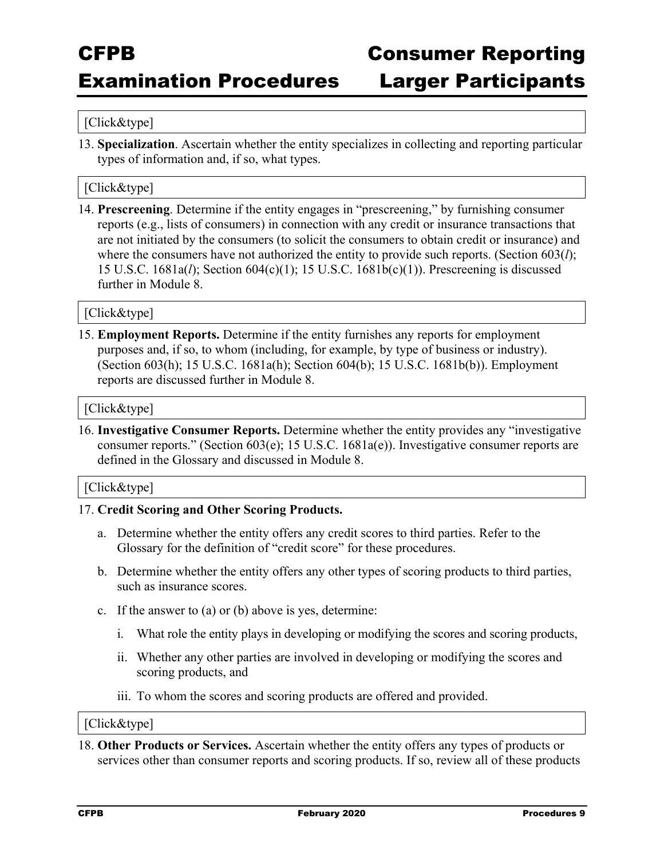### Examination Procedures Larger Participants

#### [Click&type]

13. **Specialization**. Ascertain whether the entity specializes in collecting and reporting particular types of information and, if so, what types.

#### [Click&type]

14. **Prescreening**. Determine if the entity engages in "prescreening," by furnishing consumer reports (e.g., lists of consumers) in connection with any credit or insurance transactions that are not initiated by the consumers (to solicit the consumers to obtain credit or insurance) and where the consumers have not authorized the entity to provide such reports. (Section 603(*l*); 15 U.S.C. 1681a(*l*); Section 604(c)(1); 15 U.S.C. 1681b(c)(1)). Prescreening is discussed further in Module 8.

#### [Click&type]

15. **Employment Reports.** Determine if the entity furnishes any reports for employment purposes and, if so, to whom (including, for example, by type of business or industry). (Section 603(h); 15 U.S.C. 1681a(h); Section 604(b); 15 U.S.C. 1681b(b)). Employment reports are discussed further in Module 8.

#### [Click&type]

16. **Investigative Consumer Reports.** Determine whether the entity provides any "investigative consumer reports." (Section 603(e); 15 U.S.C. 1681a(e)). Investigative consumer reports are defined in the Glossary and discussed in Module 8.

#### [Click&type]

#### 17. **Credit Scoring and Other Scoring Products.**

- a. Determine whether the entity offers any credit scores to third parties. Refer to the Glossary for the definition of "credit score" for these procedures.
- b. Determine whether the entity offers any other types of scoring products to third parties, such as insurance scores.
- c. If the answer to (a) or (b) above is yes, determine:
	- i. What role the entity plays in developing or modifying the scores and scoring products,
	- ii. Whether any other parties are involved in developing or modifying the scores and scoring products, and
	- iii. To whom the scores and scoring products are offered and provided.

#### [Click&type]

18. **Other Products or Services.** Ascertain whether the entity offers any types of products or services other than consumer reports and scoring products. If so, review all of these products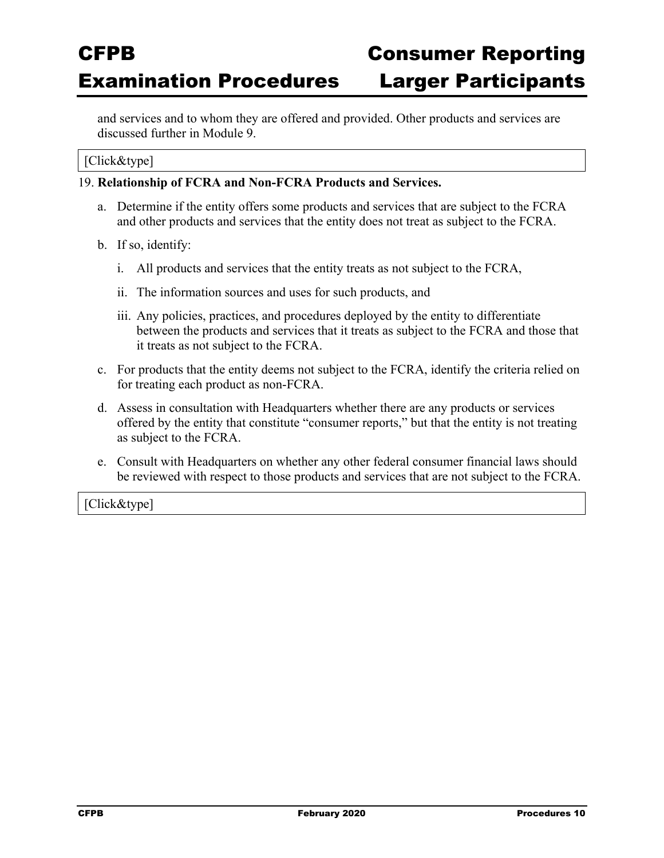and services and to whom they are offered and provided. Other products and services are discussed further in Module 9.

### [Click&type]

### 19. **Relationship of FCRA and Non-FCRA Products and Services.**

- a. Determine if the entity offers some products and services that are subject to the FCRA and other products and services that the entity does not treat as subject to the FCRA.
- b. If so, identify:
	- i. All products and services that the entity treats as not subject to the FCRA,
	- ii. The information sources and uses for such products, and
	- iii. Any policies, practices, and procedures deployed by the entity to differentiate between the products and services that it treats as subject to the FCRA and those that it treats as not subject to the FCRA.
- c. For products that the entity deems not subject to the FCRA, identify the criteria relied on for treating each product as non-FCRA.
- d. Assess in consultation with Headquarters whether there are any products or services offered by the entity that constitute "consumer reports," but that the entity is not treating as subject to the FCRA.
- e. Consult with Headquarters on whether any other federal consumer financial laws should be reviewed with respect to those products and services that are not subject to the FCRA.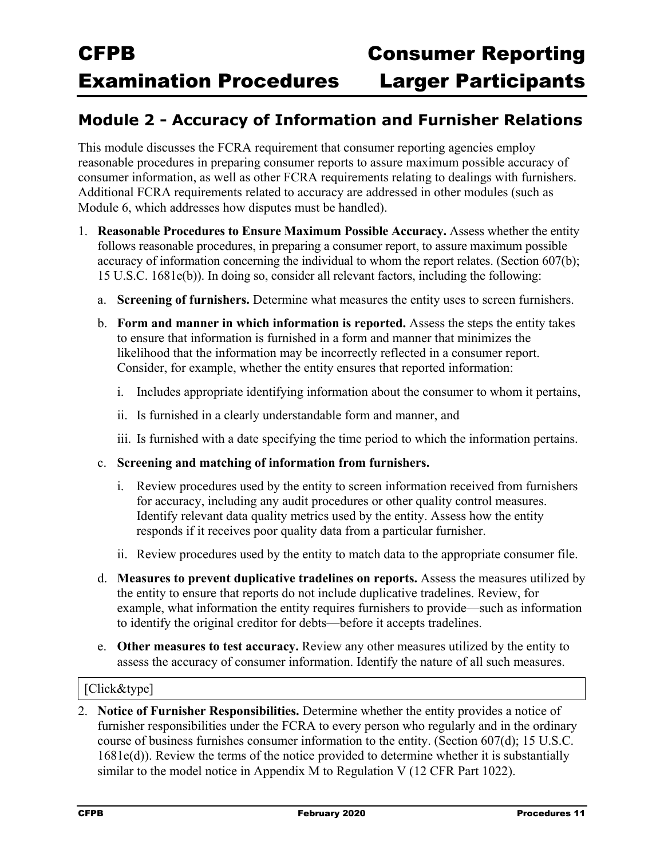### **Module 2 - Accuracy of Information and Furnisher Relations**

This module discusses the FCRA requirement that consumer reporting agencies employ reasonable procedures in preparing consumer reports to assure maximum possible accuracy of consumer information, as well as other FCRA requirements relating to dealings with furnishers. Additional FCRA requirements related to accuracy are addressed in other modules (such as Module 6, which addresses how disputes must be handled).

- 1. **Reasonable Procedures to Ensure Maximum Possible Accuracy.** Assess whether the entity follows reasonable procedures, in preparing a consumer report, to assure maximum possible accuracy of information concerning the individual to whom the report relates. (Section 607(b); 15 U.S.C. 1681e(b)). In doing so, consider all relevant factors, including the following:
	- a. **Screening of furnishers.** Determine what measures the entity uses to screen furnishers.
	- b. **Form and manner in which information is reported.** Assess the steps the entity takes to ensure that information is furnished in a form and manner that minimizes the likelihood that the information may be incorrectly reflected in a consumer report. Consider, for example, whether the entity ensures that reported information:
		- i. Includes appropriate identifying information about the consumer to whom it pertains,
		- ii. Is furnished in a clearly understandable form and manner, and
		- iii. Is furnished with a date specifying the time period to which the information pertains.
	- c. **Screening and matching of information from furnishers.**
		- i. Review procedures used by the entity to screen information received from furnishers for accuracy, including any audit procedures or other quality control measures. Identify relevant data quality metrics used by the entity. Assess how the entity responds if it receives poor quality data from a particular furnisher.
		- ii. Review procedures used by the entity to match data to the appropriate consumer file.
	- d. **Measures to prevent duplicative tradelines on reports.** Assess the measures utilized by the entity to ensure that reports do not include duplicative tradelines. Review, for example, what information the entity requires furnishers to provide—such as information to identify the original creditor for debts—before it accepts tradelines.
	- e. **Other measures to test accuracy.** Review any other measures utilized by the entity to assess the accuracy of consumer information. Identify the nature of all such measures.

#### [Click&type]

2. **Notice of Furnisher Responsibilities.** Determine whether the entity provides a notice of furnisher responsibilities under the FCRA to every person who regularly and in the ordinary course of business furnishes consumer information to the entity. (Section 607(d); 15 U.S.C. 1681e(d)). Review the terms of the notice provided to determine whether it is substantially similar to the model notice in Appendix M to Regulation V (12 CFR Part 1022).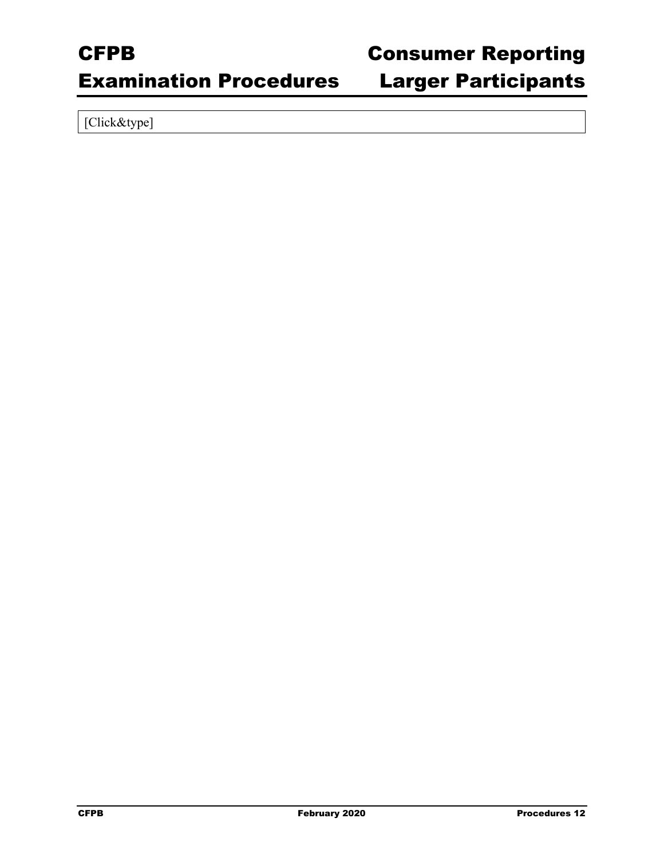### Examination Procedures Larger Participants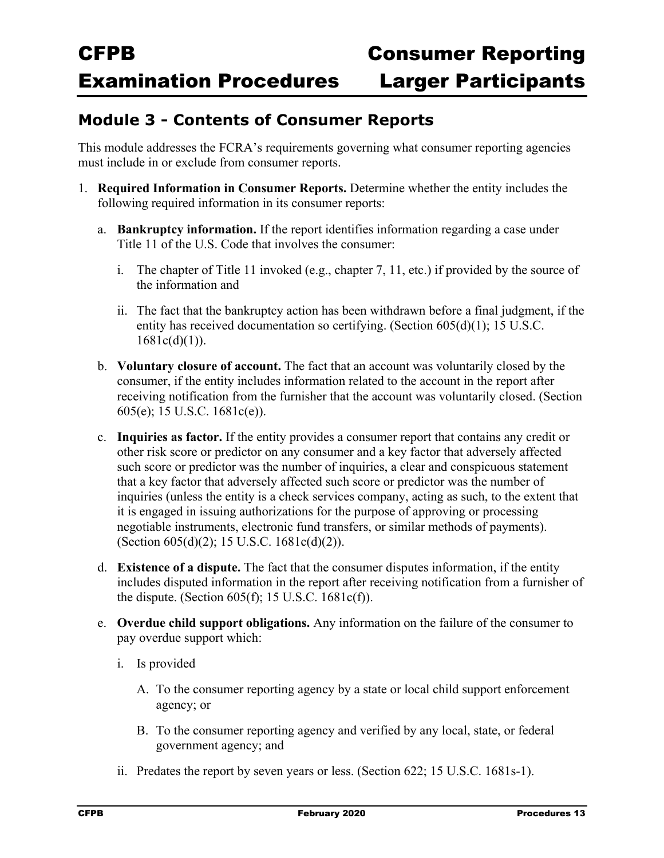### **Module 3 - Contents of Consumer Reports**

This module addresses the FCRA's requirements governing what consumer reporting agencies must include in or exclude from consumer reports.

- 1. **Required Information in Consumer Reports.** Determine whether the entity includes the following required information in its consumer reports:
	- a. **Bankruptcy information.** If the report identifies information regarding a case under Title 11 of the U.S. Code that involves the consumer:
		- i. The chapter of Title 11 invoked (e.g., chapter 7, 11, etc.) if provided by the source of the information and
		- ii. The fact that the bankruptcy action has been withdrawn before a final judgment, if the entity has received documentation so certifying. (Section 605(d)(1); 15 U.S.C.  $1681c(d)(1)$ ).
	- b. **Voluntary closure of account.** The fact that an account was voluntarily closed by the consumer, if the entity includes information related to the account in the report after receiving notification from the furnisher that the account was voluntarily closed. (Section 605(e); 15 U.S.C. 1681c(e)).
	- c. **Inquiries as factor.** If the entity provides a consumer report that contains any credit or other risk score or predictor on any consumer and a key factor that adversely affected such score or predictor was the number of inquiries, a clear and conspicuous statement that a key factor that adversely affected such score or predictor was the number of inquiries (unless the entity is a check services company, acting as such, to the extent that it is engaged in issuing authorizations for the purpose of approving or processing negotiable instruments, electronic fund transfers, or similar methods of payments). (Section 605(d)(2); 15 U.S.C. 1681c(d)(2)).
	- d. **Existence of a dispute.** The fact that the consumer disputes information, if the entity includes disputed information in the report after receiving notification from a furnisher of the dispute. (Section  $605(f)$ ; 15 U.S.C. 1681c(f)).
	- e. **Overdue child support obligations.** Any information on the failure of the consumer to pay overdue support which:
		- i. Is provided
			- A. To the consumer reporting agency by a state or local child support enforcement agency; or
			- B. To the consumer reporting agency and verified by any local, state, or federal government agency; and
		- ii. Predates the report by seven years or less. (Section 622; 15 U.S.C. 1681s-1).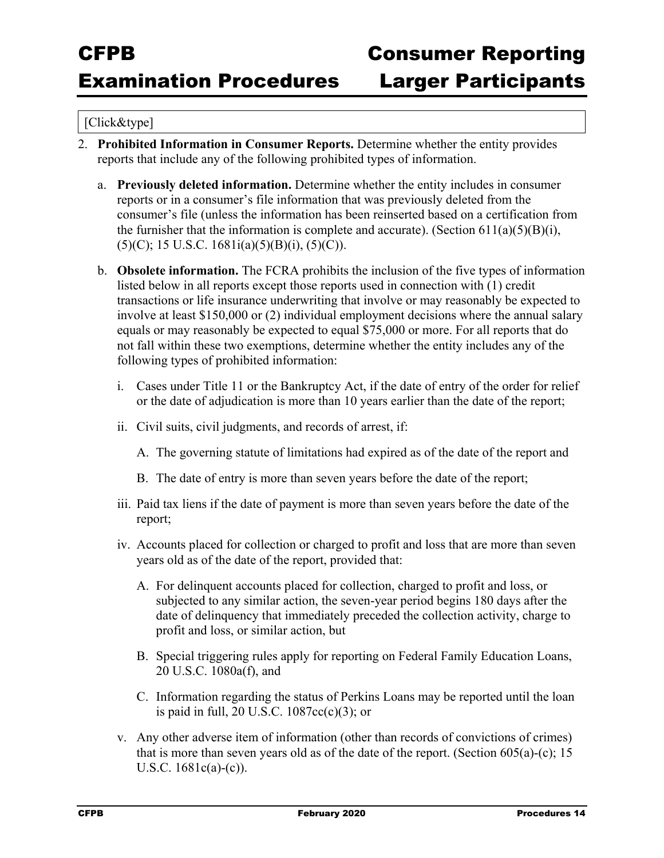- 2. **Prohibited Information in Consumer Reports.** Determine whether the entity provides reports that include any of the following prohibited types of information.
	- a. **Previously deleted information.** Determine whether the entity includes in consumer reports or in a consumer's file information that was previously deleted from the consumer's file (unless the information has been reinserted based on a certification from the furnisher that the information is complete and accurate). (Section  $611(a)(5)(B)(i)$ ,  $(5)(C)$ ; 15 U.S.C. 1681i(a)(5)(B)(i), (5)(C)).
	- b. **Obsolete information.** The FCRA prohibits the inclusion of the five types of information listed below in all reports except those reports used in connection with (1) credit transactions or life insurance underwriting that involve or may reasonably be expected to involve at least \$150,000 or (2) individual employment decisions where the annual salary equals or may reasonably be expected to equal \$75,000 or more. For all reports that do not fall within these two exemptions, determine whether the entity includes any of the following types of prohibited information:
		- i. Cases under Title 11 or the Bankruptcy Act, if the date of entry of the order for relief or the date of adjudication is more than 10 years earlier than the date of the report;
		- ii. Civil suits, civil judgments, and records of arrest, if:
			- A. The governing statute of limitations had expired as of the date of the report and
			- B. The date of entry is more than seven years before the date of the report;
		- iii. Paid tax liens if the date of payment is more than seven years before the date of the report;
		- iv. Accounts placed for collection or charged to profit and loss that are more than seven years old as of the date of the report, provided that:
			- A. For delinquent accounts placed for collection, charged to profit and loss, or subjected to any similar action, the seven-year period begins 180 days after the date of delinquency that immediately preceded the collection activity, charge to profit and loss, or similar action, but
			- B. Special triggering rules apply for reporting on Federal Family Education Loans, 20 U.S.C. 1080a(f), and
			- C. Information regarding the status of Perkins Loans may be reported until the loan is paid in full, 20 U.S.C. 1087cc(c)(3); or
		- v. Any other adverse item of information (other than records of convictions of crimes) that is more than seven years old as of the date of the report. (Section  $605(a)-(c)$ ; 15 U.S.C. 1681c(a)-(c)).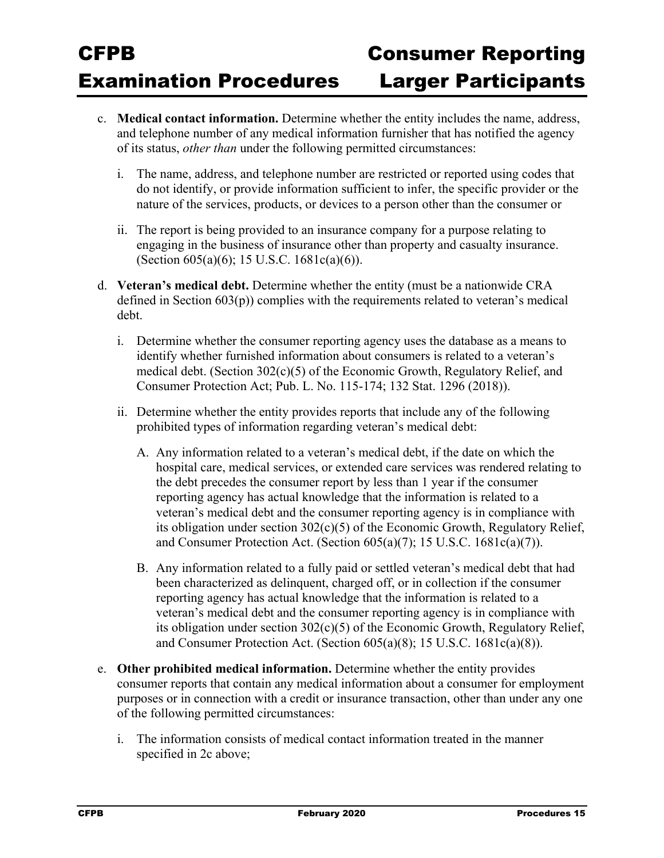- c. **Medical contact information.** Determine whether the entity includes the name, address, and telephone number of any medical information furnisher that has notified the agency of its status, *other than* under the following permitted circumstances:
	- i. The name, address, and telephone number are restricted or reported using codes that do not identify, or provide information sufficient to infer, the specific provider or the nature of the services, products, or devices to a person other than the consumer or
	- ii. The report is being provided to an insurance company for a purpose relating to engaging in the business of insurance other than property and casualty insurance. (Section 605(a)(6); 15 U.S.C. 1681c(a)(6)).
- d. **Veteran's medical debt.** Determine whether the entity (must be a nationwide CRA defined in Section  $603(p)$ ) complies with the requirements related to veteran's medical debt.
	- i. Determine whether the consumer reporting agency uses the database as a means to identify whether furnished information about consumers is related to a veteran's medical debt. (Section 302(c)(5) of the Economic Growth, Regulatory Relief, and Consumer Protection Act; Pub. L. No. 115-174; 132 Stat. 1296 (2018)).
	- ii. Determine whether the entity provides reports that include any of the following prohibited types of information regarding veteran's medical debt:
		- A. Any information related to a veteran's medical debt, if the date on which the hospital care, medical services, or extended care services was rendered relating to the debt precedes the consumer report by less than 1 year if the consumer reporting agency has actual knowledge that the information is related to a veteran's medical debt and the consumer reporting agency is in compliance with its obligation under section 302(c)(5) of the Economic Growth, Regulatory Relief, and Consumer Protection Act. (Section 605(a)(7); 15 U.S.C. 1681c(a)(7)).
		- B. Any information related to a fully paid or settled veteran's medical debt that had been characterized as delinquent, charged off, or in collection if the consumer reporting agency has actual knowledge that the information is related to a veteran's medical debt and the consumer reporting agency is in compliance with its obligation under section 302(c)(5) of the Economic Growth, Regulatory Relief, and Consumer Protection Act. (Section 605(a)(8); 15 U.S.C. 1681c(a)(8)).
- e. **Other prohibited medical information.** Determine whether the entity provides consumer reports that contain any medical information about a consumer for employment purposes or in connection with a credit or insurance transaction, other than under any one of the following permitted circumstances:
	- i. The information consists of medical contact information treated in the manner specified in 2c above;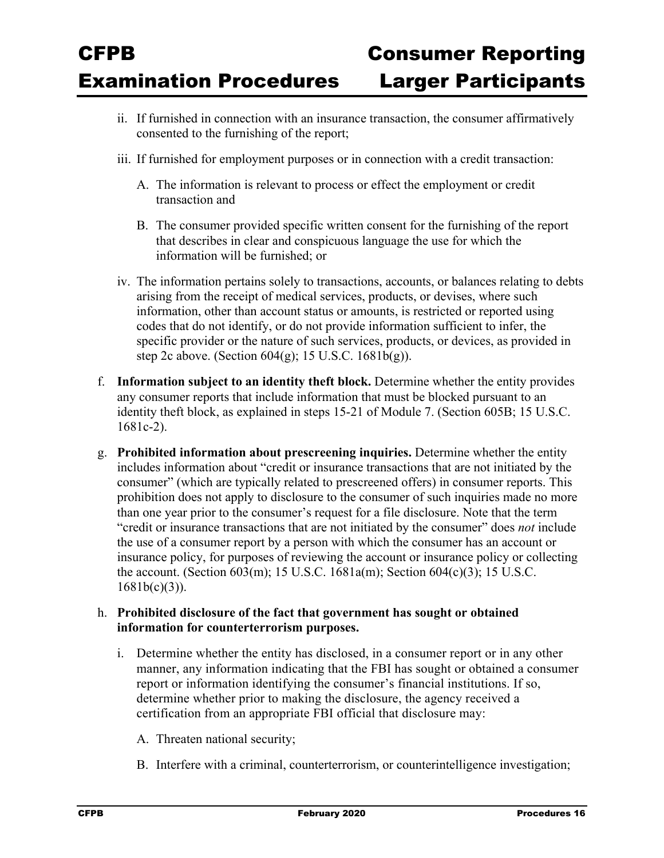- ii. If furnished in connection with an insurance transaction, the consumer affirmatively consented to the furnishing of the report;
- iii. If furnished for employment purposes or in connection with a credit transaction:
	- A. The information is relevant to process or effect the employment or credit transaction and
	- B. The consumer provided specific written consent for the furnishing of the report that describes in clear and conspicuous language the use for which the information will be furnished; or
- iv. The information pertains solely to transactions, accounts, or balances relating to debts arising from the receipt of medical services, products, or devises, where such information, other than account status or amounts, is restricted or reported using codes that do not identify, or do not provide information sufficient to infer, the specific provider or the nature of such services, products, or devices, as provided in step 2c above. (Section 604(g); 15 U.S.C. 1681b(g)).
- f. **Information subject to an identity theft block.** Determine whether the entity provides any consumer reports that include information that must be blocked pursuant to an identity theft block, as explained in steps 15-21 of Module 7. (Section 605B; 15 U.S.C. 1681c-2).
- g. **Prohibited information about prescreening inquiries.** Determine whether the entity includes information about "credit or insurance transactions that are not initiated by the consumer" (which are typically related to prescreened offers) in consumer reports. This prohibition does not apply to disclosure to the consumer of such inquiries made no more than one year prior to the consumer's request for a file disclosure. Note that the term "credit or insurance transactions that are not initiated by the consumer" does *not* include the use of a consumer report by a person with which the consumer has an account or insurance policy, for purposes of reviewing the account or insurance policy or collecting the account. (Section 603(m); 15 U.S.C. 1681a(m); Section 604(c)(3); 15 U.S.C.  $1681b(c)(3)$ ).

#### h. **Prohibited disclosure of the fact that government has sought or obtained information for counterterrorism purposes.**

- i. Determine whether the entity has disclosed, in a consumer report or in any other manner, any information indicating that the FBI has sought or obtained a consumer report or information identifying the consumer's financial institutions. If so, determine whether prior to making the disclosure, the agency received a certification from an appropriate FBI official that disclosure may:
	- A. Threaten national security;
	- B. Interfere with a criminal, counterterrorism, or counterintelligence investigation;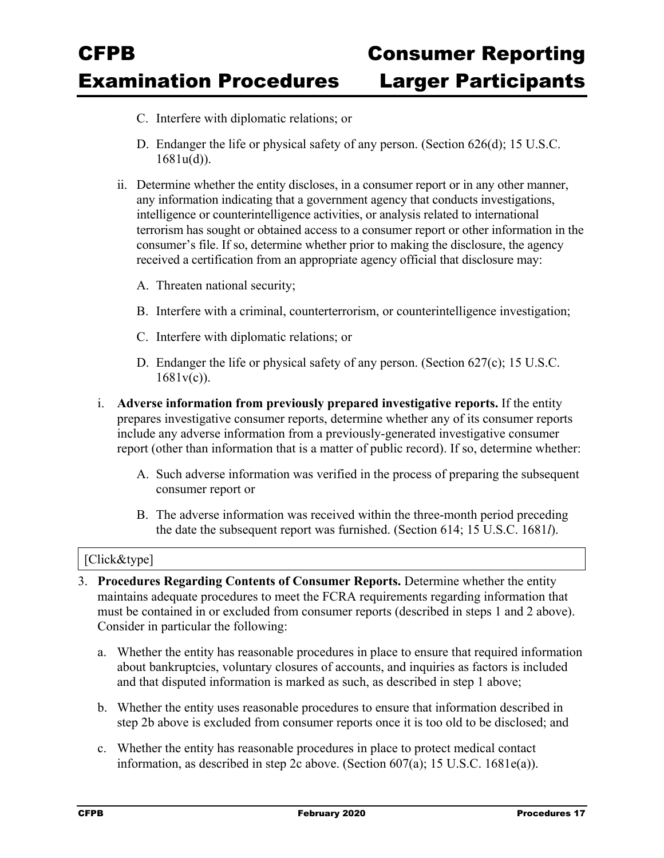- C. Interfere with diplomatic relations; or
- D. Endanger the life or physical safety of any person. (Section 626(d); 15 U.S.C. 1681u(d)).
- ii. Determine whether the entity discloses, in a consumer report or in any other manner, any information indicating that a government agency that conducts investigations, intelligence or counterintelligence activities, or analysis related to international terrorism has sought or obtained access to a consumer report or other information in the consumer's file. If so, determine whether prior to making the disclosure, the agency received a certification from an appropriate agency official that disclosure may:
	- A. Threaten national security;
	- B. Interfere with a criminal, counterterrorism, or counterintelligence investigation;
	- C. Interfere with diplomatic relations; or
	- D. Endanger the life or physical safety of any person. (Section 627(c); 15 U.S.C. 1681v(c)).
- i. **Adverse information from previously prepared investigative reports.** If the entity prepares investigative consumer reports, determine whether any of its consumer reports include any adverse information from a previously-generated investigative consumer report (other than information that is a matter of public record). If so, determine whether:
	- A. Such adverse information was verified in the process of preparing the subsequent consumer report or
	- B. The adverse information was received within the three-month period preceding the date the subsequent report was furnished. (Section 614; 15 U.S.C. 1681*l*).

- 3. **Procedures Regarding Contents of Consumer Reports.** Determine whether the entity maintains adequate procedures to meet the FCRA requirements regarding information that must be contained in or excluded from consumer reports (described in steps 1 and 2 above). Consider in particular the following:
	- a. Whether the entity has reasonable procedures in place to ensure that required information about bankruptcies, voluntary closures of accounts, and inquiries as factors is included and that disputed information is marked as such, as described in step 1 above;
	- b. Whether the entity uses reasonable procedures to ensure that information described in step 2b above is excluded from consumer reports once it is too old to be disclosed; and
	- c. Whether the entity has reasonable procedures in place to protect medical contact information, as described in step 2c above. (Section 607(a); 15 U.S.C. 1681e(a)).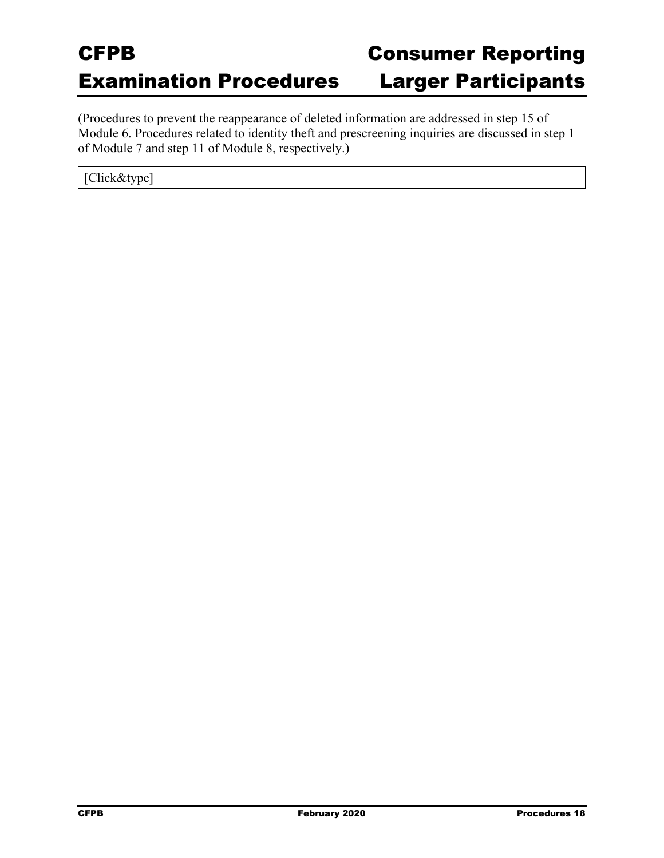(Procedures to prevent the reappearance of deleted information are addressed in step 15 of Module 6. Procedures related to identity theft and prescreening inquiries are discussed in step 1 of Module 7 and step 11 of Module 8, respectively.)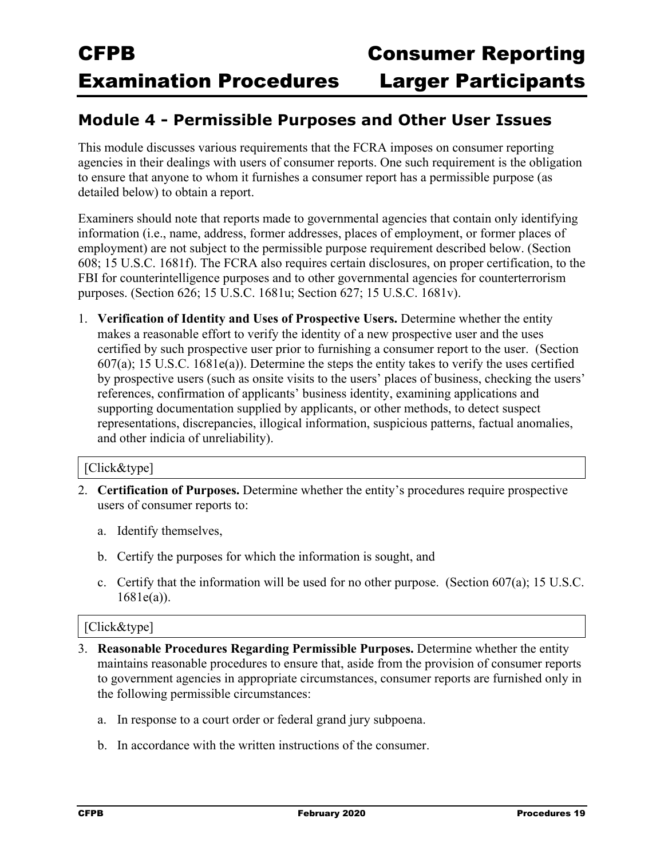### **Module 4 - Permissible Purposes and Other User Issues**

This module discusses various requirements that the FCRA imposes on consumer reporting agencies in their dealings with users of consumer reports. One such requirement is the obligation to ensure that anyone to whom it furnishes a consumer report has a permissible purpose (as detailed below) to obtain a report.

Examiners should note that reports made to governmental agencies that contain only identifying information (i.e., name, address, former addresses, places of employment, or former places of employment) are not subject to the permissible purpose requirement described below. (Section 608; 15 U.S.C. 1681f). The FCRA also requires certain disclosures, on proper certification, to the FBI for counterintelligence purposes and to other governmental agencies for counterterrorism purposes. (Section 626; 15 U.S.C. 1681u; Section 627; 15 U.S.C. 1681v).

1. **Verification of Identity and Uses of Prospective Users.** Determine whether the entity makes a reasonable effort to verify the identity of a new prospective user and the uses certified by such prospective user prior to furnishing a consumer report to the user. (Section 607(a); 15 U.S.C. 1681e(a)). Determine the steps the entity takes to verify the uses certified by prospective users (such as onsite visits to the users' places of business, checking the users' references, confirmation of applicants' business identity, examining applications and supporting documentation supplied by applicants, or other methods, to detect suspect representations, discrepancies, illogical information, suspicious patterns, factual anomalies, and other indicia of unreliability).

#### [Click&type]

- 2. **Certification of Purposes.** Determine whether the entity's procedures require prospective users of consumer reports to:
	- a. Identify themselves,
	- b. Certify the purposes for which the information is sought, and
	- c. Certify that the information will be used for no other purpose. (Section  $607(a)$ ; 15 U.S.C. 1681e(a)).

- 3. **Reasonable Procedures Regarding Permissible Purposes.** Determine whether the entity maintains reasonable procedures to ensure that, aside from the provision of consumer reports to government agencies in appropriate circumstances, consumer reports are furnished only in the following permissible circumstances:
	- a. In response to a court order or federal grand jury subpoena.
	- b. In accordance with the written instructions of the consumer.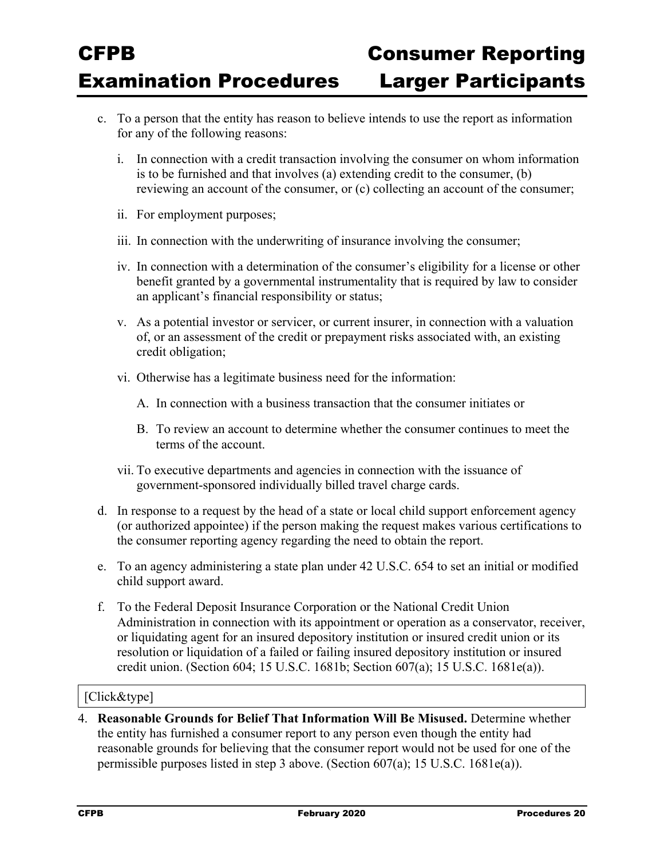- c. To a person that the entity has reason to believe intends to use the report as information for any of the following reasons:
	- i. In connection with a credit transaction involving the consumer on whom information is to be furnished and that involves (a) extending credit to the consumer, (b) reviewing an account of the consumer, or (c) collecting an account of the consumer;
	- ii. For employment purposes;
	- iii. In connection with the underwriting of insurance involving the consumer;
	- iv. In connection with a determination of the consumer's eligibility for a license or other benefit granted by a governmental instrumentality that is required by law to consider an applicant's financial responsibility or status;
	- v. As a potential investor or servicer, or current insurer, in connection with a valuation of, or an assessment of the credit or prepayment risks associated with, an existing credit obligation;
	- vi. Otherwise has a legitimate business need for the information:
		- A. In connection with a business transaction that the consumer initiates or
		- B. To review an account to determine whether the consumer continues to meet the terms of the account.
	- vii. To executive departments and agencies in connection with the issuance of government-sponsored individually billed travel charge cards.
- d. In response to a request by the head of a state or local child support enforcement agency (or authorized appointee) if the person making the request makes various certifications to the consumer reporting agency regarding the need to obtain the report.
- e. To an agency administering a state plan under 42 U.S.C. 654 to set an initial or modified child support award.
- f. To the Federal Deposit Insurance Corporation or the National Credit Union Administration in connection with its appointment or operation as a conservator, receiver, or liquidating agent for an insured depository institution or insured credit union or its resolution or liquidation of a failed or failing insured depository institution or insured credit union. (Section 604; 15 U.S.C. 1681b; Section 607(a); 15 U.S.C. 1681e(a)).

#### [Click&type]

4. **Reasonable Grounds for Belief That Information Will Be Misused.** Determine whether the entity has furnished a consumer report to any person even though the entity had reasonable grounds for believing that the consumer report would not be used for one of the permissible purposes listed in step 3 above. (Section 607(a); 15 U.S.C. 1681e(a)).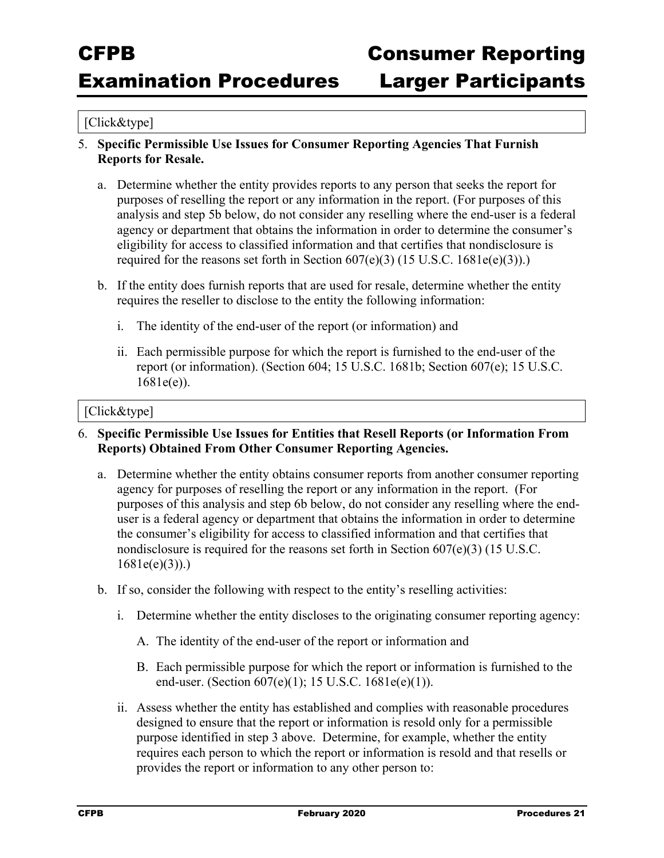#### [Click&type]

- 5. **Specific Permissible Use Issues for Consumer Reporting Agencies That Furnish Reports for Resale.**
	- a. Determine whether the entity provides reports to any person that seeks the report for purposes of reselling the report or any information in the report. (For purposes of this analysis and step 5b below, do not consider any reselling where the end-user is a federal agency or department that obtains the information in order to determine the consumer's eligibility for access to classified information and that certifies that nondisclosure is required for the reasons set forth in Section  $607(e)(3)$  (15 U.S.C. 1681e(e)(3)).)
	- b. If the entity does furnish reports that are used for resale, determine whether the entity requires the reseller to disclose to the entity the following information:
		- i. The identity of the end-user of the report (or information) and
		- ii. Each permissible purpose for which the report is furnished to the end-user of the report (or information). (Section 604; 15 U.S.C. 1681b; Section 607(e); 15 U.S.C. 1681e(e)).

- 6. **Specific Permissible Use Issues for Entities that Resell Reports (or Information From Reports) Obtained From Other Consumer Reporting Agencies.**
	- a. Determine whether the entity obtains consumer reports from another consumer reporting agency for purposes of reselling the report or any information in the report. (For purposes of this analysis and step 6b below, do not consider any reselling where the enduser is a federal agency or department that obtains the information in order to determine the consumer's eligibility for access to classified information and that certifies that nondisclosure is required for the reasons set forth in Section 607(e)(3) (15 U.S.C.  $1681e(e)(3)$ ).
	- b. If so, consider the following with respect to the entity's reselling activities:
		- i. Determine whether the entity discloses to the originating consumer reporting agency:
			- A. The identity of the end-user of the report or information and
			- B. Each permissible purpose for which the report or information is furnished to the end-user. (Section 607(e)(1); 15 U.S.C. 1681e(e)(1)).
		- ii. Assess whether the entity has established and complies with reasonable procedures designed to ensure that the report or information is resold only for a permissible purpose identified in step 3 above. Determine, for example, whether the entity requires each person to which the report or information is resold and that resells or provides the report or information to any other person to: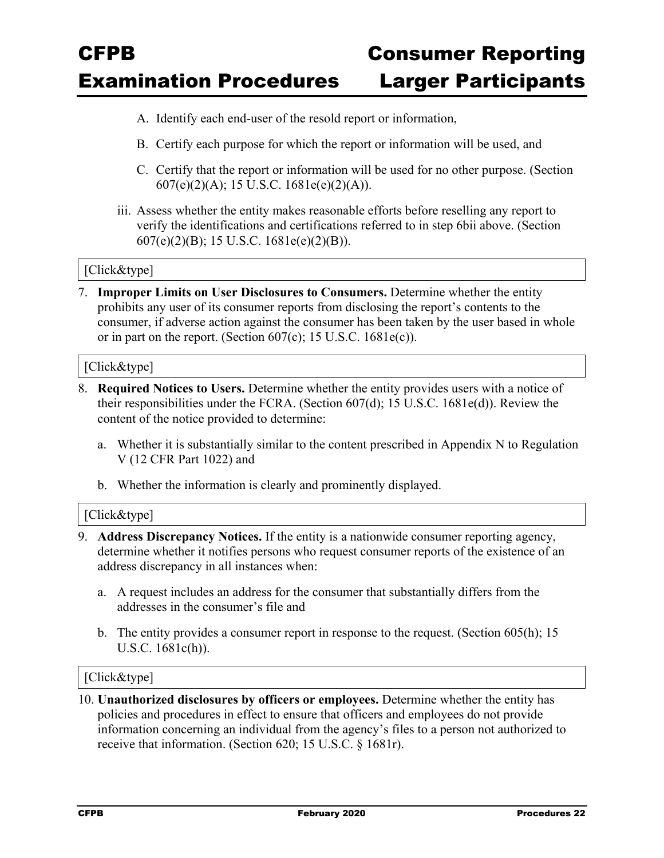- A. Identify each end-user of the resold report or information,
- B. Certify each purpose for which the report or information will be used, and
- C. Certify that the report or information will be used for no other purpose. (Section 607(e)(2)(A); 15 U.S.C. 1681e(e)(2)(A)).
- iii. Assess whether the entity makes reasonable efforts before reselling any report to verify the identifications and certifications referred to in step 6bii above. (Section 607(e)(2)(B); 15 U.S.C. 1681e(e)(2)(B)).

#### [Click&type]

7. **Improper Limits on User Disclosures to Consumers.** Determine whether the entity prohibits any user of its consumer reports from disclosing the report's contents to the consumer, if adverse action against the consumer has been taken by the user based in whole or in part on the report. (Section  $607(c)$ ; 15 U.S.C.  $1681e(c)$ ).

#### [Click&type]

- 8. **Required Notices to Users.** Determine whether the entity provides users with a notice of their responsibilities under the FCRA. (Section 607(d); 15 U.S.C. 1681e(d)). Review the content of the notice provided to determine:
	- a. Whether it is substantially similar to the content prescribed in Appendix N to Regulation V (12 CFR Part 1022) and
	- b. Whether the information is clearly and prominently displayed.

#### [Click&type]

- 9. **Address Discrepancy Notices.** If the entity is a nationwide consumer reporting agency, determine whether it notifies persons who request consumer reports of the existence of an address discrepancy in all instances when:
	- a. A request includes an address for the consumer that substantially differs from the addresses in the consumer's file and
	- b. The entity provides a consumer report in response to the request. (Section 605(h); 15 U.S.C. 1681c(h)).

#### [Click&type]

10. **Unauthorized disclosures by officers or employees.** Determine whether the entity has policies and procedures in effect to ensure that officers and employees do not provide information concerning an individual from the agency's files to a person not authorized to receive that information. (Section 620; 15 U.S.C. § 1681r).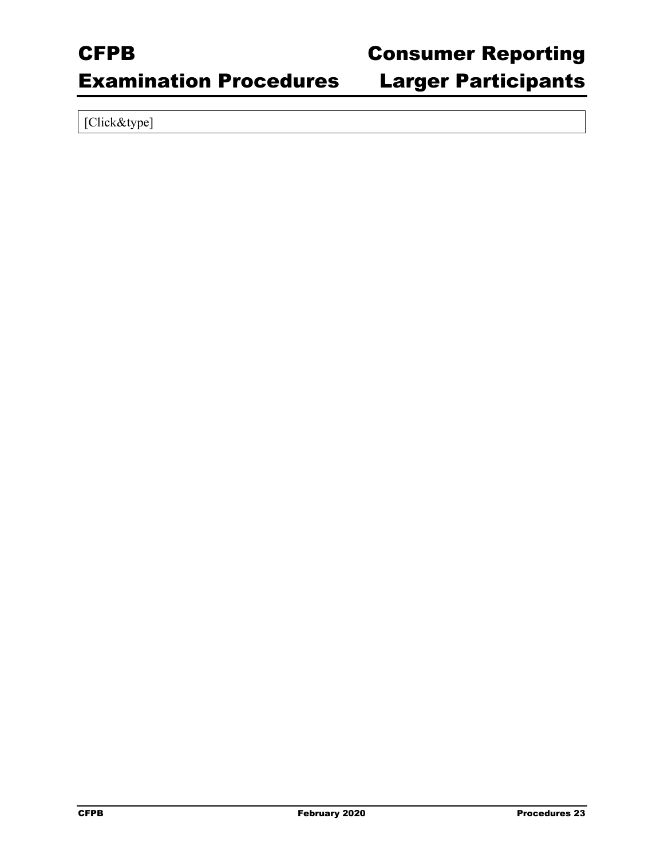### Examination Procedures Larger Participants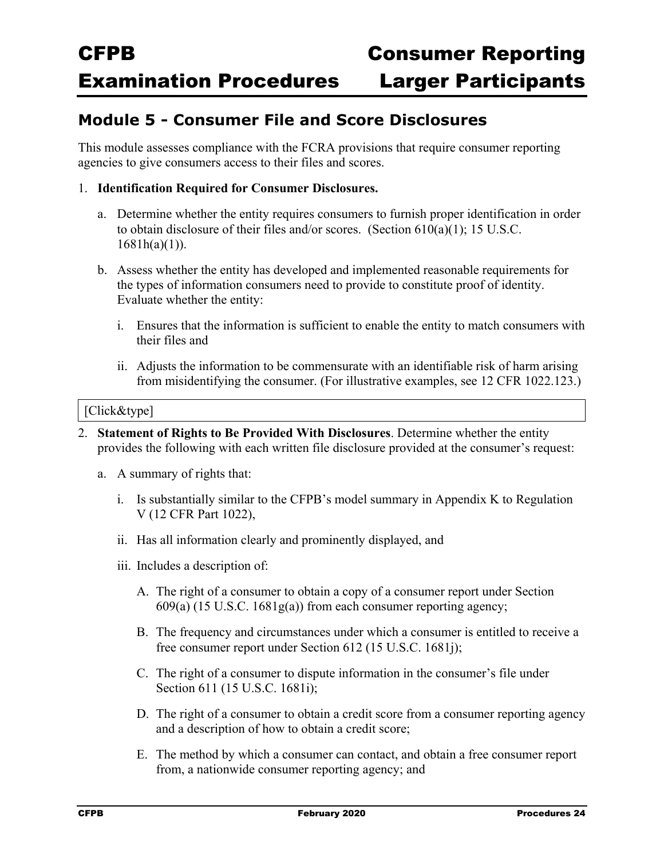### **Module 5 - Consumer File and Score Disclosures**

This module assesses compliance with the FCRA provisions that require consumer reporting agencies to give consumers access to their files and scores.

#### 1. **Identification Required for Consumer Disclosures.**

- a. Determine whether the entity requires consumers to furnish proper identification in order to obtain disclosure of their files and/or scores. (Section 610(a)(1); 15 U.S.C.  $1681h(a)(1)$ ).
- b. Assess whether the entity has developed and implemented reasonable requirements for the types of information consumers need to provide to constitute proof of identity. Evaluate whether the entity:
	- i. Ensures that the information is sufficient to enable the entity to match consumers with their files and
	- ii. Adjusts the information to be commensurate with an identifiable risk of harm arising from misidentifying the consumer. (For illustrative examples, see 12 CFR 1022.123.)

- 2. **Statement of Rights to Be Provided With Disclosures**. Determine whether the entity provides the following with each written file disclosure provided at the consumer's request:
	- a. A summary of rights that:
		- i. Is substantially similar to the CFPB's model summary in Appendix K to Regulation V (12 CFR Part 1022),
		- ii. Has all information clearly and prominently displayed, and
		- iii. Includes a description of:
			- A. The right of a consumer to obtain a copy of a consumer report under Section 609(a) (15 U.S.C. 1681g(a)) from each consumer reporting agency;
			- B. The frequency and circumstances under which a consumer is entitled to receive a free consumer report under Section 612 (15 U.S.C. 1681j);
			- C. The right of a consumer to dispute information in the consumer's file under Section 611 (15 U.S.C. 1681i);
			- D. The right of a consumer to obtain a credit score from a consumer reporting agency and a description of how to obtain a credit score;
			- E. The method by which a consumer can contact, and obtain a free consumer report from, a nationwide consumer reporting agency; and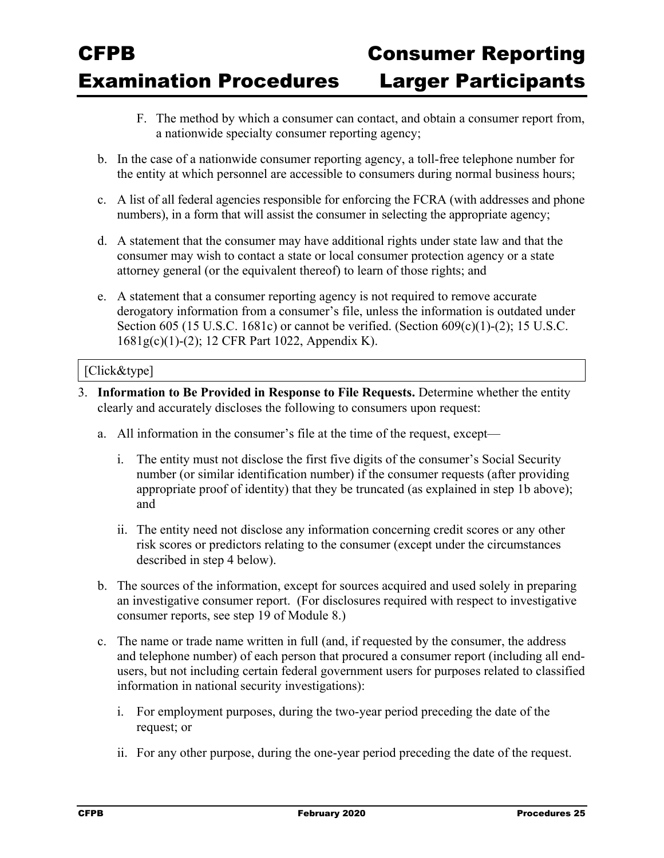- F. The method by which a consumer can contact, and obtain a consumer report from, a nationwide specialty consumer reporting agency;
- b. In the case of a nationwide consumer reporting agency, a toll-free telephone number for the entity at which personnel are accessible to consumers during normal business hours;
- c. A list of all federal agencies responsible for enforcing the FCRA (with addresses and phone numbers), in a form that will assist the consumer in selecting the appropriate agency;
- d. A statement that the consumer may have additional rights under state law and that the consumer may wish to contact a state or local consumer protection agency or a state attorney general (or the equivalent thereof) to learn of those rights; and
- e. A statement that a consumer reporting agency is not required to remove accurate derogatory information from a consumer's file, unless the information is outdated under Section 605 (15 U.S.C. 1681c) or cannot be verified. (Section 609(c)(1)-(2); 15 U.S.C. 1681g(c)(1)-(2); 12 CFR Part 1022, Appendix K).

- 3. **Information to Be Provided in Response to File Requests.** Determine whether the entity clearly and accurately discloses the following to consumers upon request:
	- a. All information in the consumer's file at the time of the request, except
		- i. The entity must not disclose the first five digits of the consumer's Social Security number (or similar identification number) if the consumer requests (after providing appropriate proof of identity) that they be truncated (as explained in step 1b above); and
		- ii. The entity need not disclose any information concerning credit scores or any other risk scores or predictors relating to the consumer (except under the circumstances described in step 4 below).
	- b. The sources of the information, except for sources acquired and used solely in preparing an investigative consumer report. (For disclosures required with respect to investigative consumer reports, see step 19 of Module 8.)
	- c. The name or trade name written in full (and, if requested by the consumer, the address and telephone number) of each person that procured a consumer report (including all endusers, but not including certain federal government users for purposes related to classified information in national security investigations):
		- i. For employment purposes, during the two-year period preceding the date of the request; or
		- ii. For any other purpose, during the one-year period preceding the date of the request.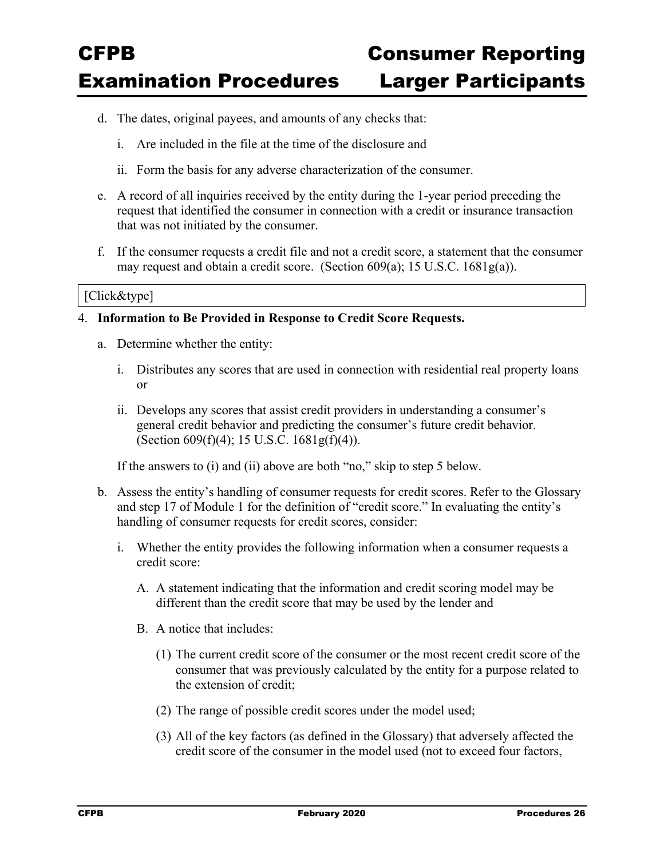- d. The dates, original payees, and amounts of any checks that:
	- i. Are included in the file at the time of the disclosure and
	- ii. Form the basis for any adverse characterization of the consumer.
- e. A record of all inquiries received by the entity during the 1-year period preceding the request that identified the consumer in connection with a credit or insurance transaction that was not initiated by the consumer.
- f. If the consumer requests a credit file and not a credit score, a statement that the consumer may request and obtain a credit score. (Section 609(a); 15 U.S.C. 1681g(a)).

#### [Click&type]

#### 4. **Information to Be Provided in Response to Credit Score Requests.**

- a. Determine whether the entity:
	- i. Distributes any scores that are used in connection with residential real property loans or
	- ii. Develops any scores that assist credit providers in understanding a consumer's general credit behavior and predicting the consumer's future credit behavior. (Section 609(f)(4); 15 U.S.C. 1681g(f)(4)).

If the answers to (i) and (ii) above are both "no," skip to step 5 below.

- b. Assess the entity's handling of consumer requests for credit scores. Refer to the Glossary and step 17 of Module 1 for the definition of "credit score." In evaluating the entity's handling of consumer requests for credit scores, consider:
	- i. Whether the entity provides the following information when a consumer requests a credit score:
		- A. A statement indicating that the information and credit scoring model may be different than the credit score that may be used by the lender and
		- B. A notice that includes:
			- (1) The current credit score of the consumer or the most recent credit score of the consumer that was previously calculated by the entity for a purpose related to the extension of credit;
			- (2) The range of possible credit scores under the model used;
			- (3) All of the key factors (as defined in the Glossary) that adversely affected the credit score of the consumer in the model used (not to exceed four factors,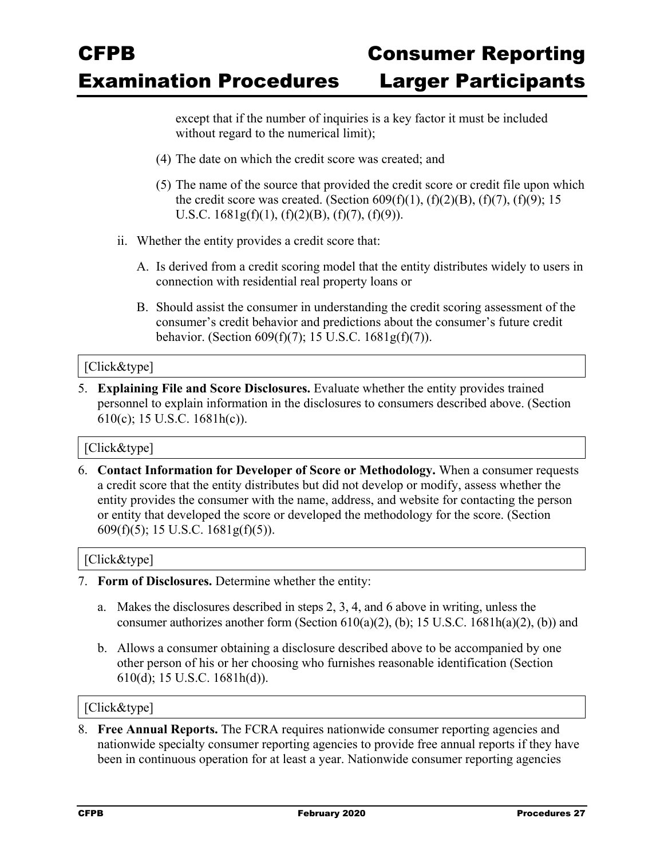except that if the number of inquiries is a key factor it must be included without regard to the numerical limit);

- (4) The date on which the credit score was created; and
- (5) The name of the source that provided the credit score or credit file upon which the credit score was created. (Section  $609(f)(1)$ ,  $(f)(2)(B)$ ,  $(f)(7)$ ,  $(f)(9)$ ; 15 U.S.C.  $1681g(f)(1)$ ,  $(f)(2)(B)$ ,  $(f)(7)$ ,  $(f)(9)$ ).
- ii. Whether the entity provides a credit score that:
	- A. Is derived from a credit scoring model that the entity distributes widely to users in connection with residential real property loans or
	- B. Should assist the consumer in understanding the credit scoring assessment of the consumer's credit behavior and predictions about the consumer's future credit behavior. (Section 609(f)(7); 15 U.S.C. 1681g(f)(7)).

#### [Click&type]

5. **Explaining File and Score Disclosures.** Evaluate whether the entity provides trained personnel to explain information in the disclosures to consumers described above. (Section 610(c); 15 U.S.C. 1681h(c)).

#### [Click&type]

6. **Contact Information for Developer of Score or Methodology.** When a consumer requests a credit score that the entity distributes but did not develop or modify, assess whether the entity provides the consumer with the name, address, and website for contacting the person or entity that developed the score or developed the methodology for the score. (Section 609(f)(5); 15 U.S.C. 1681g(f)(5)).

#### [Click&type]

- 7. **Form of Disclosures.** Determine whether the entity:
	- a. Makes the disclosures described in steps 2, 3, 4, and 6 above in writing, unless the consumer authorizes another form (Section  $610(a)(2)$ , (b); 15 U.S.C. 1681h(a)(2), (b)) and
	- b. Allows a consumer obtaining a disclosure described above to be accompanied by one other person of his or her choosing who furnishes reasonable identification (Section 610(d); 15 U.S.C. 1681h(d)).

#### [Click&type]

8. **Free Annual Reports.** The FCRA requires nationwide consumer reporting agencies and nationwide specialty consumer reporting agencies to provide free annual reports if they have been in continuous operation for at least a year. Nationwide consumer reporting agencies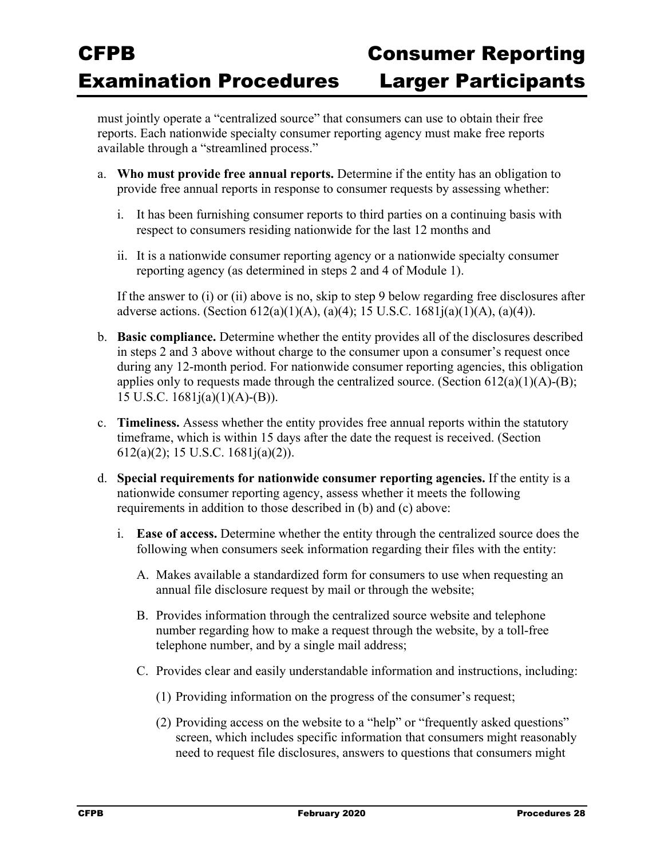must jointly operate a "centralized source" that consumers can use to obtain their free reports. Each nationwide specialty consumer reporting agency must make free reports available through a "streamlined process."

- a. **Who must provide free annual reports.** Determine if the entity has an obligation to provide free annual reports in response to consumer requests by assessing whether:
	- i. It has been furnishing consumer reports to third parties on a continuing basis with respect to consumers residing nationwide for the last 12 months and
	- ii. It is a nationwide consumer reporting agency or a nationwide specialty consumer reporting agency (as determined in steps 2 and 4 of Module 1).

If the answer to (i) or (ii) above is no, skip to step 9 below regarding free disclosures after adverse actions. (Section  $612(a)(1)(A)$ ,  $(a)(4)$ ; 15 U.S.C. 1681 $i(a)(1)(A)$ ,  $(a)(4)$ ).

- b. **Basic compliance.** Determine whether the entity provides all of the disclosures described in steps 2 and 3 above without charge to the consumer upon a consumer's request once during any 12-month period. For nationwide consumer reporting agencies, this obligation applies only to requests made through the centralized source. (Section  $612(a)(1)(A)$ -(B); 15 U.S.C. 1681j(a)(1)(A)-(B)).
- c. **Timeliness.** Assess whether the entity provides free annual reports within the statutory timeframe, which is within 15 days after the date the request is received. (Section 612(a)(2); 15 U.S.C. 1681j(a)(2)).
- d. **Special requirements for nationwide consumer reporting agencies.** If the entity is a nationwide consumer reporting agency, assess whether it meets the following requirements in addition to those described in (b) and (c) above:
	- i. **Ease of access.** Determine whether the entity through the centralized source does the following when consumers seek information regarding their files with the entity:
		- A. Makes available a standardized form for consumers to use when requesting an annual file disclosure request by mail or through the website;
		- B. Provides information through the centralized source website and telephone number regarding how to make a request through the website, by a toll-free telephone number, and by a single mail address;
		- C. Provides clear and easily understandable information and instructions, including:
			- (1) Providing information on the progress of the consumer's request;
			- (2) Providing access on the website to a "help" or "frequently asked questions" screen, which includes specific information that consumers might reasonably need to request file disclosures, answers to questions that consumers might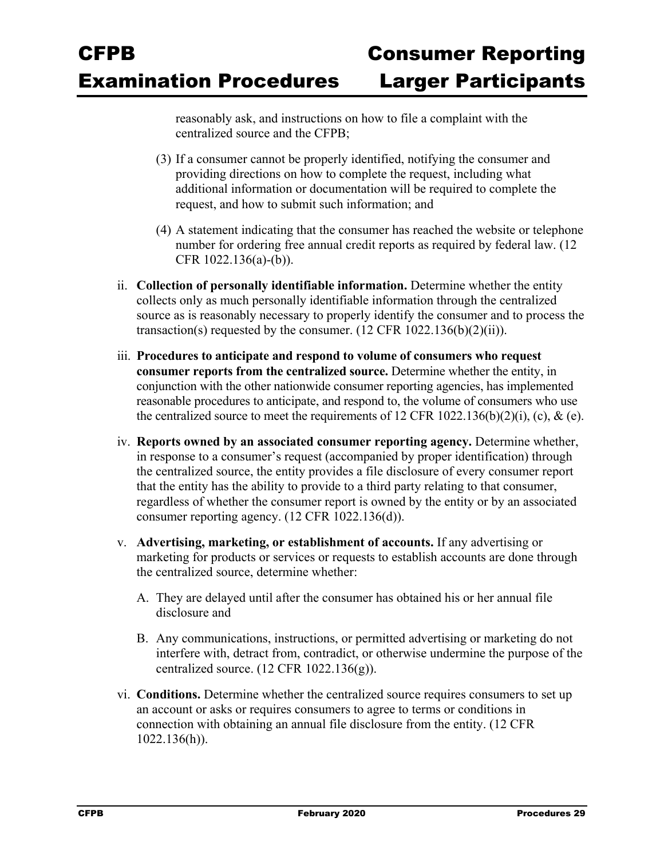reasonably ask, and instructions on how to file a complaint with the centralized source and the CFPB;

- (3) If a consumer cannot be properly identified, notifying the consumer and providing directions on how to complete the request, including what additional information or documentation will be required to complete the request, and how to submit such information; and
- (4) A statement indicating that the consumer has reached the website or telephone number for ordering free annual credit reports as required by federal law. (12 CFR 1022.136(a)-(b)).
- ii. **Collection of personally identifiable information.** Determine whether the entity collects only as much personally identifiable information through the centralized source as is reasonably necessary to properly identify the consumer and to process the transaction(s) requested by the consumer.  $(12 \text{ CFR } 1022.136(b)(2)(ii))$ .
- iii. **Procedures to anticipate and respond to volume of consumers who request consumer reports from the centralized source.** Determine whether the entity, in conjunction with the other nationwide consumer reporting agencies, has implemented reasonable procedures to anticipate, and respond to, the volume of consumers who use the centralized source to meet the requirements of 12 CFR 1022.136(b)(2)(i), (c), & (e).
- iv. **Reports owned by an associated consumer reporting agency.** Determine whether, in response to a consumer's request (accompanied by proper identification) through the centralized source, the entity provides a file disclosure of every consumer report that the entity has the ability to provide to a third party relating to that consumer, regardless of whether the consumer report is owned by the entity or by an associated consumer reporting agency. (12 CFR 1022.136(d)).
- v. **Advertising, marketing, or establishment of accounts.** If any advertising or marketing for products or services or requests to establish accounts are done through the centralized source, determine whether:
	- A. They are delayed until after the consumer has obtained his or her annual file disclosure and
	- B. Any communications, instructions, or permitted advertising or marketing do not interfere with, detract from, contradict, or otherwise undermine the purpose of the centralized source.  $(12 \text{ CFR } 1022.136(g))$ .
- vi. **Conditions.** Determine whether the centralized source requires consumers to set up an account or asks or requires consumers to agree to terms or conditions in connection with obtaining an annual file disclosure from the entity. (12 CFR 1022.136(h)).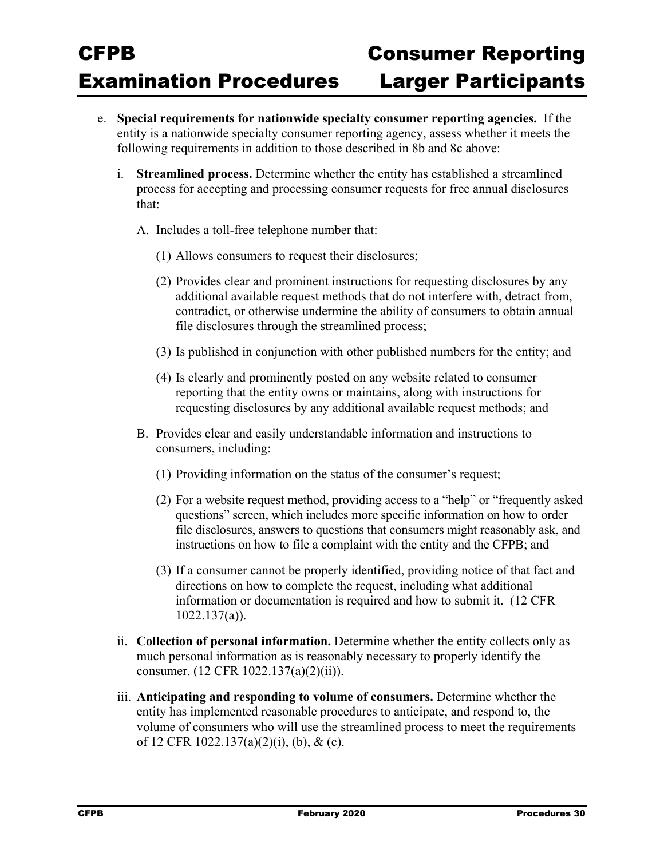- e. **Special requirements for nationwide specialty consumer reporting agencies.** If the entity is a nationwide specialty consumer reporting agency, assess whether it meets the following requirements in addition to those described in 8b and 8c above:
	- i. **Streamlined process.** Determine whether the entity has established a streamlined process for accepting and processing consumer requests for free annual disclosures that:
		- A. Includes a toll-free telephone number that:
			- (1) Allows consumers to request their disclosures;
			- (2) Provides clear and prominent instructions for requesting disclosures by any additional available request methods that do not interfere with, detract from, contradict, or otherwise undermine the ability of consumers to obtain annual file disclosures through the streamlined process;
			- (3) Is published in conjunction with other published numbers for the entity; and
			- (4) Is clearly and prominently posted on any website related to consumer reporting that the entity owns or maintains, along with instructions for requesting disclosures by any additional available request methods; and
		- B. Provides clear and easily understandable information and instructions to consumers, including:
			- (1) Providing information on the status of the consumer's request;
			- (2) For a website request method, providing access to a "help" or "frequently asked questions" screen, which includes more specific information on how to order file disclosures, answers to questions that consumers might reasonably ask, and instructions on how to file a complaint with the entity and the CFPB; and
			- (3) If a consumer cannot be properly identified, providing notice of that fact and directions on how to complete the request, including what additional information or documentation is required and how to submit it. (12 CFR 1022.137(a)).
	- ii. **Collection of personal information.** Determine whether the entity collects only as much personal information as is reasonably necessary to properly identify the consumer. (12 CFR 1022.137(a)(2)(ii)).
	- iii. **Anticipating and responding to volume of consumers.** Determine whether the entity has implemented reasonable procedures to anticipate, and respond to, the volume of consumers who will use the streamlined process to meet the requirements of 12 CFR 1022.137(a)(2)(i), (b), & (c).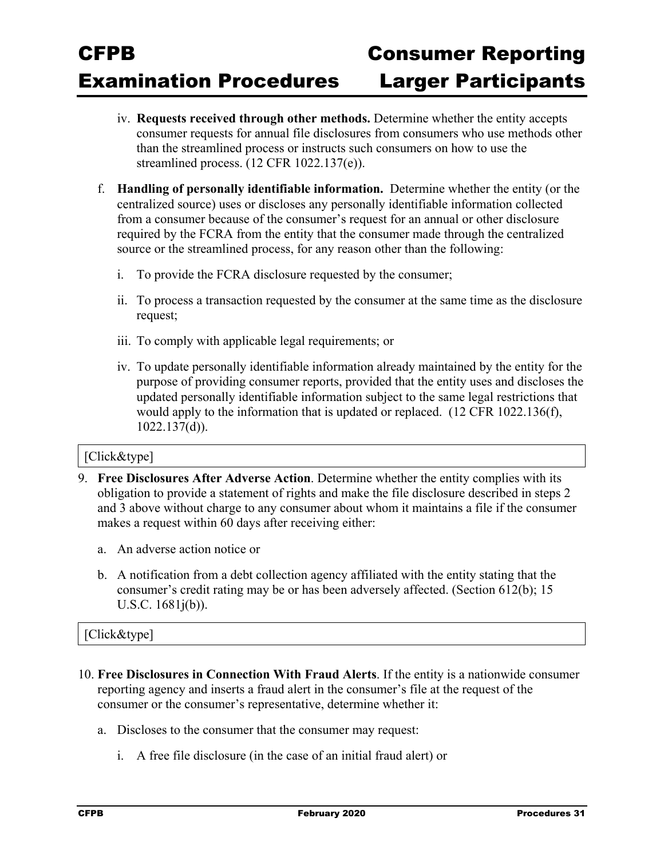- iv. **Requests received through other methods.** Determine whether the entity accepts consumer requests for annual file disclosures from consumers who use methods other than the streamlined process or instructs such consumers on how to use the streamlined process. (12 CFR 1022.137(e)).
- f. **Handling of personally identifiable information.** Determine whether the entity (or the centralized source) uses or discloses any personally identifiable information collected from a consumer because of the consumer's request for an annual or other disclosure required by the FCRA from the entity that the consumer made through the centralized source or the streamlined process, for any reason other than the following:
	- i. To provide the FCRA disclosure requested by the consumer;
	- ii. To process a transaction requested by the consumer at the same time as the disclosure request;
	- iii. To comply with applicable legal requirements; or
	- iv. To update personally identifiable information already maintained by the entity for the purpose of providing consumer reports, provided that the entity uses and discloses the updated personally identifiable information subject to the same legal restrictions that would apply to the information that is updated or replaced. (12 CFR 1022.136(f), 1022.137(d)).

#### [Click&type]

- 9. **Free Disclosures After Adverse Action**. Determine whether the entity complies with its obligation to provide a statement of rights and make the file disclosure described in steps 2 and 3 above without charge to any consumer about whom it maintains a file if the consumer makes a request within 60 days after receiving either:
	- a. An adverse action notice or
	- b. A notification from a debt collection agency affiliated with the entity stating that the consumer's credit rating may be or has been adversely affected. (Section 612(b); 15 U.S.C. 1681j(b)).

- 10. **Free Disclosures in Connection With Fraud Alerts**. If the entity is a nationwide consumer reporting agency and inserts a fraud alert in the consumer's file at the request of the consumer or the consumer's representative, determine whether it:
	- a. Discloses to the consumer that the consumer may request:
		- i. A free file disclosure (in the case of an initial fraud alert) or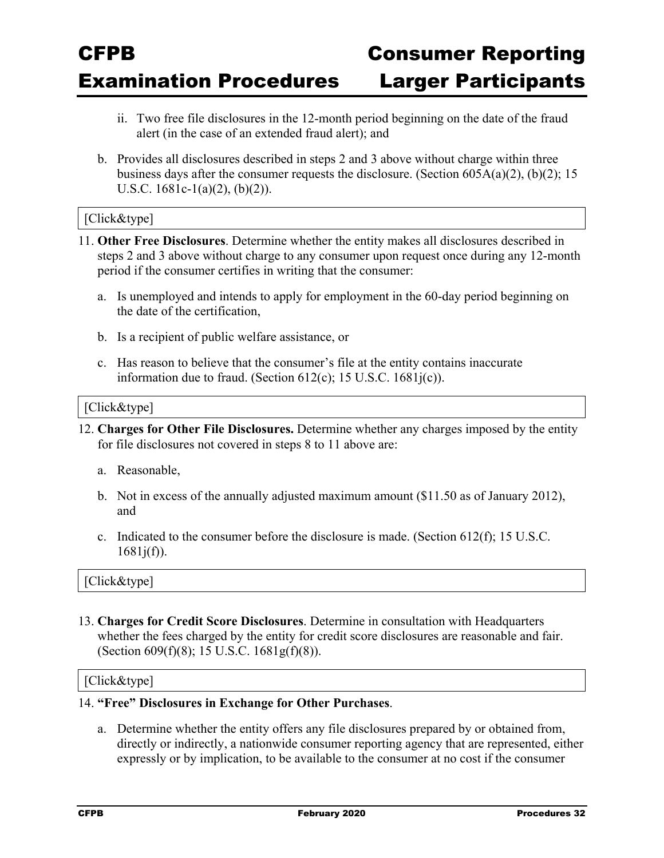- ii. Two free file disclosures in the 12-month period beginning on the date of the fraud alert (in the case of an extended fraud alert); and
- b. Provides all disclosures described in steps 2 and 3 above without charge within three business days after the consumer requests the disclosure. (Section 605A(a)(2), (b)(2); 15 U.S.C. 1681c-1(a)(2), (b)(2)).

#### [Click&type]

- 11. **Other Free Disclosures**. Determine whether the entity makes all disclosures described in steps 2 and 3 above without charge to any consumer upon request once during any 12-month period if the consumer certifies in writing that the consumer:
	- a. Is unemployed and intends to apply for employment in the 60-day period beginning on the date of the certification,
	- b. Is a recipient of public welfare assistance, or
	- c. Has reason to believe that the consumer's file at the entity contains inaccurate information due to fraud. (Section  $612(c)$ ; 15 U.S.C.  $1681i(c)$ ).

#### [Click&type]

- 12. **Charges for Other File Disclosures.** Determine whether any charges imposed by the entity for file disclosures not covered in steps 8 to 11 above are:
	- a. Reasonable,
	- b. Not in excess of the annually adjusted maximum amount (\$11.50 as of January 2012), and
	- c. Indicated to the consumer before the disclosure is made. (Section 612(f); 15 U.S.C.  $1681j(f)$ ).

#### [Click&type]

13. **Charges for Credit Score Disclosures**. Determine in consultation with Headquarters whether the fees charged by the entity for credit score disclosures are reasonable and fair. (Section 609(f)(8); 15 U.S.C. 1681g(f)(8)).

#### [Click&type]

#### 14. **"Free" Disclosures in Exchange for Other Purchases**.

a. Determine whether the entity offers any file disclosures prepared by or obtained from, directly or indirectly, a nationwide consumer reporting agency that are represented, either expressly or by implication, to be available to the consumer at no cost if the consumer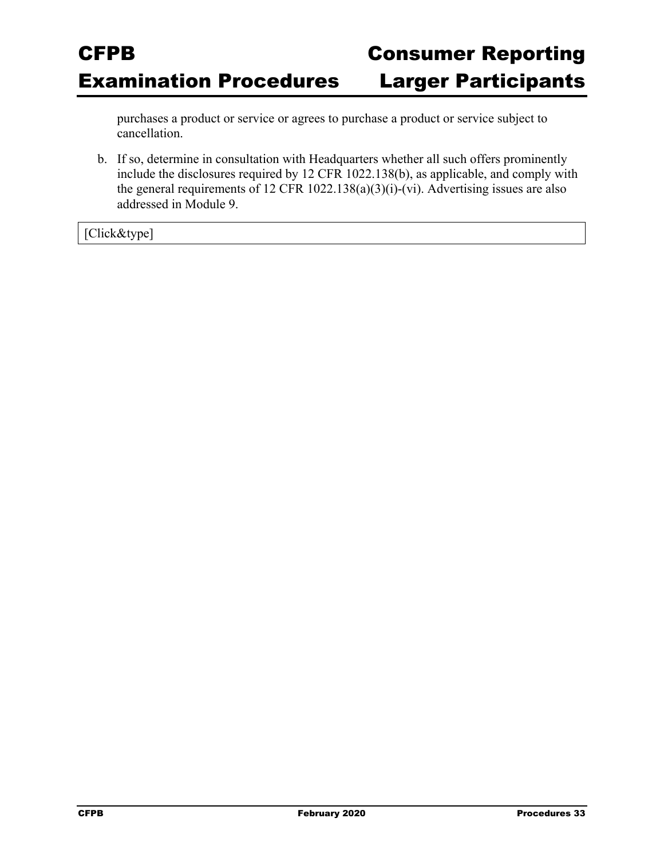purchases a product or service or agrees to purchase a product or service subject to cancellation.

b. If so, determine in consultation with Headquarters whether all such offers prominently include the disclosures required by 12 CFR 1022.138(b), as applicable, and comply with the general requirements of 12 CFR 1022.138(a)(3)(i)-(vi). Advertising issues are also addressed in Module 9.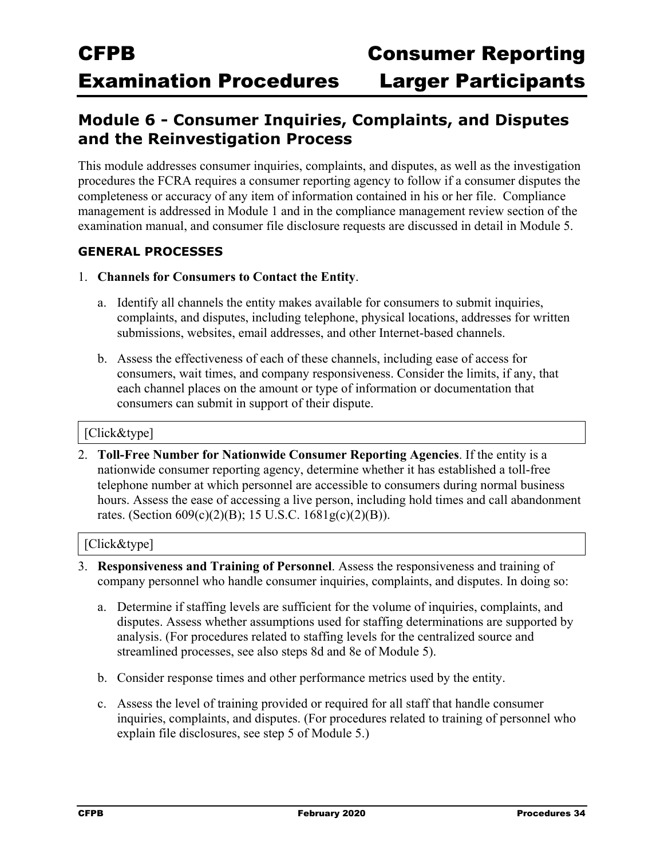### **Module 6 - Consumer Inquiries, Complaints, and Disputes and the Reinvestigation Process**

This module addresses consumer inquiries, complaints, and disputes, as well as the investigation procedures the FCRA requires a consumer reporting agency to follow if a consumer disputes the completeness or accuracy of any item of information contained in his or her file. Compliance management is addressed in Module 1 and in the compliance management review section of the examination manual, and consumer file disclosure requests are discussed in detail in Module 5.

#### **GENERAL PROCESSES**

- 1. **Channels for Consumers to Contact the Entity**.
	- a. Identify all channels the entity makes available for consumers to submit inquiries, complaints, and disputes, including telephone, physical locations, addresses for written submissions, websites, email addresses, and other Internet-based channels.
	- b. Assess the effectiveness of each of these channels, including ease of access for consumers, wait times, and company responsiveness. Consider the limits, if any, that each channel places on the amount or type of information or documentation that consumers can submit in support of their dispute.

#### [Click&type]

2. **Toll-Free Number for Nationwide Consumer Reporting Agencies**. If the entity is a nationwide consumer reporting agency, determine whether it has established a toll-free telephone number at which personnel are accessible to consumers during normal business hours. Assess the ease of accessing a live person, including hold times and call abandonment rates. (Section 609(c)(2)(B); 15 U.S.C. 1681g(c)(2)(B)).

- 3. **Responsiveness and Training of Personnel**. Assess the responsiveness and training of company personnel who handle consumer inquiries, complaints, and disputes. In doing so:
	- a. Determine if staffing levels are sufficient for the volume of inquiries, complaints, and disputes. Assess whether assumptions used for staffing determinations are supported by analysis. (For procedures related to staffing levels for the centralized source and streamlined processes, see also steps 8d and 8e of Module 5).
	- b. Consider response times and other performance metrics used by the entity.
	- c. Assess the level of training provided or required for all staff that handle consumer inquiries, complaints, and disputes. (For procedures related to training of personnel who explain file disclosures, see step 5 of Module 5.)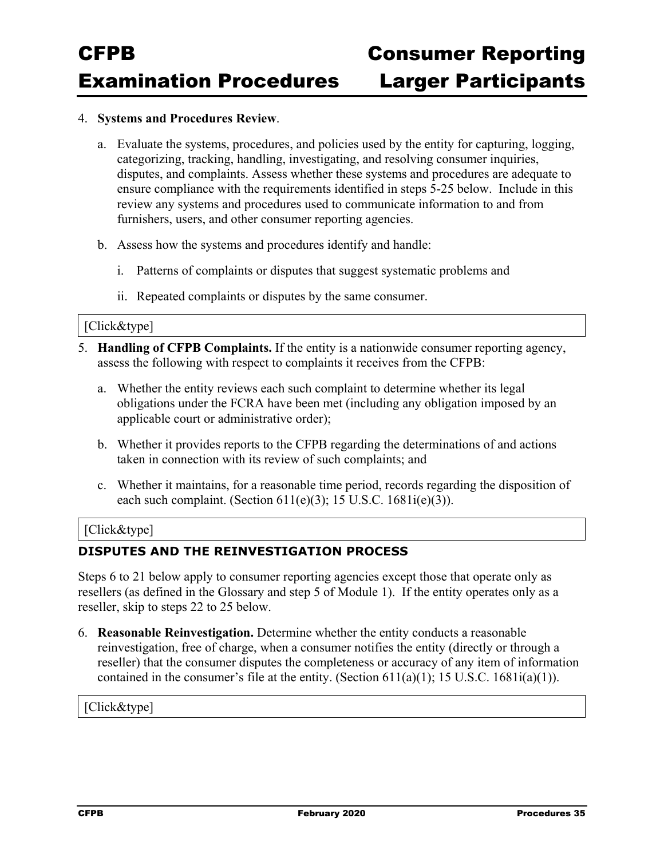#### 4. **Systems and Procedures Review**.

- a. Evaluate the systems, procedures, and policies used by the entity for capturing, logging, categorizing, tracking, handling, investigating, and resolving consumer inquiries, disputes, and complaints. Assess whether these systems and procedures are adequate to ensure compliance with the requirements identified in steps 5-25 below. Include in this review any systems and procedures used to communicate information to and from furnishers, users, and other consumer reporting agencies.
- b. Assess how the systems and procedures identify and handle:
	- i. Patterns of complaints or disputes that suggest systematic problems and
	- ii. Repeated complaints or disputes by the same consumer.

#### [Click&type]

- 5. **Handling of CFPB Complaints.** If the entity is a nationwide consumer reporting agency, assess the following with respect to complaints it receives from the CFPB:
	- a. Whether the entity reviews each such complaint to determine whether its legal obligations under the FCRA have been met (including any obligation imposed by an applicable court or administrative order);
	- b. Whether it provides reports to the CFPB regarding the determinations of and actions taken in connection with its review of such complaints; and
	- c. Whether it maintains, for a reasonable time period, records regarding the disposition of each such complaint. (Section  $611(e)(3)$ ; 15 U.S.C.  $1681i(e)(3)$ ).

#### [Click&type]

#### **DISPUTES AND THE REINVESTIGATION PROCESS**

Steps 6 to 21 below apply to consumer reporting agencies except those that operate only as resellers (as defined in the Glossary and step 5 of Module 1). If the entity operates only as a reseller, skip to steps 22 to 25 below.

6. **Reasonable Reinvestigation.** Determine whether the entity conducts a reasonable reinvestigation, free of charge, when a consumer notifies the entity (directly or through a reseller) that the consumer disputes the completeness or accuracy of any item of information contained in the consumer's file at the entity. (Section 611(a)(1); 15 U.S.C. 1681i(a)(1)).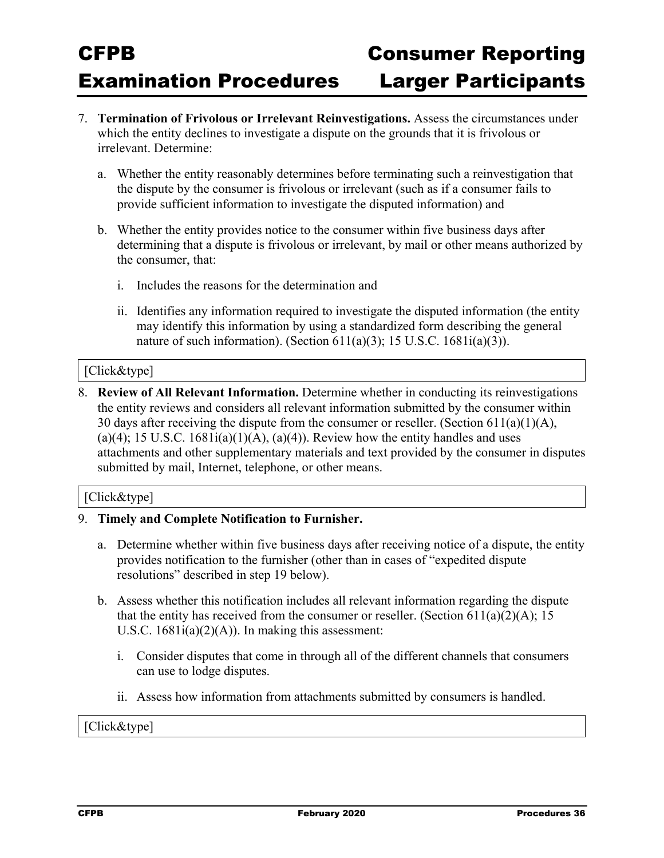- 7. **Termination of Frivolous or Irrelevant Reinvestigations.** Assess the circumstances under which the entity declines to investigate a dispute on the grounds that it is frivolous or irrelevant. Determine:
	- a. Whether the entity reasonably determines before terminating such a reinvestigation that the dispute by the consumer is frivolous or irrelevant (such as if a consumer fails to provide sufficient information to investigate the disputed information) and
	- b. Whether the entity provides notice to the consumer within five business days after determining that a dispute is frivolous or irrelevant, by mail or other means authorized by the consumer, that:
		- i. Includes the reasons for the determination and
		- ii. Identifies any information required to investigate the disputed information (the entity may identify this information by using a standardized form describing the general nature of such information). (Section  $611(a)(3)$ ; 15 U.S.C.  $1681i(a)(3)$ ).

#### [Click&type]

8. **Review of All Relevant Information.** Determine whether in conducting its reinvestigations the entity reviews and considers all relevant information submitted by the consumer within 30 days after receiving the dispute from the consumer or reseller. (Section  $611(a)(1)(A)$ , (a)(4); 15 U.S.C.  $1681i(a)(1)(A)$ , (a)(4)). Review how the entity handles and uses attachments and other supplementary materials and text provided by the consumer in disputes submitted by mail, Internet, telephone, or other means.

#### [Click&type]

#### 9. **Timely and Complete Notification to Furnisher.**

- a. Determine whether within five business days after receiving notice of a dispute, the entity provides notification to the furnisher (other than in cases of "expedited dispute resolutions" described in step 19 below).
- b. Assess whether this notification includes all relevant information regarding the dispute that the entity has received from the consumer or reseller. (Section 611(a)(2)(A); 15 U.S.C.  $1681i(a)(2)(A)$ . In making this assessment:
	- i. Consider disputes that come in through all of the different channels that consumers can use to lodge disputes.
	- ii. Assess how information from attachments submitted by consumers is handled.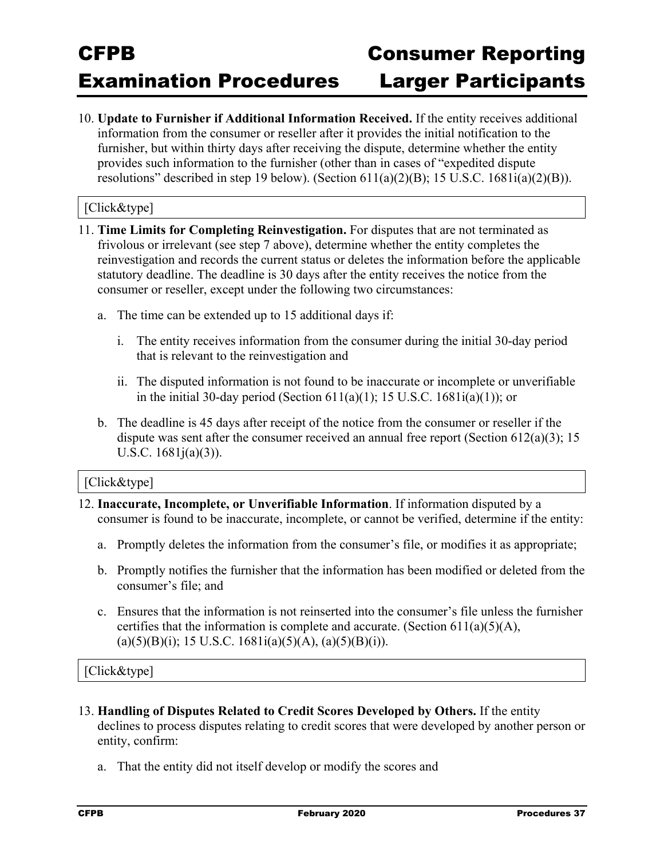10. **Update to Furnisher if Additional Information Received.** If the entity receives additional information from the consumer or reseller after it provides the initial notification to the furnisher, but within thirty days after receiving the dispute, determine whether the entity provides such information to the furnisher (other than in cases of "expedited dispute resolutions" described in step 19 below). (Section  $611(a)(2)(B)$ ; 15 U.S.C. 1681 $i(a)(2)(B)$ ).

#### [Click&type]

- 11. **Time Limits for Completing Reinvestigation.** For disputes that are not terminated as frivolous or irrelevant (see step 7 above), determine whether the entity completes the reinvestigation and records the current status or deletes the information before the applicable statutory deadline. The deadline is 30 days after the entity receives the notice from the consumer or reseller, except under the following two circumstances:
	- a. The time can be extended up to 15 additional days if:
		- i. The entity receives information from the consumer during the initial 30-day period that is relevant to the reinvestigation and
		- ii. The disputed information is not found to be inaccurate or incomplete or unverifiable in the initial 30-day period (Section  $611(a)(1)$ ; 15 U.S.C.  $1681i(a)(1)$ ); or
	- b. The deadline is 45 days after receipt of the notice from the consumer or reseller if the dispute was sent after the consumer received an annual free report (Section  $612(a)(3)$ ; 15 U.S.C. 1681j(a)(3)).

#### [Click&type]

- 12. **Inaccurate, Incomplete, or Unverifiable Information**. If information disputed by a consumer is found to be inaccurate, incomplete, or cannot be verified, determine if the entity:
	- a. Promptly deletes the information from the consumer's file, or modifies it as appropriate;
	- b. Promptly notifies the furnisher that the information has been modified or deleted from the consumer's file; and
	- c. Ensures that the information is not reinserted into the consumer's file unless the furnisher certifies that the information is complete and accurate. (Section  $611(a)(5)(A)$ ,  $(a)(5)(B)(i); 15 U.S.C. 1681i(a)(5)(A), (a)(5)(B)(i)).$

- 13. **Handling of Disputes Related to Credit Scores Developed by Others.** If the entity declines to process disputes relating to credit scores that were developed by another person or entity, confirm:
	- a. That the entity did not itself develop or modify the scores and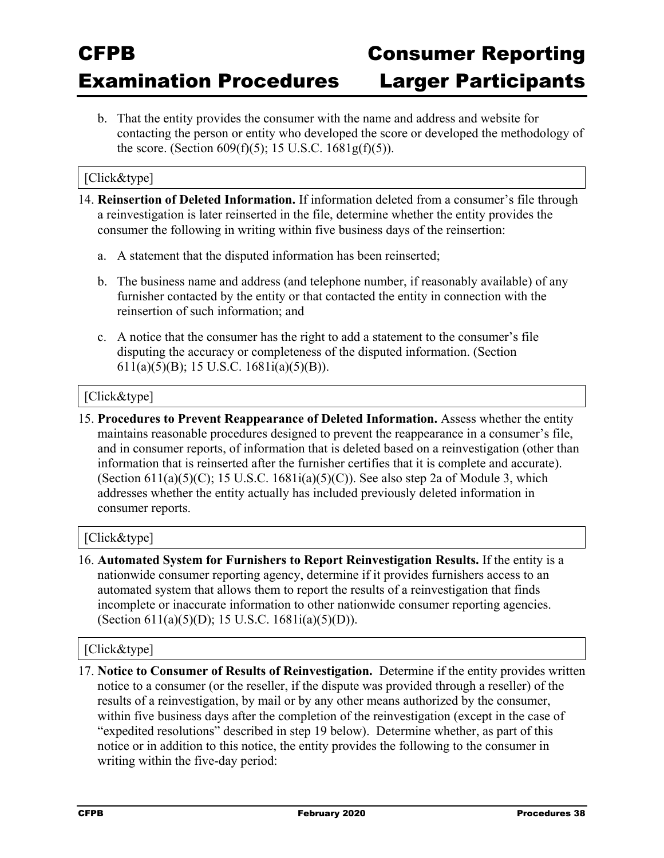b. That the entity provides the consumer with the name and address and website for contacting the person or entity who developed the score or developed the methodology of the score. (Section  $609(f)(5)$ ; 15 U.S.C.  $1681g(f)(5)$ ).

#### [Click&type]

- 14. **Reinsertion of Deleted Information.** If information deleted from a consumer's file through a reinvestigation is later reinserted in the file, determine whether the entity provides the consumer the following in writing within five business days of the reinsertion:
	- a. A statement that the disputed information has been reinserted;
	- b. The business name and address (and telephone number, if reasonably available) of any furnisher contacted by the entity or that contacted the entity in connection with the reinsertion of such information; and
	- c. A notice that the consumer has the right to add a statement to the consumer's file disputing the accuracy or completeness of the disputed information. (Section 611(a)(5)(B); 15 U.S.C. 1681i(a)(5)(B)).

#### [Click&type]

15. **Procedures to Prevent Reappearance of Deleted Information.** Assess whether the entity maintains reasonable procedures designed to prevent the reappearance in a consumer's file, and in consumer reports, of information that is deleted based on a reinvestigation (other than information that is reinserted after the furnisher certifies that it is complete and accurate). (Section 611(a)(5)(C); 15 U.S.C. 1681i(a)(5)(C)). See also step 2a of Module 3, which addresses whether the entity actually has included previously deleted information in consumer reports.

#### [Click&type]

16. **Automated System for Furnishers to Report Reinvestigation Results.** If the entity is a nationwide consumer reporting agency, determine if it provides furnishers access to an automated system that allows them to report the results of a reinvestigation that finds incomplete or inaccurate information to other nationwide consumer reporting agencies. (Section 611(a)(5)(D); 15 U.S.C. 1681i(a)(5)(D)).

#### [Click&type]

17. **Notice to Consumer of Results of Reinvestigation.** Determine if the entity provides written notice to a consumer (or the reseller, if the dispute was provided through a reseller) of the results of a reinvestigation, by mail or by any other means authorized by the consumer, within five business days after the completion of the reinvestigation (except in the case of "expedited resolutions" described in step 19 below). Determine whether, as part of this notice or in addition to this notice, the entity provides the following to the consumer in writing within the five-day period: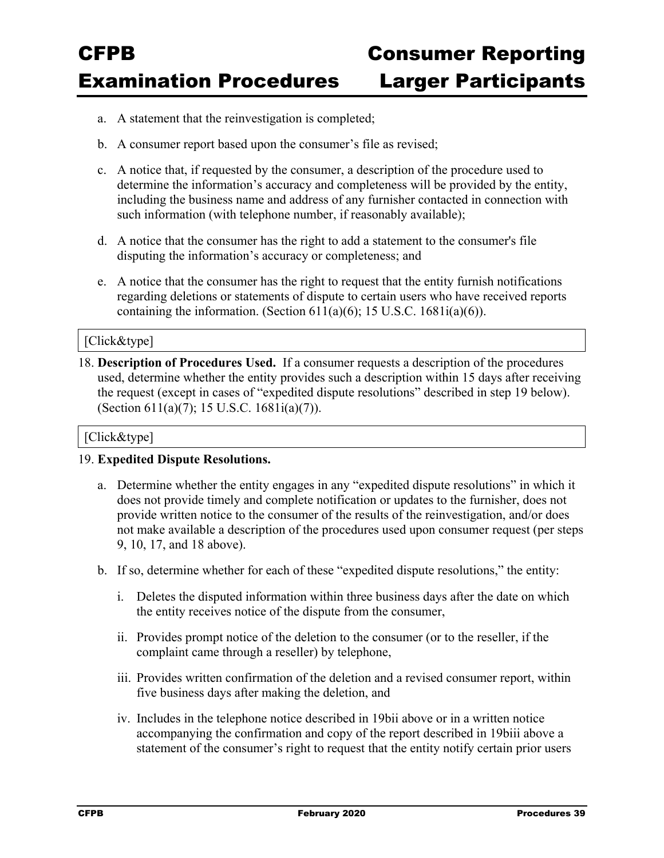- a. A statement that the reinvestigation is completed;
- b. A consumer report based upon the consumer's file as revised;
- c. A notice that, if requested by the consumer, a description of the procedure used to determine the information's accuracy and completeness will be provided by the entity, including the business name and address of any furnisher contacted in connection with such information (with telephone number, if reasonably available);
- d. A notice that the consumer has the right to add a statement to the consumer's file disputing the information's accuracy or completeness; and
- e. A notice that the consumer has the right to request that the entity furnish notifications regarding deletions or statements of dispute to certain users who have received reports containing the information. (Section  $611(a)(6)$ ; 15 U.S.C.  $1681i(a)(6)$ ).

#### [Click&type]

18. **Description of Procedures Used.** If a consumer requests a description of the procedures used, determine whether the entity provides such a description within 15 days after receiving the request (except in cases of "expedited dispute resolutions" described in step 19 below). (Section 611(a)(7); 15 U.S.C. 1681i(a)(7)).

#### [Click&type]

#### 19. **Expedited Dispute Resolutions.**

- a. Determine whether the entity engages in any "expedited dispute resolutions" in which it does not provide timely and complete notification or updates to the furnisher, does not provide written notice to the consumer of the results of the reinvestigation, and/or does not make available a description of the procedures used upon consumer request (per steps 9, 10, 17, and 18 above).
- b. If so, determine whether for each of these "expedited dispute resolutions," the entity:
	- i. Deletes the disputed information within three business days after the date on which the entity receives notice of the dispute from the consumer,
	- ii. Provides prompt notice of the deletion to the consumer (or to the reseller, if the complaint came through a reseller) by telephone,
	- iii. Provides written confirmation of the deletion and a revised consumer report, within five business days after making the deletion, and
	- iv. Includes in the telephone notice described in 19bii above or in a written notice accompanying the confirmation and copy of the report described in 19biii above a statement of the consumer's right to request that the entity notify certain prior users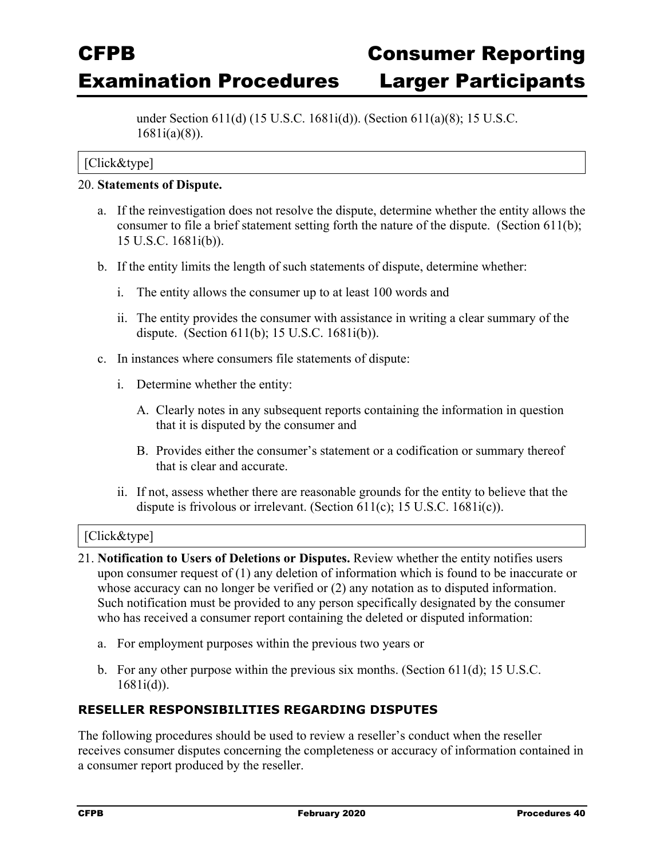under Section 611(d) (15 U.S.C. 1681i(d)). (Section 611(a)(8); 15 U.S.C. 1681i(a)(8)).

#### [Click&type]

#### 20. **Statements of Dispute.**

- a. If the reinvestigation does not resolve the dispute, determine whether the entity allows the consumer to file a brief statement setting forth the nature of the dispute. (Section 611(b); 15 U.S.C. 1681i(b)).
- b. If the entity limits the length of such statements of dispute, determine whether:
	- i. The entity allows the consumer up to at least 100 words and
	- ii. The entity provides the consumer with assistance in writing a clear summary of the dispute. (Section 611(b); 15 U.S.C. 1681i(b)).
- c. In instances where consumers file statements of dispute:
	- i. Determine whether the entity:
		- A. Clearly notes in any subsequent reports containing the information in question that it is disputed by the consumer and
		- B. Provides either the consumer's statement or a codification or summary thereof that is clear and accurate.
	- ii. If not, assess whether there are reasonable grounds for the entity to believe that the dispute is frivolous or irrelevant. (Section 611(c); 15 U.S.C. 1681i(c)).

#### [Click&type]

- 21. **Notification to Users of Deletions or Disputes.** Review whether the entity notifies users upon consumer request of (1) any deletion of information which is found to be inaccurate or whose accuracy can no longer be verified or (2) any notation as to disputed information. Such notification must be provided to any person specifically designated by the consumer who has received a consumer report containing the deleted or disputed information:
	- a. For employment purposes within the previous two years or
	- b. For any other purpose within the previous six months. (Section 611(d); 15 U.S.C. 1681i(d)).

#### **RESELLER RESPONSIBILITIES REGARDING DISPUTES**

The following procedures should be used to review a reseller's conduct when the reseller receives consumer disputes concerning the completeness or accuracy of information contained in a consumer report produced by the reseller.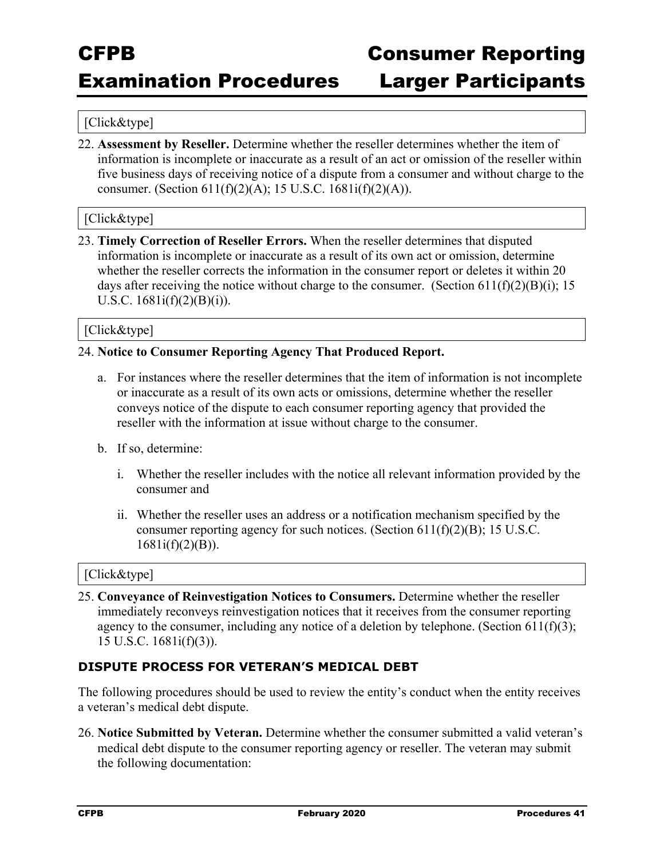### Examination Procedures Larger Participants

#### [Click&type]

22. **Assessment by Reseller.** Determine whether the reseller determines whether the item of information is incomplete or inaccurate as a result of an act or omission of the reseller within five business days of receiving notice of a dispute from a consumer and without charge to the consumer. (Section  $611(f)(2)(A)$ ; 15 U.S.C.  $1681i(f)(2)(A)$ ).

#### [Click&type]

23. **Timely Correction of Reseller Errors.** When the reseller determines that disputed information is incomplete or inaccurate as a result of its own act or omission, determine whether the reseller corrects the information in the consumer report or deletes it within 20 days after receiving the notice without charge to the consumer. (Section  $611(f)(2)(B)(i)$ ; 15 U.S.C.  $1681i(f)(2)(B)(i)$ .

#### [Click&type]

#### 24. **Notice to Consumer Reporting Agency That Produced Report.**

- a. For instances where the reseller determines that the item of information is not incomplete or inaccurate as a result of its own acts or omissions, determine whether the reseller conveys notice of the dispute to each consumer reporting agency that provided the reseller with the information at issue without charge to the consumer.
- b. If so, determine:
	- i. Whether the reseller includes with the notice all relevant information provided by the consumer and
	- ii. Whether the reseller uses an address or a notification mechanism specified by the consumer reporting agency for such notices. (Section  $611(f)(2)(B)$ ; 15 U.S.C.  $1681i(f)(2)(B)$ ).

#### [Click&type]

25. **Conveyance of Reinvestigation Notices to Consumers.** Determine whether the reseller immediately reconveys reinvestigation notices that it receives from the consumer reporting agency to the consumer, including any notice of a deletion by telephone. (Section 611(f)(3); 15 U.S.C. 1681i(f)(3)).

#### **DISPUTE PROCESS FOR VETERAN'S MEDICAL DEBT**

The following procedures should be used to review the entity's conduct when the entity receives a veteran's medical debt dispute.

26. **Notice Submitted by Veteran.** Determine whether the consumer submitted a valid veteran's medical debt dispute to the consumer reporting agency or reseller. The veteran may submit the following documentation: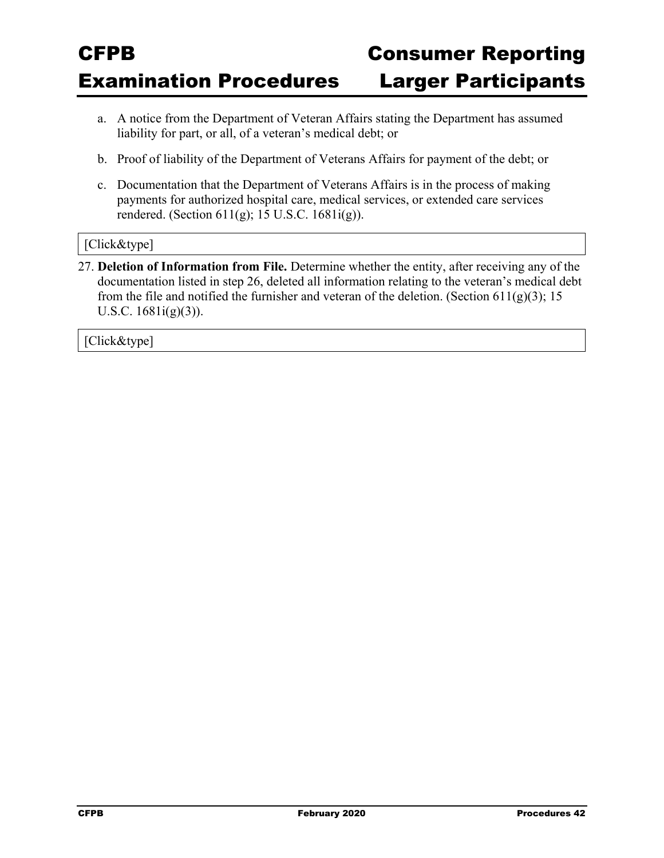- a. A notice from the Department of Veteran Affairs stating the Department has assumed liability for part, or all, of a veteran's medical debt; or
- b. Proof of liability of the Department of Veterans Affairs for payment of the debt; or
- c. Documentation that the Department of Veterans Affairs is in the process of making payments for authorized hospital care, medical services, or extended care services rendered. (Section 611(g); 15 U.S.C. 1681i(g)).

#### [Click&type]

27. **Deletion of Information from File.** Determine whether the entity, after receiving any of the documentation listed in step 26, deleted all information relating to the veteran's medical debt from the file and notified the furnisher and veteran of the deletion. (Section 611(g)(3); 15 U.S.C. 1681i(g)(3)).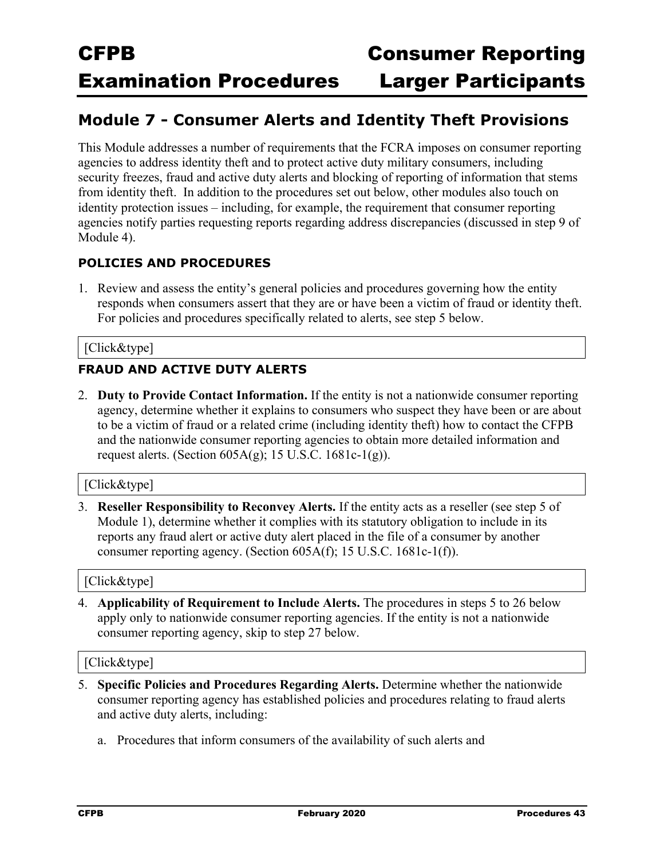### **Module 7 - Consumer Alerts and Identity Theft Provisions**

This Module addresses a number of requirements that the FCRA imposes on consumer reporting agencies to address identity theft and to protect active duty military consumers, including security freezes, fraud and active duty alerts and blocking of reporting of information that stems from identity theft. In addition to the procedures set out below, other modules also touch on identity protection issues – including, for example, the requirement that consumer reporting agencies notify parties requesting reports regarding address discrepancies (discussed in step 9 of Module 4).

#### **POLICIES AND PROCEDURES**

1. Review and assess the entity's general policies and procedures governing how the entity responds when consumers assert that they are or have been a victim of fraud or identity theft. For policies and procedures specifically related to alerts, see step 5 below.

#### [Click&type]

#### **FRAUD AND ACTIVE DUTY ALERTS**

2. **Duty to Provide Contact Information.** If the entity is not a nationwide consumer reporting agency, determine whether it explains to consumers who suspect they have been or are about to be a victim of fraud or a related crime (including identity theft) how to contact the CFPB and the nationwide consumer reporting agencies to obtain more detailed information and request alerts. (Section  $605A(g)$ ; 15 U.S.C. 1681c-1(g)).

#### [Click&type]

3. **Reseller Responsibility to Reconvey Alerts.** If the entity acts as a reseller (see step 5 of Module 1), determine whether it complies with its statutory obligation to include in its reports any fraud alert or active duty alert placed in the file of a consumer by another consumer reporting agency. (Section 605A(f); 15 U.S.C. 1681c-1(f)).

#### [Click&type]

4. **Applicability of Requirement to Include Alerts.** The procedures in steps 5 to 26 below apply only to nationwide consumer reporting agencies. If the entity is not a nationwide consumer reporting agency, skip to step 27 below.

- 5. **Specific Policies and Procedures Regarding Alerts.** Determine whether the nationwide consumer reporting agency has established policies and procedures relating to fraud alerts and active duty alerts, including:
	- a. Procedures that inform consumers of the availability of such alerts and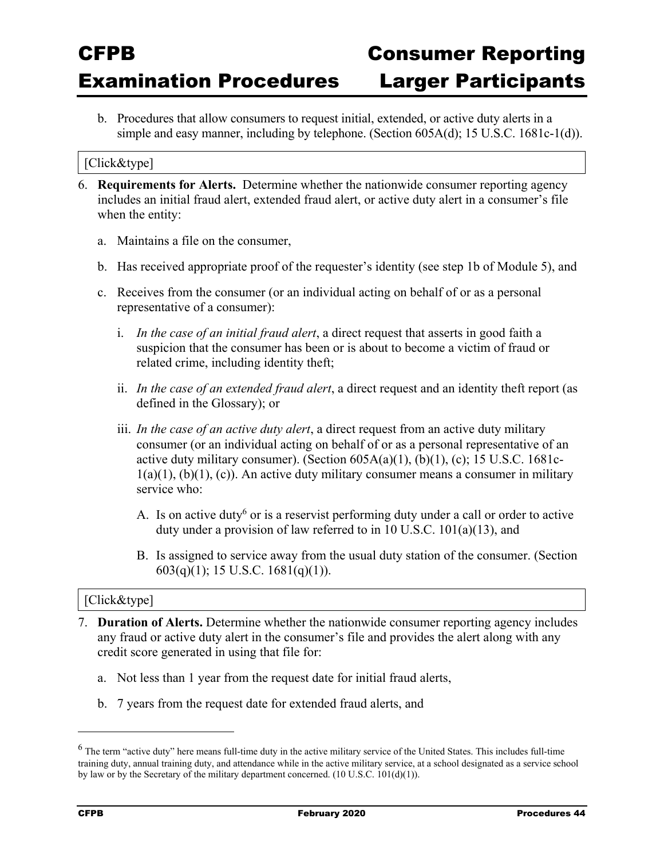b. Procedures that allow consumers to request initial, extended, or active duty alerts in a simple and easy manner, including by telephone. (Section 605A(d); 15 U.S.C. 1681c-1(d)).

#### [Click&type]

- 6. **Requirements for Alerts.** Determine whether the nationwide consumer reporting agency includes an initial fraud alert, extended fraud alert, or active duty alert in a consumer's file when the entity:
	- a. Maintains a file on the consumer,
	- b. Has received appropriate proof of the requester's identity (see step 1b of Module 5), and
	- c. Receives from the consumer (or an individual acting on behalf of or as a personal representative of a consumer):
		- i. *In the case of an initial fraud alert*, a direct request that asserts in good faith a suspicion that the consumer has been or is about to become a victim of fraud or related crime, including identity theft;
		- ii. *In the case of an extended fraud alert*, a direct request and an identity theft report (as defined in the Glossary); or
		- iii. *In the case of an active duty alert*, a direct request from an active duty military consumer (or an individual acting on behalf of or as a personal representative of an active duty military consumer). (Section  $605A(a)(1)$ ,  $(b)(1)$ ,  $(c)$ ; 15 U.S.C. 1681c- $1(a)(1)$ ,  $(b)(1)$ ,  $(c)$ ). An active duty military consumer means a consumer in military service who:
			- A. Is on active duty<sup>6</sup> or is a reservist performing duty under a call or order to active duty under a provision of law referred to in 10 U.S.C. 101(a)(13), and
			- B. Is assigned to service away from the usual duty station of the consumer. (Section 603(q)(1); 15 U.S.C. 1681(q)(1)).

#### [Click&type]

- 7. **Duration of Alerts.** Determine whether the nationwide consumer reporting agency includes any fraud or active duty alert in the consumer's file and provides the alert along with any credit score generated in using that file for:
	- a. Not less than 1 year from the request date for initial fraud alerts,
	- b. 7 years from the request date for extended fraud alerts, and

 $^6$  The term "active duty" here means full-time duty in the active military service of the United States. This includes full-time training duty, annual training duty, and attendance while in the active military service, at a school designated as a service school by law or by the Secretary of the military department concerned. (10 U.S.C. 101(d)(1)).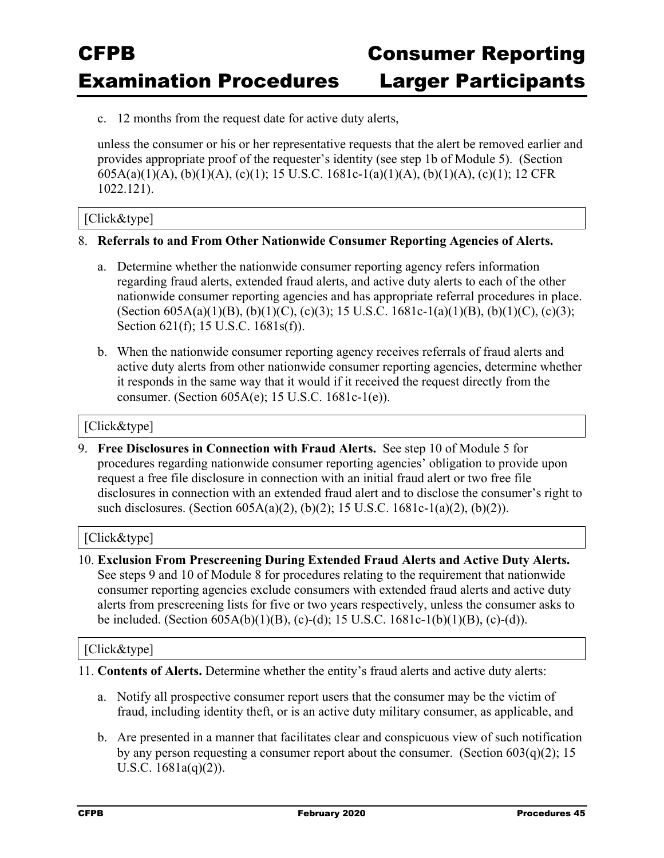c. 12 months from the request date for active duty alerts,

unless the consumer or his or her representative requests that the alert be removed earlier and provides appropriate proof of the requester's identity (see step 1b of Module 5). (Section 605A(a)(1)(A), (b)(1)(A), (c)(1); 15 U.S.C. 1681c-1(a)(1)(A), (b)(1)(A), (c)(1); 12 CFR 1022.121).

#### [Click&type]

#### 8. **Referrals to and From Other Nationwide Consumer Reporting Agencies of Alerts.**

- a. Determine whether the nationwide consumer reporting agency refers information regarding fraud alerts, extended fraud alerts, and active duty alerts to each of the other nationwide consumer reporting agencies and has appropriate referral procedures in place. (Section 605A(a)(1)(B), (b)(1)(C), (c)(3); 15 U.S.C. 1681c-1(a)(1)(B), (b)(1)(C), (c)(3); Section 621(f); 15 U.S.C. 1681s(f)).
- b. When the nationwide consumer reporting agency receives referrals of fraud alerts and active duty alerts from other nationwide consumer reporting agencies, determine whether it responds in the same way that it would if it received the request directly from the consumer. (Section 605A(e); 15 U.S.C. 1681c-1(e)).

#### [Click&type]

9. **Free Disclosures in Connection with Fraud Alerts.** See step 10 of Module 5 for procedures regarding nationwide consumer reporting agencies' obligation to provide upon request a free file disclosure in connection with an initial fraud alert or two free file disclosures in connection with an extended fraud alert and to disclose the consumer's right to such disclosures. (Section 605A(a)(2), (b)(2); 15 U.S.C. 1681c-1(a)(2), (b)(2)).

#### [Click&type]

10. **Exclusion From Prescreening During Extended Fraud Alerts and Active Duty Alerts.** See steps 9 and 10 of Module 8 for procedures relating to the requirement that nationwide consumer reporting agencies exclude consumers with extended fraud alerts and active duty alerts from prescreening lists for five or two years respectively, unless the consumer asks to be included. (Section 605A(b)(1)(B), (c)-(d); 15 U.S.C. 1681c-1(b)(1)(B), (c)-(d)).

- 11. **Contents of Alerts.** Determine whether the entity's fraud alerts and active duty alerts:
	- a. Notify all prospective consumer report users that the consumer may be the victim of fraud, including identity theft, or is an active duty military consumer, as applicable, and
	- b. Are presented in a manner that facilitates clear and conspicuous view of such notification by any person requesting a consumer report about the consumer. (Section  $603(q)(2)$ ; 15 U.S.C. 1681a(q)(2)).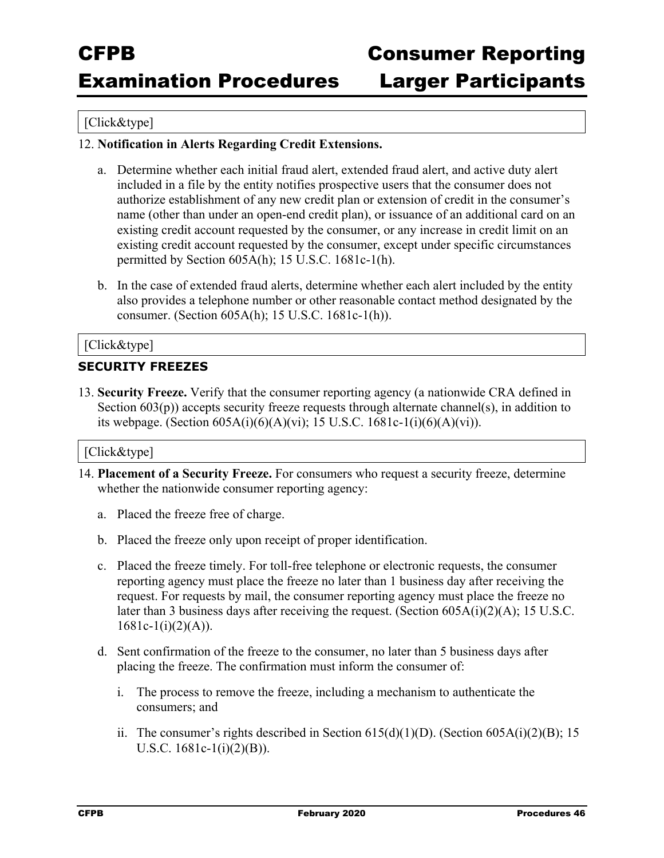### [Click&type]

#### 12. **Notification in Alerts Regarding Credit Extensions.**

- a. Determine whether each initial fraud alert, extended fraud alert, and active duty alert included in a file by the entity notifies prospective users that the consumer does not authorize establishment of any new credit plan or extension of credit in the consumer's name (other than under an open-end credit plan), or issuance of an additional card on an existing credit account requested by the consumer, or any increase in credit limit on an existing credit account requested by the consumer, except under specific circumstances permitted by Section 605A(h); 15 U.S.C. 1681c-1(h).
- b. In the case of extended fraud alerts, determine whether each alert included by the entity also provides a telephone number or other reasonable contact method designated by the consumer. (Section 605A(h); 15 U.S.C. 1681c-1(h)).

#### [Click&type]

#### **SECURITY FREEZES**

13. **Security Freeze.** Verify that the consumer reporting agency (a nationwide CRA defined in Section  $603(p)$ ) accepts security freeze requests through alternate channel(s), in addition to its webpage. (Section  $605A(i)(6)(A)(vi)$ ; 15 U.S.C. 1681c-1(i)(6)(A)(vi)).

- 14. **Placement of a Security Freeze.** For consumers who request a security freeze, determine whether the nationwide consumer reporting agency:
	- a. Placed the freeze free of charge.
	- b. Placed the freeze only upon receipt of proper identification.
	- c. Placed the freeze timely. For toll-free telephone or electronic requests, the consumer reporting agency must place the freeze no later than 1 business day after receiving the request. For requests by mail, the consumer reporting agency must place the freeze no later than 3 business days after receiving the request. (Section 605A(i)(2)(A); 15 U.S.C.  $1681c-1(i)(2)(A)).$
	- d. Sent confirmation of the freeze to the consumer, no later than 5 business days after placing the freeze. The confirmation must inform the consumer of:
		- i. The process to remove the freeze, including a mechanism to authenticate the consumers; and
		- ii. The consumer's rights described in Section  $615(d)(1)(D)$ . (Section  $605A(i)(2)(B)$ ; 15 U.S.C. 1681c-1(i)(2)(B)).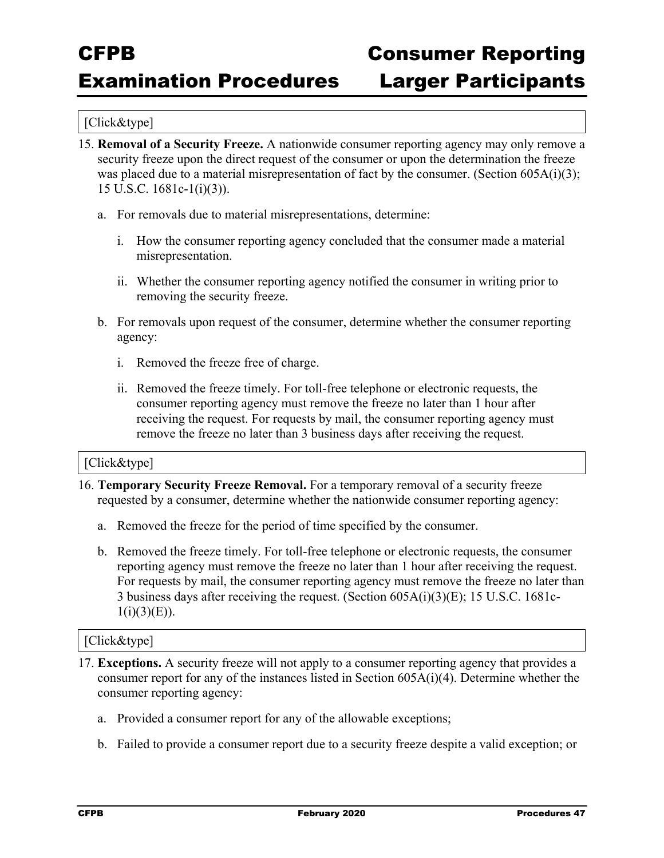#### [Click&type]

- 15. **Removal of a Security Freeze.** A nationwide consumer reporting agency may only remove a security freeze upon the direct request of the consumer or upon the determination the freeze was placed due to a material misrepresentation of fact by the consumer. (Section  $605A(i)(3)$ ; 15 U.S.C. 1681c-1(i)(3)).
	- a. For removals due to material misrepresentations, determine:
		- i. How the consumer reporting agency concluded that the consumer made a material misrepresentation.
		- ii. Whether the consumer reporting agency notified the consumer in writing prior to removing the security freeze.
	- b. For removals upon request of the consumer, determine whether the consumer reporting agency:
		- i. Removed the freeze free of charge.
		- ii. Removed the freeze timely. For toll-free telephone or electronic requests, the consumer reporting agency must remove the freeze no later than 1 hour after receiving the request. For requests by mail, the consumer reporting agency must remove the freeze no later than 3 business days after receiving the request.

#### [Click&type]

- 16. **Temporary Security Freeze Removal.** For a temporary removal of a security freeze requested by a consumer, determine whether the nationwide consumer reporting agency:
	- a. Removed the freeze for the period of time specified by the consumer.
	- b. Removed the freeze timely. For toll-free telephone or electronic requests, the consumer reporting agency must remove the freeze no later than 1 hour after receiving the request. For requests by mail, the consumer reporting agency must remove the freeze no later than 3 business days after receiving the request. (Section 605A(i)(3)(E); 15 U.S.C. 1681c- $1(i)(3)(E)$ ).

- 17. **Exceptions.** A security freeze will not apply to a consumer reporting agency that provides a consumer report for any of the instances listed in Section  $605A(i)(4)$ . Determine whether the consumer reporting agency:
	- a. Provided a consumer report for any of the allowable exceptions;
	- b. Failed to provide a consumer report due to a security freeze despite a valid exception; or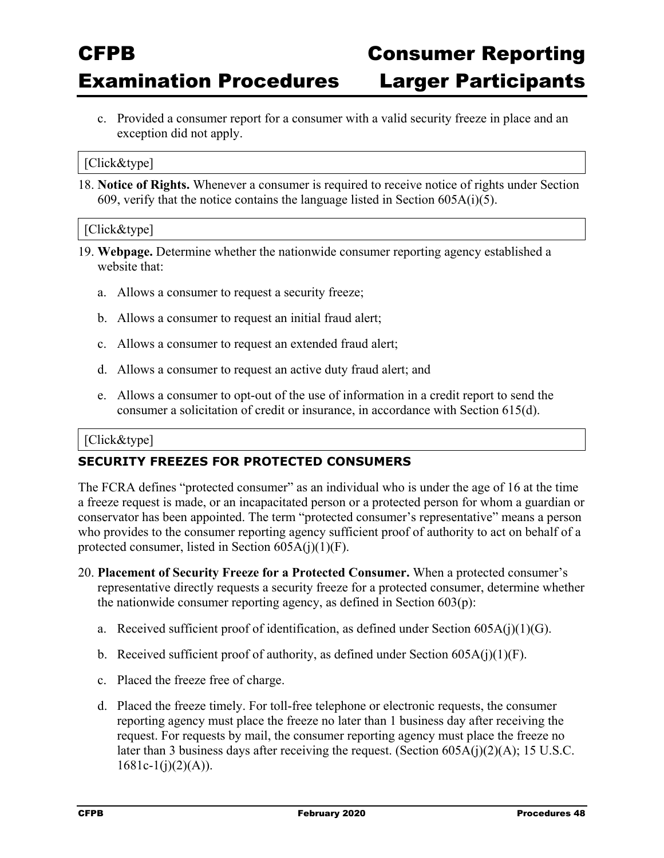c. Provided a consumer report for a consumer with a valid security freeze in place and an exception did not apply.

#### [Click&type]

18. **Notice of Rights.** Whenever a consumer is required to receive notice of rights under Section 609, verify that the notice contains the language listed in Section  $605A(i)(5)$ .

#### [Click&type]

- 19. **Webpage.** Determine whether the nationwide consumer reporting agency established a website that:
	- a. Allows a consumer to request a security freeze;
	- b. Allows a consumer to request an initial fraud alert;
	- c. Allows a consumer to request an extended fraud alert;
	- d. Allows a consumer to request an active duty fraud alert; and
	- e. Allows a consumer to opt-out of the use of information in a credit report to send the consumer a solicitation of credit or insurance, in accordance with Section 615(d).

#### [Click&type]

#### **SECURITY FREEZES FOR PROTECTED CONSUMERS**

The FCRA defines "protected consumer" as an individual who is under the age of 16 at the time a freeze request is made, or an incapacitated person or a protected person for whom a guardian or conservator has been appointed. The term "protected consumer's representative" means a person who provides to the consumer reporting agency sufficient proof of authority to act on behalf of a protected consumer, listed in Section 605A(j)(1)(F).

- 20. **Placement of Security Freeze for a Protected Consumer.** When a protected consumer's representative directly requests a security freeze for a protected consumer, determine whether the nationwide consumer reporting agency, as defined in Section 603(p):
	- a. Received sufficient proof of identification, as defined under Section  $605A(j)(1)(G)$ .
	- b. Received sufficient proof of authority, as defined under Section  $605A(j)(1)(F)$ .
	- c. Placed the freeze free of charge.
	- d. Placed the freeze timely. For toll-free telephone or electronic requests, the consumer reporting agency must place the freeze no later than 1 business day after receiving the request. For requests by mail, the consumer reporting agency must place the freeze no later than 3 business days after receiving the request. (Section 605A(j)(2)(A); 15 U.S.C.  $1681c-1(j)(2)(A)).$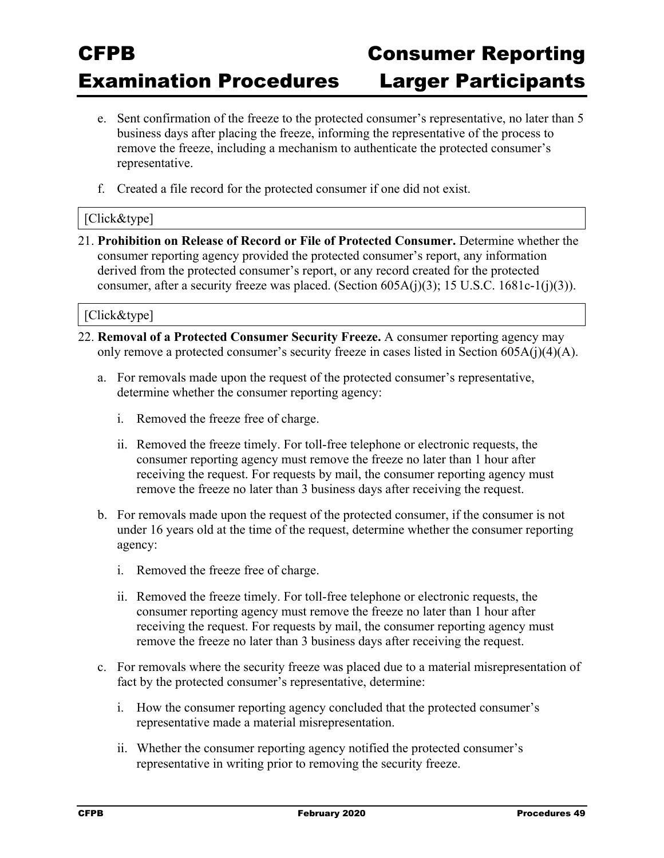- e. Sent confirmation of the freeze to the protected consumer's representative, no later than 5 business days after placing the freeze, informing the representative of the process to remove the freeze, including a mechanism to authenticate the protected consumer's representative.
- f. Created a file record for the protected consumer if one did not exist.

#### [Click&type]

21. **Prohibition on Release of Record or File of Protected Consumer.** Determine whether the consumer reporting agency provided the protected consumer's report, any information derived from the protected consumer's report, or any record created for the protected consumer, after a security freeze was placed. (Section  $605A(j)(3)$ ; 15 U.S.C. 1681c-1(j)(3)).

- 22. **Removal of a Protected Consumer Security Freeze.** A consumer reporting agency may only remove a protected consumer's security freeze in cases listed in Section 605A(j)(4)(A).
	- a. For removals made upon the request of the protected consumer's representative, determine whether the consumer reporting agency:
		- i. Removed the freeze free of charge.
		- ii. Removed the freeze timely. For toll-free telephone or electronic requests, the consumer reporting agency must remove the freeze no later than 1 hour after receiving the request. For requests by mail, the consumer reporting agency must remove the freeze no later than 3 business days after receiving the request.
	- b. For removals made upon the request of the protected consumer, if the consumer is not under 16 years old at the time of the request, determine whether the consumer reporting agency:
		- i. Removed the freeze free of charge.
		- ii. Removed the freeze timely. For toll-free telephone or electronic requests, the consumer reporting agency must remove the freeze no later than 1 hour after receiving the request. For requests by mail, the consumer reporting agency must remove the freeze no later than 3 business days after receiving the request.
	- c. For removals where the security freeze was placed due to a material misrepresentation of fact by the protected consumer's representative, determine:
		- i. How the consumer reporting agency concluded that the protected consumer's representative made a material misrepresentation.
		- ii. Whether the consumer reporting agency notified the protected consumer's representative in writing prior to removing the security freeze.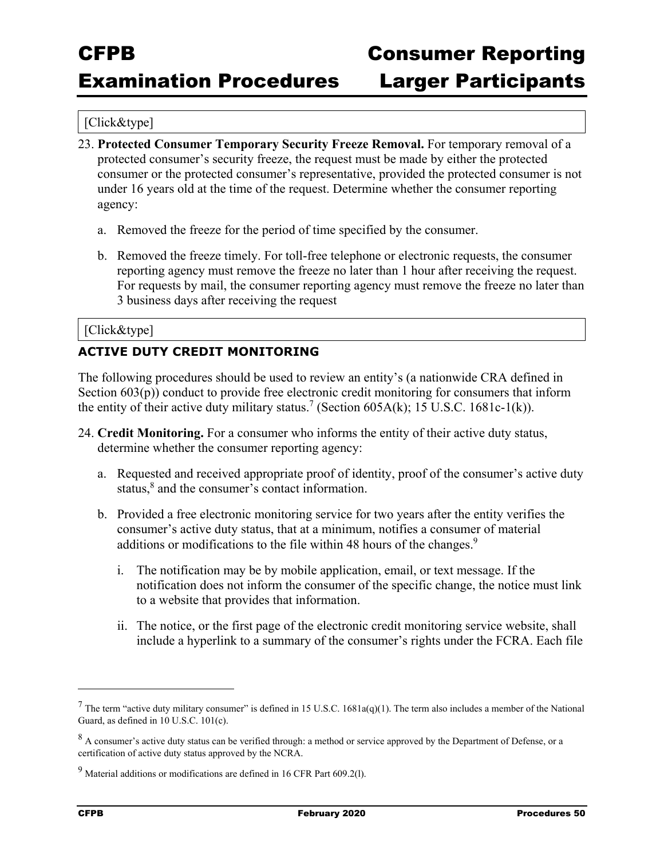#### [Click&type]

- 23. **Protected Consumer Temporary Security Freeze Removal.** For temporary removal of a protected consumer's security freeze, the request must be made by either the protected consumer or the protected consumer's representative, provided the protected consumer is not under 16 years old at the time of the request. Determine whether the consumer reporting agency:
	- a. Removed the freeze for the period of time specified by the consumer.
	- b. Removed the freeze timely. For toll-free telephone or electronic requests, the consumer reporting agency must remove the freeze no later than 1 hour after receiving the request. For requests by mail, the consumer reporting agency must remove the freeze no later than 3 business days after receiving the request

#### [Click&type]

#### **ACTIVE DUTY CREDIT MONITORING**

The following procedures should be used to review an entity's (a nationwide CRA defined in Section 603(p)) conduct to provide free electronic credit monitoring for consumers that inform the entity of their active duty military status.<sup>7</sup> (Section 605A(k); 15 U.S.C. 1681c-1(k)).

- 24. **Credit Monitoring.** For a consumer who informs the entity of their active duty status, determine whether the consumer reporting agency:
	- a. Requested and received appropriate proof of identity, proof of the consumer's active duty status,<sup>8</sup> and the consumer's contact information.
	- b. Provided a free electronic monitoring service for two years after the entity verifies the consumer's active duty status, that at a minimum, notifies a consumer of material additions or modifications to the file within 48 hours of the changes.<sup>9</sup>
		- i. The notification may be by mobile application, email, or text message. If the notification does not inform the consumer of the specific change, the notice must link to a website that provides that information.
		- ii. The notice, or the first page of the electronic credit monitoring service website, shall include a hyperlink to a summary of the consumer's rights under the FCRA. Each file

l

<sup>&</sup>lt;sup>7</sup> The term "active duty military consumer" is defined in 15 U.S.C. 1681a(q)(1). The term also includes a member of the National Guard, as defined in 10 U.S.C. 101(c).

 $8$  A consumer's active duty status can be verified through: a method or service approved by the Department of Defense, or a certification of active duty status approved by the NCRA.

 $9$  Material additions or modifications are defined in 16 CFR Part 609.2(1).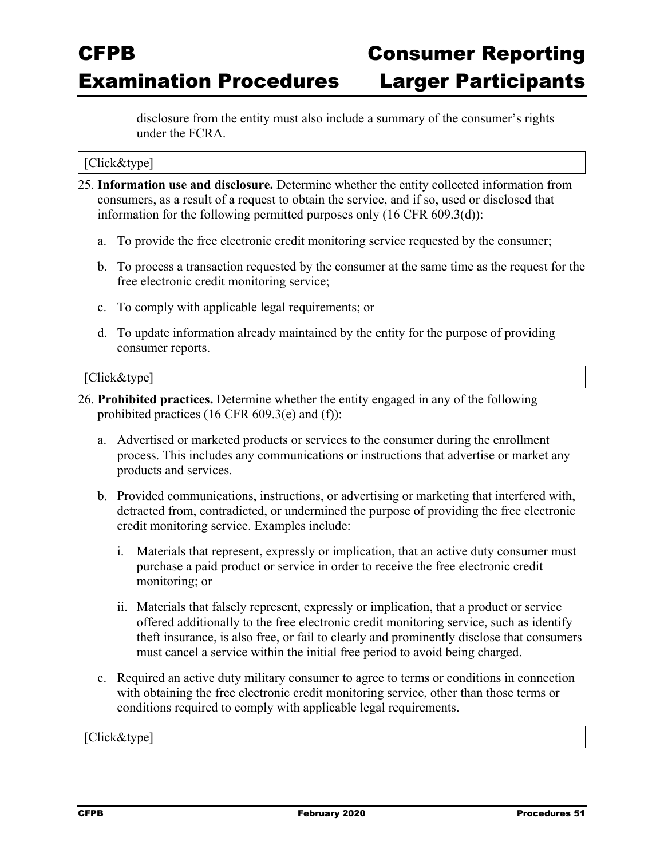disclosure from the entity must also include a summary of the consumer's rights under the FCRA.

#### [Click&type]

- 25. **Information use and disclosure.** Determine whether the entity collected information from consumers, as a result of a request to obtain the service, and if so, used or disclosed that information for the following permitted purposes only (16 CFR 609.3(d)):
	- a. To provide the free electronic credit monitoring service requested by the consumer;
	- b. To process a transaction requested by the consumer at the same time as the request for the free electronic credit monitoring service;
	- c. To comply with applicable legal requirements; or
	- d. To update information already maintained by the entity for the purpose of providing consumer reports.

#### [Click&type]

- 26. **Prohibited practices.** Determine whether the entity engaged in any of the following prohibited practices (16 CFR 609.3(e) and (f)):
	- a. Advertised or marketed products or services to the consumer during the enrollment process. This includes any communications or instructions that advertise or market any products and services.
	- b. Provided communications, instructions, or advertising or marketing that interfered with, detracted from, contradicted, or undermined the purpose of providing the free electronic credit monitoring service. Examples include:
		- i. Materials that represent, expressly or implication, that an active duty consumer must purchase a paid product or service in order to receive the free electronic credit monitoring; or
		- ii. Materials that falsely represent, expressly or implication, that a product or service offered additionally to the free electronic credit monitoring service, such as identify theft insurance, is also free, or fail to clearly and prominently disclose that consumers must cancel a service within the initial free period to avoid being charged.
	- c. Required an active duty military consumer to agree to terms or conditions in connection with obtaining the free electronic credit monitoring service, other than those terms or conditions required to comply with applicable legal requirements.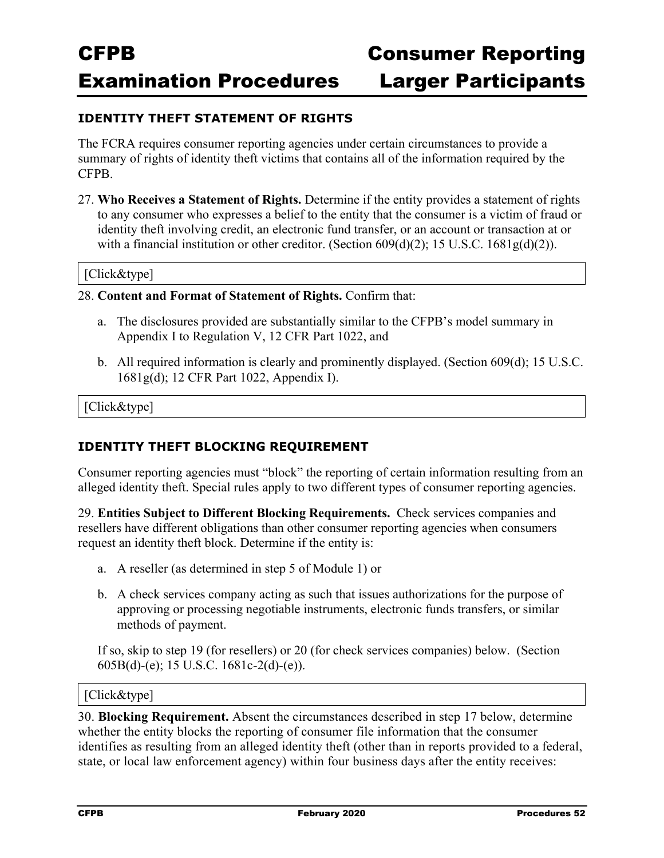Examination Procedures Larger Participants

#### **IDENTITY THEFT STATEMENT OF RIGHTS**

The FCRA requires consumer reporting agencies under certain circumstances to provide a summary of rights of identity theft victims that contains all of the information required by the CFPB.

27. **Who Receives a Statement of Rights.** Determine if the entity provides a statement of rights to any consumer who expresses a belief to the entity that the consumer is a victim of fraud or identity theft involving credit, an electronic fund transfer, or an account or transaction at or with a financial institution or other creditor. (Section  $609(d)(2)$ ; 15 U.S.C.  $1681g(d)(2)$ ).

#### [Click&type]

#### 28. **Content and Format of Statement of Rights.** Confirm that:

- a. The disclosures provided are substantially similar to the CFPB's model summary in Appendix I to Regulation V, 12 CFR Part 1022, and
- b. All required information is clearly and prominently displayed. (Section 609(d); 15 U.S.C. 1681g(d); 12 CFR Part 1022, Appendix I).

[Click&type]

### **IDENTITY THEFT BLOCKING REQUIREMENT**

Consumer reporting agencies must "block" the reporting of certain information resulting from an alleged identity theft. Special rules apply to two different types of consumer reporting agencies.

29. **Entities Subject to Different Blocking Requirements.** Check services companies and resellers have different obligations than other consumer reporting agencies when consumers request an identity theft block. Determine if the entity is:

- a. A reseller (as determined in step 5 of Module 1) or
- b. A check services company acting as such that issues authorizations for the purpose of approving or processing negotiable instruments, electronic funds transfers, or similar methods of payment.

If so, skip to step 19 (for resellers) or 20 (for check services companies) below. (Section 605B(d)-(e); 15 U.S.C. 1681c-2(d)-(e)).

#### [Click&type]

30. **Blocking Requirement.** Absent the circumstances described in step 17 below, determine whether the entity blocks the reporting of consumer file information that the consumer identifies as resulting from an alleged identity theft (other than in reports provided to a federal, state, or local law enforcement agency) within four business days after the entity receives: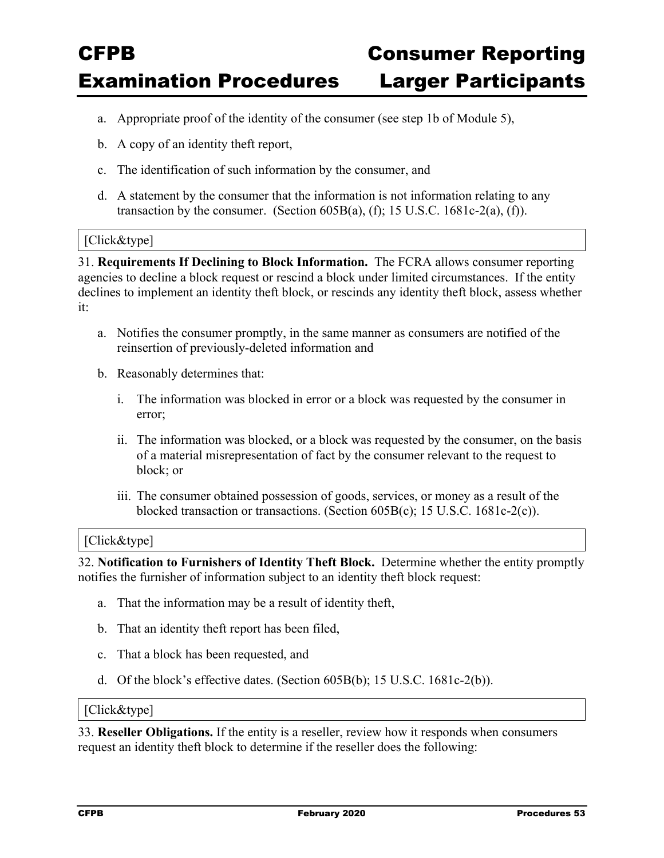- a. Appropriate proof of the identity of the consumer (see step 1b of Module 5),
- b. A copy of an identity theft report,
- c. The identification of such information by the consumer, and
- d. A statement by the consumer that the information is not information relating to any transaction by the consumer. (Section  $605B(a)$ , (f); 15 U.S.C. 1681c-2(a), (f)).

#### [Click&type]

31. **Requirements If Declining to Block Information.** The FCRA allows consumer reporting agencies to decline a block request or rescind a block under limited circumstances. If the entity declines to implement an identity theft block, or rescinds any identity theft block, assess whether it:

- a. Notifies the consumer promptly, in the same manner as consumers are notified of the reinsertion of previously-deleted information and
- b. Reasonably determines that:
	- i. The information was blocked in error or a block was requested by the consumer in error;
	- ii. The information was blocked, or a block was requested by the consumer, on the basis of a material misrepresentation of fact by the consumer relevant to the request to block; or
	- iii. The consumer obtained possession of goods, services, or money as a result of the blocked transaction or transactions. (Section 605B(c); 15 U.S.C. 1681c-2(c)).

#### [Click&type]

32. **Notification to Furnishers of Identity Theft Block.** Determine whether the entity promptly notifies the furnisher of information subject to an identity theft block request:

- a. That the information may be a result of identity theft,
- b. That an identity theft report has been filed,
- c. That a block has been requested, and
- d. Of the block's effective dates. (Section 605B(b); 15 U.S.C. 1681c-2(b)).

#### [Click&type]

33. **Reseller Obligations.** If the entity is a reseller, review how it responds when consumers request an identity theft block to determine if the reseller does the following: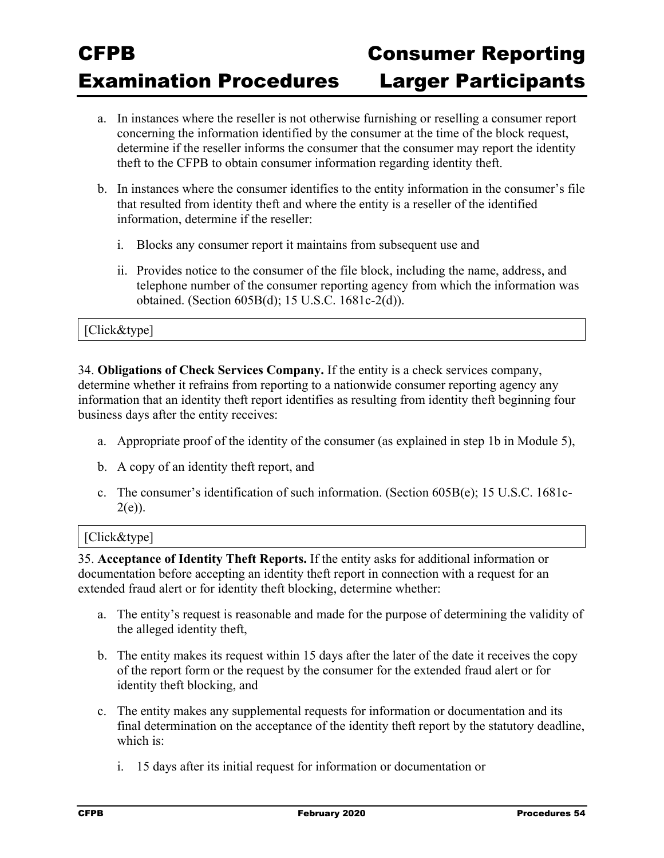- a. In instances where the reseller is not otherwise furnishing or reselling a consumer report concerning the information identified by the consumer at the time of the block request, determine if the reseller informs the consumer that the consumer may report the identity theft to the CFPB to obtain consumer information regarding identity theft.
- b. In instances where the consumer identifies to the entity information in the consumer's file that resulted from identity theft and where the entity is a reseller of the identified information, determine if the reseller:
	- i. Blocks any consumer report it maintains from subsequent use and
	- ii. Provides notice to the consumer of the file block, including the name, address, and telephone number of the consumer reporting agency from which the information was obtained. (Section 605B(d); 15 U.S.C. 1681c-2(d)).

#### [Click&type]

34. **Obligations of Check Services Company.** If the entity is a check services company, determine whether it refrains from reporting to a nationwide consumer reporting agency any information that an identity theft report identifies as resulting from identity theft beginning four business days after the entity receives:

- a. Appropriate proof of the identity of the consumer (as explained in step 1b in Module 5),
- b. A copy of an identity theft report, and
- c. The consumer's identification of such information. (Section  $605B(e)$ ; 15 U.S.C. 1681c- $2(e)$ ).

#### [Click&type]

35. **Acceptance of Identity Theft Reports.** If the entity asks for additional information or documentation before accepting an identity theft report in connection with a request for an extended fraud alert or for identity theft blocking, determine whether:

- a. The entity's request is reasonable and made for the purpose of determining the validity of the alleged identity theft,
- b. The entity makes its request within 15 days after the later of the date it receives the copy of the report form or the request by the consumer for the extended fraud alert or for identity theft blocking, and
- c. The entity makes any supplemental requests for information or documentation and its final determination on the acceptance of the identity theft report by the statutory deadline, which is:
	- i. 15 days after its initial request for information or documentation or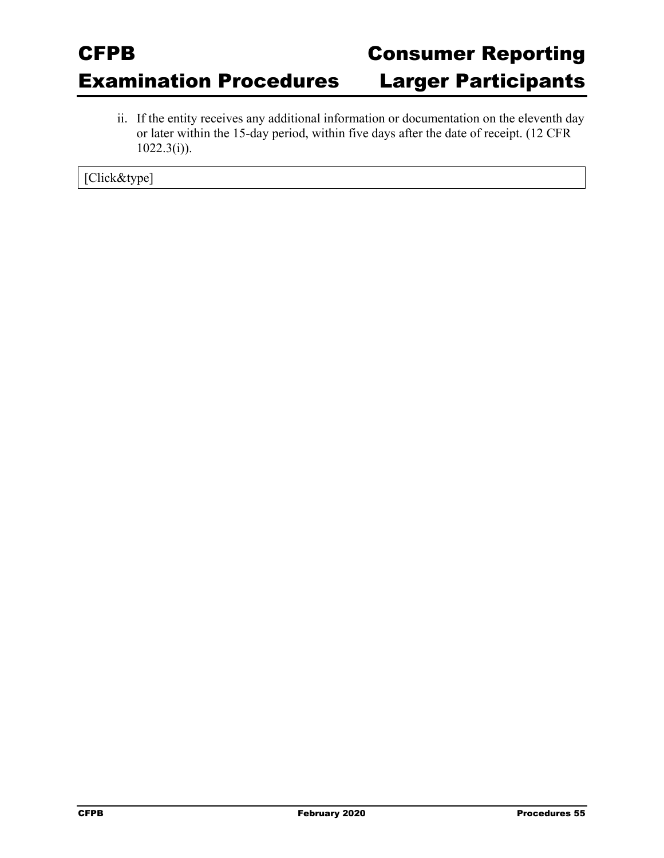ii. If the entity receives any additional information or documentation on the eleventh day or later within the 15-day period, within five days after the date of receipt. (12 CFR  $1022.3(i)$ ).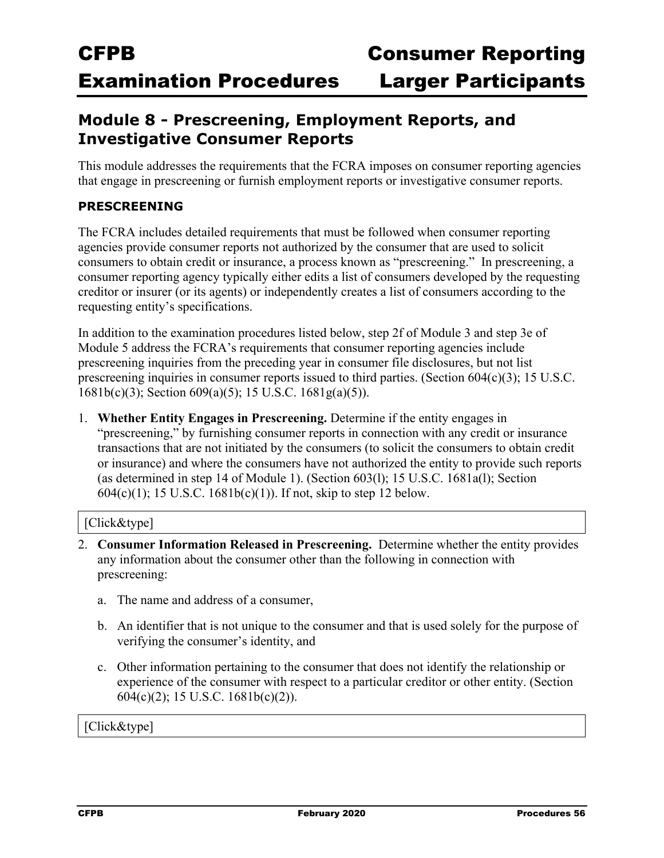### **Module 8 - Prescreening, Employment Reports, and Investigative Consumer Reports**

This module addresses the requirements that the FCRA imposes on consumer reporting agencies that engage in prescreening or furnish employment reports or investigative consumer reports.

### **PRESCREENING**

The FCRA includes detailed requirements that must be followed when consumer reporting agencies provide consumer reports not authorized by the consumer that are used to solicit consumers to obtain credit or insurance, a process known as "prescreening." In prescreening, a consumer reporting agency typically either edits a list of consumers developed by the requesting creditor or insurer (or its agents) or independently creates a list of consumers according to the requesting entity's specifications.

In addition to the examination procedures listed below, step 2f of Module 3 and step 3e of Module 5 address the FCRA's requirements that consumer reporting agencies include prescreening inquiries from the preceding year in consumer file disclosures, but not list prescreening inquiries in consumer reports issued to third parties. (Section 604(c)(3); 15 U.S.C. 1681b(c)(3); Section 609(a)(5); 15 U.S.C. 1681g(a)(5)).

1. **Whether Entity Engages in Prescreening.** Determine if the entity engages in "prescreening," by furnishing consumer reports in connection with any credit or insurance transactions that are not initiated by the consumers (to solicit the consumers to obtain credit or insurance) and where the consumers have not authorized the entity to provide such reports (as determined in step 14 of Module 1). (Section 603(l); 15 U.S.C. 1681a(l); Section 604(c)(1); 15 U.S.C. 1681b(c)(1)). If not, skip to step 12 below.

#### [Click&type]

- 2. **Consumer Information Released in Prescreening.** Determine whether the entity provides any information about the consumer other than the following in connection with prescreening:
	- a. The name and address of a consumer,
	- b. An identifier that is not unique to the consumer and that is used solely for the purpose of verifying the consumer's identity, and
	- c. Other information pertaining to the consumer that does not identify the relationship or experience of the consumer with respect to a particular creditor or other entity. (Section 604(c)(2); 15 U.S.C. 1681b(c)(2)).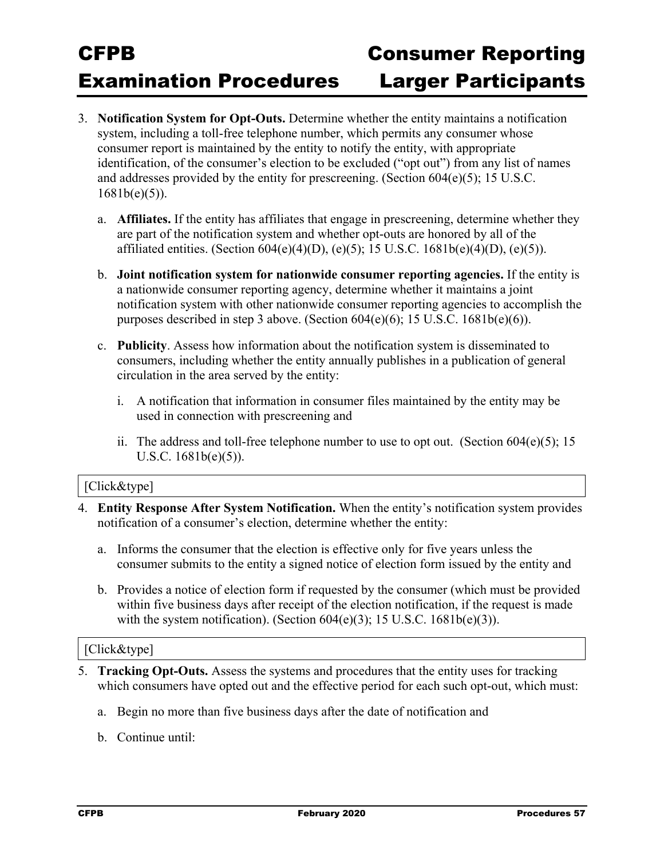- 3. **Notification System for Opt-Outs.** Determine whether the entity maintains a notification system, including a toll-free telephone number, which permits any consumer whose consumer report is maintained by the entity to notify the entity, with appropriate identification, of the consumer's election to be excluded ("opt out") from any list of names and addresses provided by the entity for prescreening. (Section 604(e)(5); 15 U.S.C.  $1681b(e)(5)$ ).
	- a. **Affiliates.** If the entity has affiliates that engage in prescreening, determine whether they are part of the notification system and whether opt-outs are honored by all of the affiliated entities. (Section 604(e)(4)(D), (e)(5); 15 U.S.C. 1681b(e)(4)(D), (e)(5)).
	- b. **Joint notification system for nationwide consumer reporting agencies.** If the entity is a nationwide consumer reporting agency, determine whether it maintains a joint notification system with other nationwide consumer reporting agencies to accomplish the purposes described in step 3 above. (Section  $604(e)(6)$ ; 15 U.S.C. 1681b(e)(6)).
	- c. **Publicity**. Assess how information about the notification system is disseminated to consumers, including whether the entity annually publishes in a publication of general circulation in the area served by the entity:
		- i. A notification that information in consumer files maintained by the entity may be used in connection with prescreening and
		- ii. The address and toll-free telephone number to use to opt out. (Section  $604(e)(5)$ ; 15 U.S.C. 1681b(e)(5)).

#### [Click&type]

- 4. **Entity Response After System Notification.** When the entity's notification system provides notification of a consumer's election, determine whether the entity:
	- a. Informs the consumer that the election is effective only for five years unless the consumer submits to the entity a signed notice of election form issued by the entity and
	- b. Provides a notice of election form if requested by the consumer (which must be provided within five business days after receipt of the election notification, if the request is made with the system notification). (Section  $604(e)(3)$ ; 15 U.S.C. 1681b $(e)(3)$ ).

- 5. **Tracking Opt-Outs.** Assess the systems and procedures that the entity uses for tracking which consumers have opted out and the effective period for each such opt-out, which must:
	- a. Begin no more than five business days after the date of notification and
	- b. Continue until: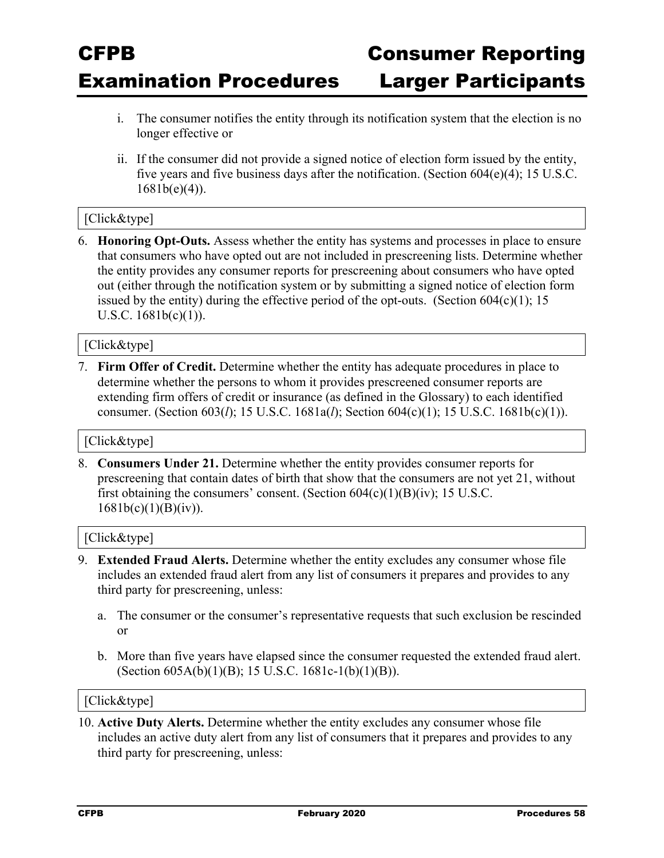- i. The consumer notifies the entity through its notification system that the election is no longer effective or
- ii. If the consumer did not provide a signed notice of election form issued by the entity, five years and five business days after the notification. (Section 604(e)(4); 15 U.S.C.  $1681b(e)(4)$ ).

#### [Click&type]

6. **Honoring Opt-Outs.** Assess whether the entity has systems and processes in place to ensure that consumers who have opted out are not included in prescreening lists. Determine whether the entity provides any consumer reports for prescreening about consumers who have opted out (either through the notification system or by submitting a signed notice of election form issued by the entity) during the effective period of the opt-outs. (Section  $604(c)(1)$ ; 15 U.S.C.  $1681b(c)(1)$ ).

#### [Click&type]

7. **Firm Offer of Credit.** Determine whether the entity has adequate procedures in place to determine whether the persons to whom it provides prescreened consumer reports are extending firm offers of credit or insurance (as defined in the Glossary) to each identified consumer. (Section 603(*l*); 15 U.S.C. 1681a(*l*); Section 604(c)(1); 15 U.S.C. 1681b(c)(1)).

#### [Click&type]

8. **Consumers Under 21.** Determine whether the entity provides consumer reports for prescreening that contain dates of birth that show that the consumers are not yet 21, without first obtaining the consumers' consent. (Section  $604(c)(1)(B)(iv)$ ; 15 U.S.C.  $1681b(c)(1)(B)(iv)$ .

#### [Click&type]

- 9. **Extended Fraud Alerts.** Determine whether the entity excludes any consumer whose file includes an extended fraud alert from any list of consumers it prepares and provides to any third party for prescreening, unless:
	- a. The consumer or the consumer's representative requests that such exclusion be rescinded or
	- b. More than five years have elapsed since the consumer requested the extended fraud alert. (Section 605A(b)(1)(B); 15 U.S.C. 1681c-1(b)(1)(B)).

#### [Click&type]

10. **Active Duty Alerts.** Determine whether the entity excludes any consumer whose file includes an active duty alert from any list of consumers that it prepares and provides to any third party for prescreening, unless: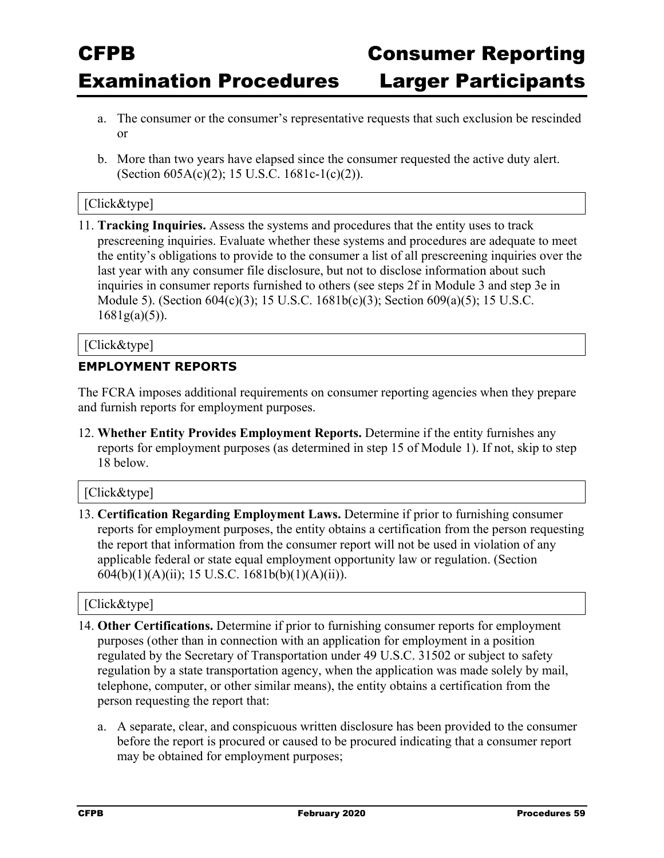- a. The consumer or the consumer's representative requests that such exclusion be rescinded or
- b. More than two years have elapsed since the consumer requested the active duty alert. (Section 605A(c)(2); 15 U.S.C. 1681c-1(c)(2)).

#### [Click&type]

11. **Tracking Inquiries.** Assess the systems and procedures that the entity uses to track prescreening inquiries. Evaluate whether these systems and procedures are adequate to meet the entity's obligations to provide to the consumer a list of all prescreening inquiries over the last year with any consumer file disclosure, but not to disclose information about such inquiries in consumer reports furnished to others (see steps 2f in Module 3 and step 3e in Module 5). (Section 604(c)(3); 15 U.S.C. 1681b(c)(3); Section 609(a)(5); 15 U.S.C.  $1681g(a)(5)$ ).

#### [Click&type]

#### **EMPLOYMENT REPORTS**

The FCRA imposes additional requirements on consumer reporting agencies when they prepare and furnish reports for employment purposes.

12. **Whether Entity Provides Employment Reports.** Determine if the entity furnishes any reports for employment purposes (as determined in step 15 of Module 1). If not, skip to step 18 below.

#### [Click&type]

13. **Certification Regarding Employment Laws.** Determine if prior to furnishing consumer reports for employment purposes, the entity obtains a certification from the person requesting the report that information from the consumer report will not be used in violation of any applicable federal or state equal employment opportunity law or regulation. (Section 604(b)(1)(A)(ii); 15 U.S.C. 1681b(b)(1)(A)(ii)).

- 14. **Other Certifications.** Determine if prior to furnishing consumer reports for employment purposes (other than in connection with an application for employment in a position regulated by the Secretary of Transportation under 49 U.S.C. 31502 or subject to safety regulation by a state transportation agency, when the application was made solely by mail, telephone, computer, or other similar means), the entity obtains a certification from the person requesting the report that:
	- a. A separate, clear, and conspicuous written disclosure has been provided to the consumer before the report is procured or caused to be procured indicating that a consumer report may be obtained for employment purposes;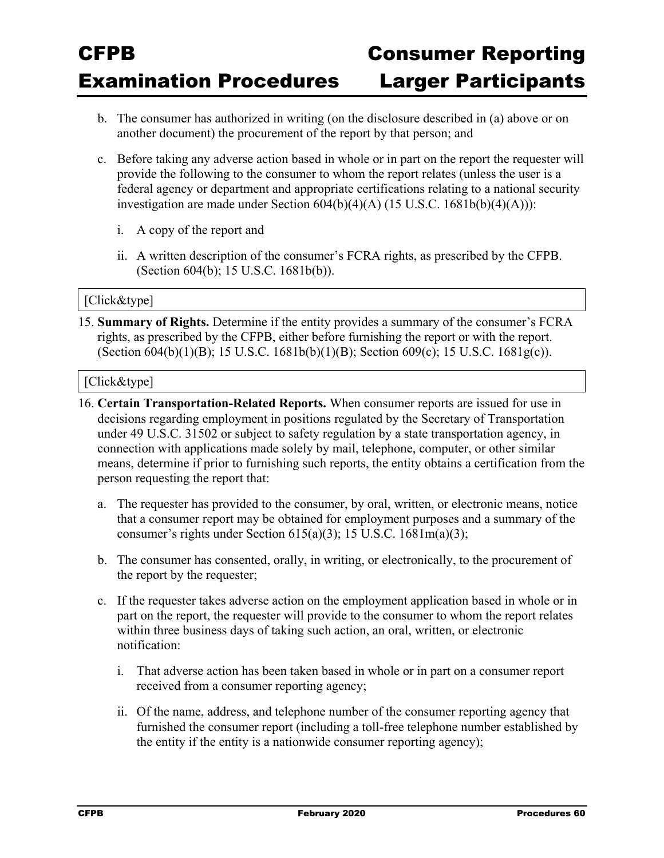- b. The consumer has authorized in writing (on the disclosure described in (a) above or on another document) the procurement of the report by that person; and
- c. Before taking any adverse action based in whole or in part on the report the requester will provide the following to the consumer to whom the report relates (unless the user is a federal agency or department and appropriate certifications relating to a national security investigation are made under Section  $604(b)(4)(A)$  (15 U.S.C. 1681b(b)(4)(A))):
	- i. A copy of the report and
	- ii. A written description of the consumer's FCRA rights, as prescribed by the CFPB. (Section 604(b); 15 U.S.C. 1681b(b)).

#### [Click&type]

15. **Summary of Rights.** Determine if the entity provides a summary of the consumer's FCRA rights, as prescribed by the CFPB, either before furnishing the report or with the report. (Section 604(b)(1)(B); 15 U.S.C. 1681b(b)(1)(B); Section 609(c); 15 U.S.C. 1681g(c)).

- 16. **Certain Transportation-Related Reports.** When consumer reports are issued for use in decisions regarding employment in positions regulated by the Secretary of Transportation under 49 U.S.C. 31502 or subject to safety regulation by a state transportation agency, in connection with applications made solely by mail, telephone, computer, or other similar means, determine if prior to furnishing such reports, the entity obtains a certification from the person requesting the report that:
	- a. The requester has provided to the consumer, by oral, written, or electronic means, notice that a consumer report may be obtained for employment purposes and a summary of the consumer's rights under Section 615(a)(3); 15 U.S.C. 1681m(a)(3);
	- b. The consumer has consented, orally, in writing, or electronically, to the procurement of the report by the requester;
	- c. If the requester takes adverse action on the employment application based in whole or in part on the report, the requester will provide to the consumer to whom the report relates within three business days of taking such action, an oral, written, or electronic notification:
		- i. That adverse action has been taken based in whole or in part on a consumer report received from a consumer reporting agency;
		- ii. Of the name, address, and telephone number of the consumer reporting agency that furnished the consumer report (including a toll-free telephone number established by the entity if the entity is a nationwide consumer reporting agency);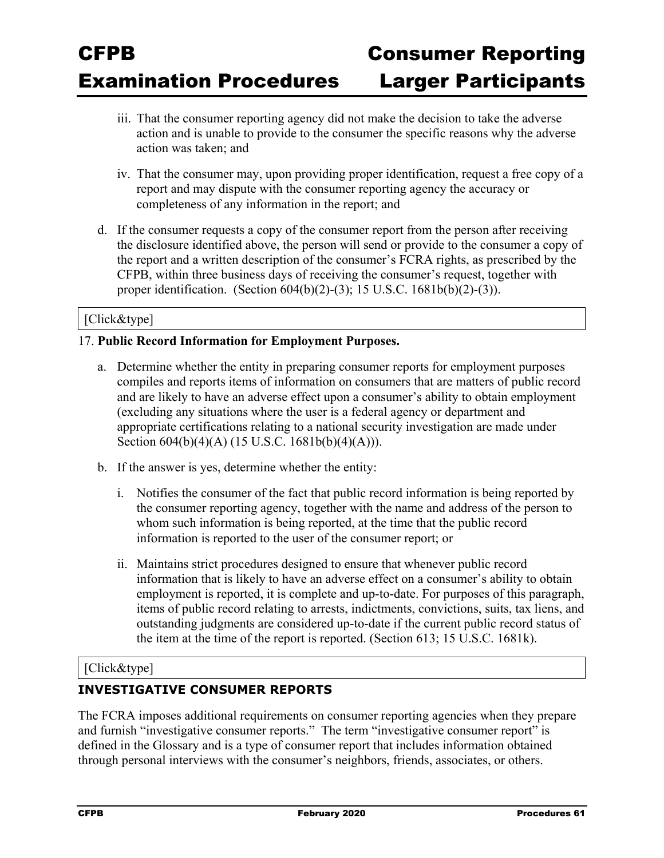- iii. That the consumer reporting agency did not make the decision to take the adverse action and is unable to provide to the consumer the specific reasons why the adverse action was taken; and
- iv. That the consumer may, upon providing proper identification, request a free copy of a report and may dispute with the consumer reporting agency the accuracy or completeness of any information in the report; and
- d. If the consumer requests a copy of the consumer report from the person after receiving the disclosure identified above, the person will send or provide to the consumer a copy of the report and a written description of the consumer's FCRA rights, as prescribed by the CFPB, within three business days of receiving the consumer's request, together with proper identification. (Section 604(b)(2)-(3); 15 U.S.C. 1681b(b)(2)-(3)).

#### [Click&type]

#### 17. **Public Record Information for Employment Purposes.**

- a. Determine whether the entity in preparing consumer reports for employment purposes compiles and reports items of information on consumers that are matters of public record and are likely to have an adverse effect upon a consumer's ability to obtain employment (excluding any situations where the user is a federal agency or department and appropriate certifications relating to a national security investigation are made under Section 604(b)(4)(A) (15 U.S.C. 1681b(b)(4)(A))).
- b. If the answer is yes, determine whether the entity:
	- i. Notifies the consumer of the fact that public record information is being reported by the consumer reporting agency, together with the name and address of the person to whom such information is being reported, at the time that the public record information is reported to the user of the consumer report; or
	- ii. Maintains strict procedures designed to ensure that whenever public record information that is likely to have an adverse effect on a consumer's ability to obtain employment is reported, it is complete and up-to-date. For purposes of this paragraph, items of public record relating to arrests, indictments, convictions, suits, tax liens, and outstanding judgments are considered up-to-date if the current public record status of the item at the time of the report is reported. (Section 613; 15 U.S.C. 1681k).

#### [Click&type]

#### **INVESTIGATIVE CONSUMER REPORTS**

The FCRA imposes additional requirements on consumer reporting agencies when they prepare and furnish "investigative consumer reports." The term "investigative consumer report" is defined in the Glossary and is a type of consumer report that includes information obtained through personal interviews with the consumer's neighbors, friends, associates, or others.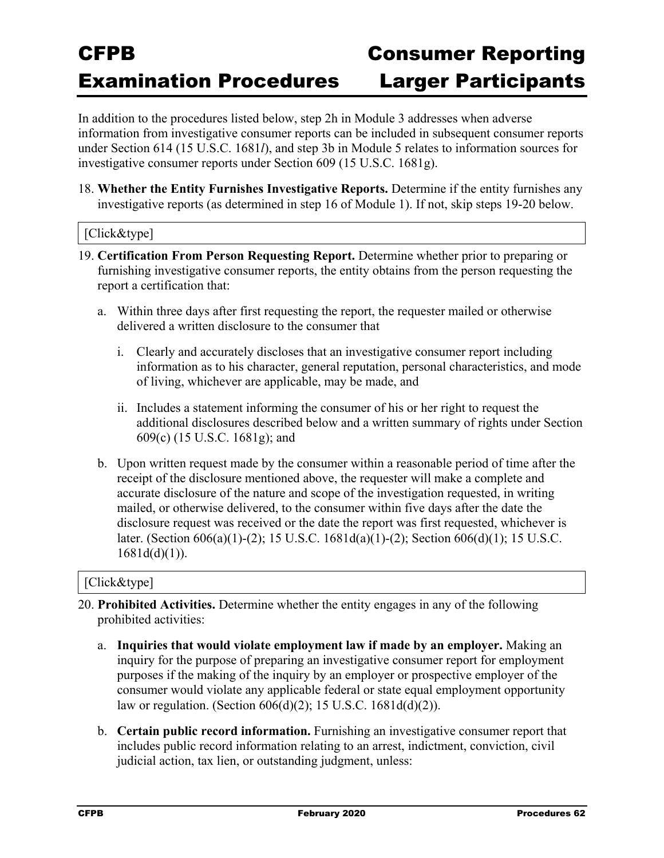In addition to the procedures listed below, step 2h in Module 3 addresses when adverse information from investigative consumer reports can be included in subsequent consumer reports under Section 614 (15 U.S.C. 1681*l*), and step 3b in Module 5 relates to information sources for investigative consumer reports under Section 609 (15 U.S.C. 1681g).

18. **Whether the Entity Furnishes Investigative Reports.** Determine if the entity furnishes any investigative reports (as determined in step 16 of Module 1). If not, skip steps 19-20 below.

#### [Click&type]

- 19. **Certification From Person Requesting Report.** Determine whether prior to preparing or furnishing investigative consumer reports, the entity obtains from the person requesting the report a certification that:
	- a. Within three days after first requesting the report, the requester mailed or otherwise delivered a written disclosure to the consumer that
		- i. Clearly and accurately discloses that an investigative consumer report including information as to his character, general reputation, personal characteristics, and mode of living, whichever are applicable, may be made, and
		- ii. Includes a statement informing the consumer of his or her right to request the additional disclosures described below and a written summary of rights under Section 609(c) (15 U.S.C. 1681g); and
	- b. Upon written request made by the consumer within a reasonable period of time after the receipt of the disclosure mentioned above, the requester will make a complete and accurate disclosure of the nature and scope of the investigation requested, in writing mailed, or otherwise delivered, to the consumer within five days after the date the disclosure request was received or the date the report was first requested, whichever is later. (Section 606(a)(1)-(2); 15 U.S.C. 1681d(a)(1)-(2); Section 606(d)(1); 15 U.S.C.  $1681d(d)(1)$ ).

- 20. **Prohibited Activities.** Determine whether the entity engages in any of the following prohibited activities:
	- a. **Inquiries that would violate employment law if made by an employer.** Making an inquiry for the purpose of preparing an investigative consumer report for employment purposes if the making of the inquiry by an employer or prospective employer of the consumer would violate any applicable federal or state equal employment opportunity law or regulation. (Section 606(d)(2); 15 U.S.C. 1681d(d)(2)).
	- b. **Certain public record information.** Furnishing an investigative consumer report that includes public record information relating to an arrest, indictment, conviction, civil judicial action, tax lien, or outstanding judgment, unless: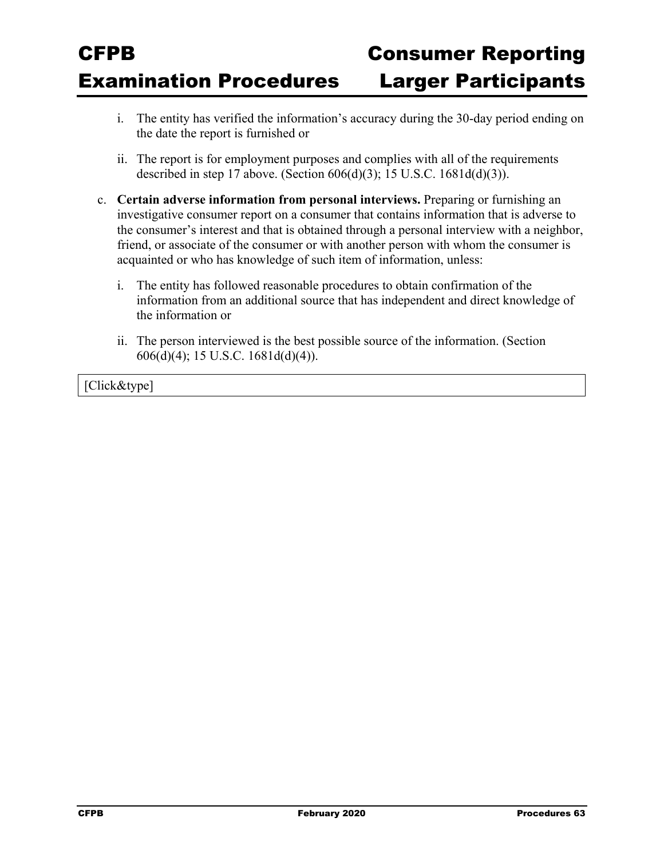- i. The entity has verified the information's accuracy during the 30-day period ending on the date the report is furnished or
- ii. The report is for employment purposes and complies with all of the requirements described in step 17 above. (Section 606(d)(3); 15 U.S.C. 1681d(d)(3)).
- c. **Certain adverse information from personal interviews.** Preparing or furnishing an investigative consumer report on a consumer that contains information that is adverse to the consumer's interest and that is obtained through a personal interview with a neighbor, friend, or associate of the consumer or with another person with whom the consumer is acquainted or who has knowledge of such item of information, unless:
	- i. The entity has followed reasonable procedures to obtain confirmation of the information from an additional source that has independent and direct knowledge of the information or
	- ii. The person interviewed is the best possible source of the information. (Section 606(d)(4); 15 U.S.C. 1681d(d)(4)).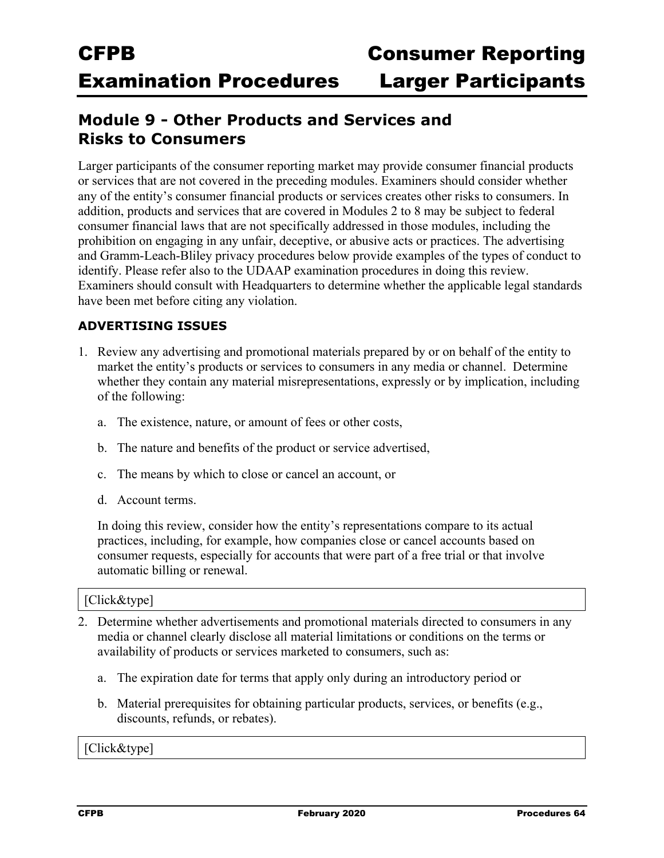### **Module 9 - Other Products and Services and Risks to Consumers**

Larger participants of the consumer reporting market may provide consumer financial products or services that are not covered in the preceding modules. Examiners should consider whether any of the entity's consumer financial products or services creates other risks to consumers. In addition, products and services that are covered in Modules 2 to 8 may be subject to federal consumer financial laws that are not specifically addressed in those modules, including the prohibition on engaging in any unfair, deceptive, or abusive acts or practices. The advertising and Gramm-Leach-Bliley privacy procedures below provide examples of the types of conduct to identify. Please refer also to the UDAAP examination procedures in doing this review. Examiners should consult with Headquarters to determine whether the applicable legal standards have been met before citing any violation.

### **ADVERTISING ISSUES**

- 1. Review any advertising and promotional materials prepared by or on behalf of the entity to market the entity's products or services to consumers in any media or channel. Determine whether they contain any material misrepresentations, expressly or by implication, including of the following:
	- a. The existence, nature, or amount of fees or other costs,
	- b. The nature and benefits of the product or service advertised,
	- c. The means by which to close or cancel an account, or
	- d. Account terms.

In doing this review, consider how the entity's representations compare to its actual practices, including, for example, how companies close or cancel accounts based on consumer requests, especially for accounts that were part of a free trial or that involve automatic billing or renewal.

#### [Click&type]

- 2. Determine whether advertisements and promotional materials directed to consumers in any media or channel clearly disclose all material limitations or conditions on the terms or availability of products or services marketed to consumers, such as:
	- a. The expiration date for terms that apply only during an introductory period or
	- b. Material prerequisites for obtaining particular products, services, or benefits (e.g., discounts, refunds, or rebates).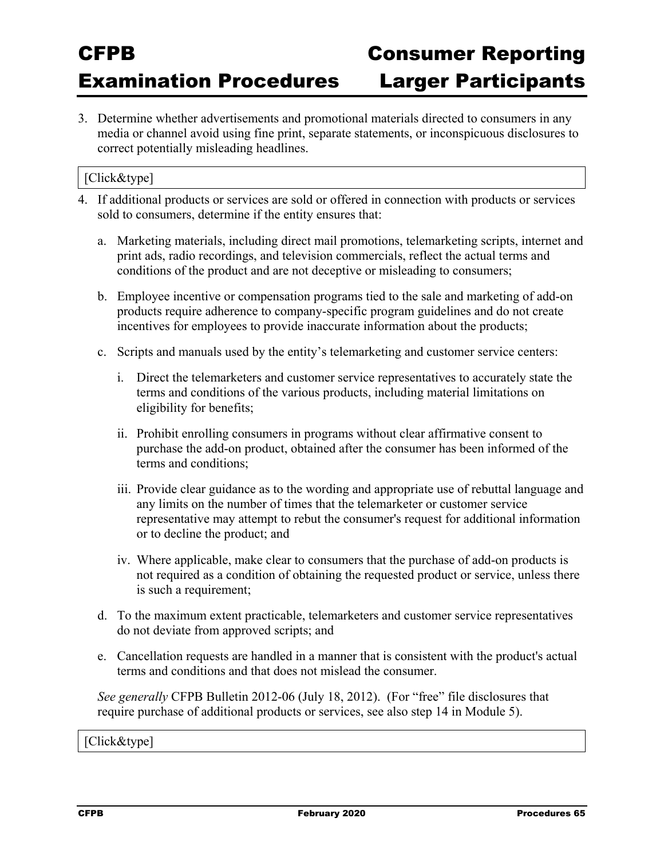3. Determine whether advertisements and promotional materials directed to consumers in any media or channel avoid using fine print, separate statements, or inconspicuous disclosures to correct potentially misleading headlines.

### [Click&type]

- 4. If additional products or services are sold or offered in connection with products or services sold to consumers, determine if the entity ensures that:
	- a. Marketing materials, including direct mail promotions, telemarketing scripts, internet and print ads, radio recordings, and television commercials, reflect the actual terms and conditions of the product and are not deceptive or misleading to consumers;
	- b. Employee incentive or compensation programs tied to the sale and marketing of add-on products require adherence to company-specific program guidelines and do not create incentives for employees to provide inaccurate information about the products;
	- c. Scripts and manuals used by the entity's telemarketing and customer service centers:
		- i. Direct the telemarketers and customer service representatives to accurately state the terms and conditions of the various products, including material limitations on eligibility for benefits;
		- ii. Prohibit enrolling consumers in programs without clear affirmative consent to purchase the add-on product, obtained after the consumer has been informed of the terms and conditions;
		- iii. Provide clear guidance as to the wording and appropriate use of rebuttal language and any limits on the number of times that the telemarketer or customer service representative may attempt to rebut the consumer's request for additional information or to decline the product; and
		- iv. Where applicable, make clear to consumers that the purchase of add-on products is not required as a condition of obtaining the requested product or service, unless there is such a requirement;
	- d. To the maximum extent practicable, telemarketers and customer service representatives do not deviate from approved scripts; and
	- e. Cancellation requests are handled in a manner that is consistent with the product's actual terms and conditions and that does not mislead the consumer.

*See generally* CFPB Bulletin 2012-06 (July 18, 2012). (For "free" file disclosures that require purchase of additional products or services, see also step 14 in Module 5).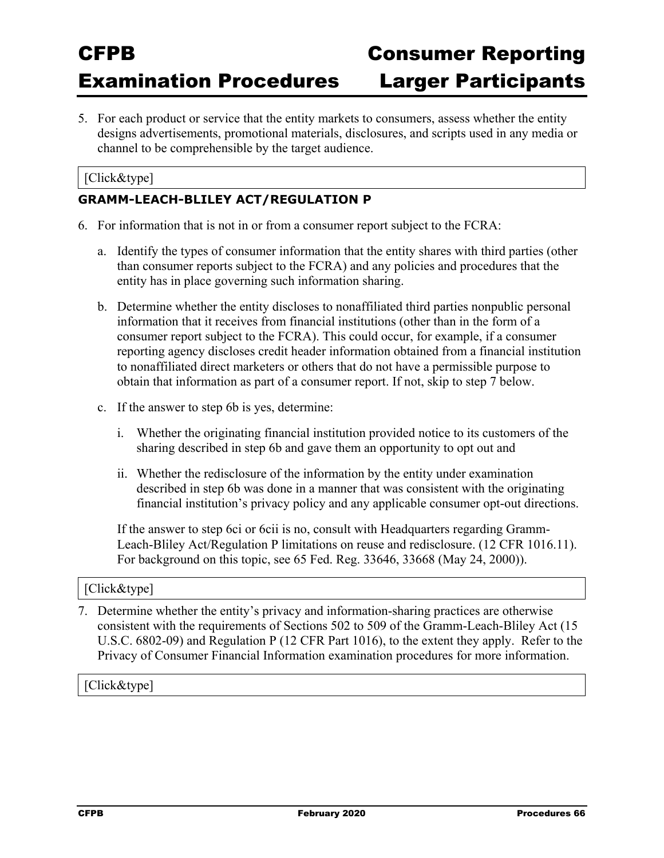5. For each product or service that the entity markets to consumers, assess whether the entity designs advertisements, promotional materials, disclosures, and scripts used in any media or channel to be comprehensible by the target audience.

#### [Click&type]

#### **GRAMM-LEACH-BLILEY ACT/REGULATION P**

- 6. For information that is not in or from a consumer report subject to the FCRA:
	- a. Identify the types of consumer information that the entity shares with third parties (other than consumer reports subject to the FCRA) and any policies and procedures that the entity has in place governing such information sharing.
	- b. Determine whether the entity discloses to nonaffiliated third parties nonpublic personal information that it receives from financial institutions (other than in the form of a consumer report subject to the FCRA). This could occur, for example, if a consumer reporting agency discloses credit header information obtained from a financial institution to nonaffiliated direct marketers or others that do not have a permissible purpose to obtain that information as part of a consumer report. If not, skip to step 7 below.
	- c. If the answer to step 6b is yes, determine:
		- i. Whether the originating financial institution provided notice to its customers of the sharing described in step 6b and gave them an opportunity to opt out and
		- ii. Whether the redisclosure of the information by the entity under examination described in step 6b was done in a manner that was consistent with the originating financial institution's privacy policy and any applicable consumer opt-out directions.

If the answer to step 6ci or 6cii is no, consult with Headquarters regarding Gramm-Leach-Bliley Act/Regulation P limitations on reuse and redisclosure. (12 CFR 1016.11). For background on this topic, see 65 Fed. Reg. 33646, 33668 (May 24, 2000)).

#### [Click&type]

7. Determine whether the entity's privacy and information-sharing practices are otherwise consistent with the requirements of Sections 502 to 509 of the Gramm-Leach-Bliley Act (15 U.S.C. 6802-09) and Regulation P (12 CFR Part 1016), to the extent they apply. Refer to the Privacy of Consumer Financial Information examination procedures for more information.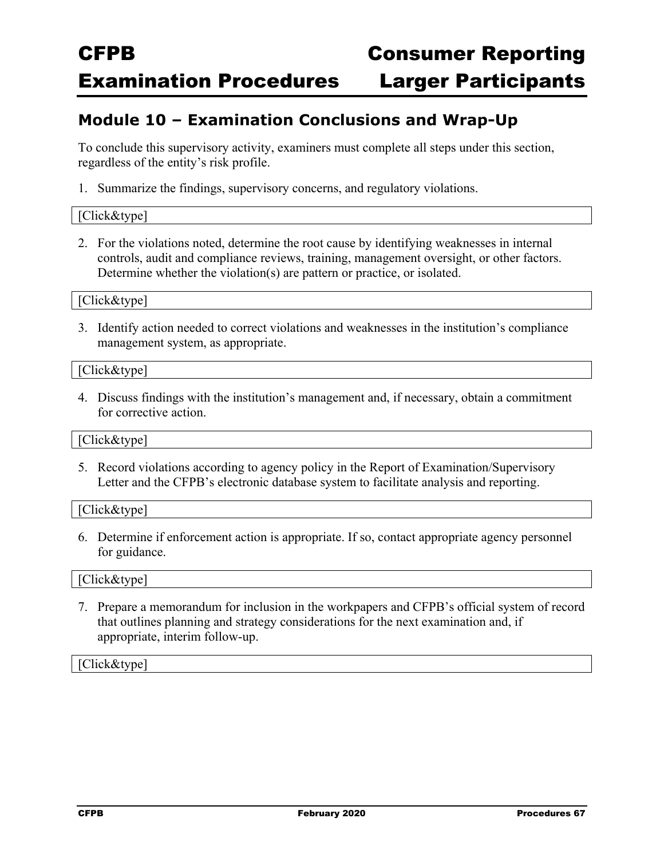### **Module 10 – Examination Conclusions and Wrap-Up**

To conclude this supervisory activity, examiners must complete all steps under this section, regardless of the entity's risk profile.

1. Summarize the findings, supervisory concerns, and regulatory violations.

#### [Click&type]

2. For the violations noted, determine the root cause by identifying weaknesses in internal controls, audit and compliance reviews, training, management oversight, or other factors. Determine whether the violation(s) are pattern or practice, or isolated.

[Click&type]

3. Identify action needed to correct violations and weaknesses in the institution's compliance management system, as appropriate.

[Click&type]

4. Discuss findings with the institution's management and, if necessary, obtain a commitment for corrective action.

#### [Click&type]

5. Record violations according to agency policy in the Report of Examination/Supervisory Letter and the CFPB's electronic database system to facilitate analysis and reporting.

[Click&type]

6. Determine if enforcement action is appropriate. If so, contact appropriate agency personnel for guidance.

#### [Click&type]

7. Prepare a memorandum for inclusion in the workpapers and CFPB's official system of record that outlines planning and strategy considerations for the next examination and, if appropriate, interim follow-up.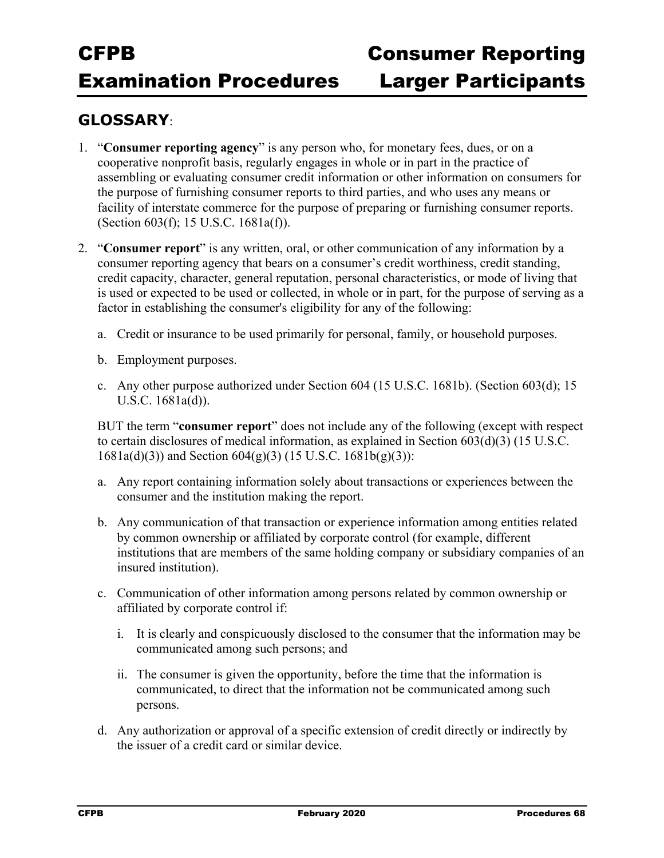### **GLOSSARY**:

- 1. "**Consumer reporting agency**" is any person who, for monetary fees, dues, or on a cooperative nonprofit basis, regularly engages in whole or in part in the practice of assembling or evaluating consumer credit information or other information on consumers for the purpose of furnishing consumer reports to third parties, and who uses any means or facility of interstate commerce for the purpose of preparing or furnishing consumer reports. (Section 603(f); 15 U.S.C. 1681a(f)).
- 2. "**Consumer report**" is any written, oral, or other communication of any information by a consumer reporting agency that bears on a consumer's credit worthiness, credit standing, credit capacity, character, general reputation, personal characteristics, or mode of living that is used or expected to be used or collected, in whole or in part, for the purpose of serving as a factor in establishing the consumer's eligibility for any of the following:
	- a. Credit or insurance to be used primarily for personal, family, or household purposes.
	- b. Employment purposes.
	- c. Any other purpose authorized under Section 604 (15 U.S.C. 1681b). (Section 603(d); 15 U.S.C. 1681a(d)).

BUT the term "**consumer report**" does not include any of the following (except with respect to certain disclosures of medical information, as explained in Section 603(d)(3) (15 U.S.C.  $1681a(d)(3)$  and Section  $604(g)(3)$  (15 U.S.C.  $1681b(g)(3)$ ):

- a. Any report containing information solely about transactions or experiences between the consumer and the institution making the report.
- b. Any communication of that transaction or experience information among entities related by common ownership or affiliated by corporate control (for example, different institutions that are members of the same holding company or subsidiary companies of an insured institution).
- c. Communication of other information among persons related by common ownership or affiliated by corporate control if:
	- i. It is clearly and conspicuously disclosed to the consumer that the information may be communicated among such persons; and
	- ii. The consumer is given the opportunity, before the time that the information is communicated, to direct that the information not be communicated among such persons.
- d. Any authorization or approval of a specific extension of credit directly or indirectly by the issuer of a credit card or similar device.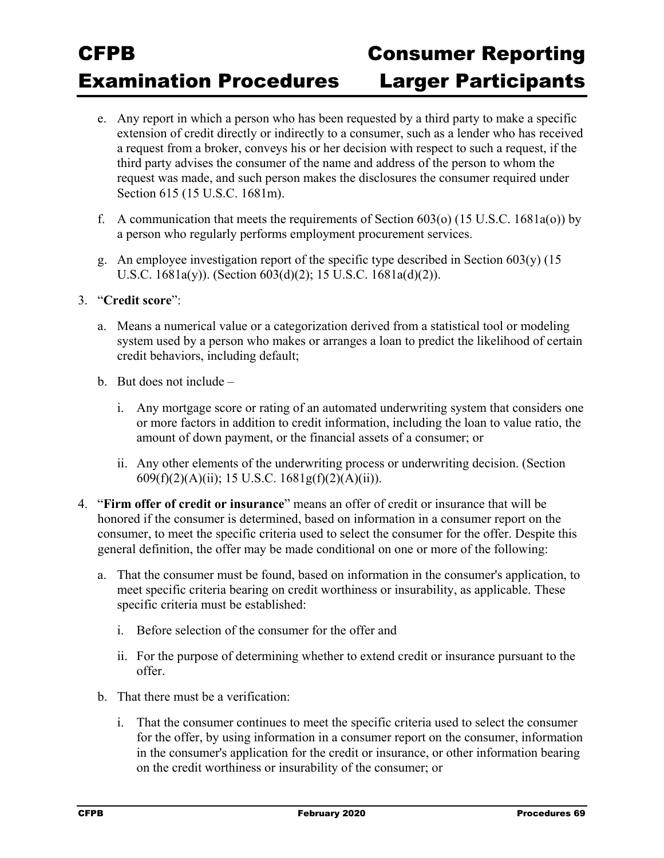- e. Any report in which a person who has been requested by a third party to make a specific extension of credit directly or indirectly to a consumer, such as a lender who has received a request from a broker, conveys his or her decision with respect to such a request, if the third party advises the consumer of the name and address of the person to whom the request was made, and such person makes the disclosures the consumer required under Section 615 (15 U.S.C. 1681m).
- f. A communication that meets the requirements of Section  $603$ (o) (15 U.S.C. 1681a(o)) by a person who regularly performs employment procurement services.
- g. An employee investigation report of the specific type described in Section  $603(y)$  (15 U.S.C. 1681a(y)). (Section 603(d)(2); 15 U.S.C. 1681a(d)(2)).

#### 3. "**Credit score**":

- a. Means a numerical value or a categorization derived from a statistical tool or modeling system used by a person who makes or arranges a loan to predict the likelihood of certain credit behaviors, including default;
- b. But does not include
	- i. Any mortgage score or rating of an automated underwriting system that considers one or more factors in addition to credit information, including the loan to value ratio, the amount of down payment, or the financial assets of a consumer; or
	- ii. Any other elements of the underwriting process or underwriting decision. (Section 609(f)(2)(A)(ii); 15 U.S.C. 1681g(f)(2)(A)(ii)).
- 4. "**Firm offer of credit or insurance**" means an offer of credit or insurance that will be honored if the consumer is determined, based on information in a consumer report on the consumer, to meet the specific criteria used to select the consumer for the offer. Despite this general definition, the offer may be made conditional on one or more of the following:
	- a. That the consumer must be found, based on information in the consumer's application, to meet specific criteria bearing on credit worthiness or insurability, as applicable. These specific criteria must be established:
		- i. Before selection of the consumer for the offer and
		- ii. For the purpose of determining whether to extend credit or insurance pursuant to the offer.
	- b. That there must be a verification:
		- i. That the consumer continues to meet the specific criteria used to select the consumer for the offer, by using information in a consumer report on the consumer, information in the consumer's application for the credit or insurance, or other information bearing on the credit worthiness or insurability of the consumer; or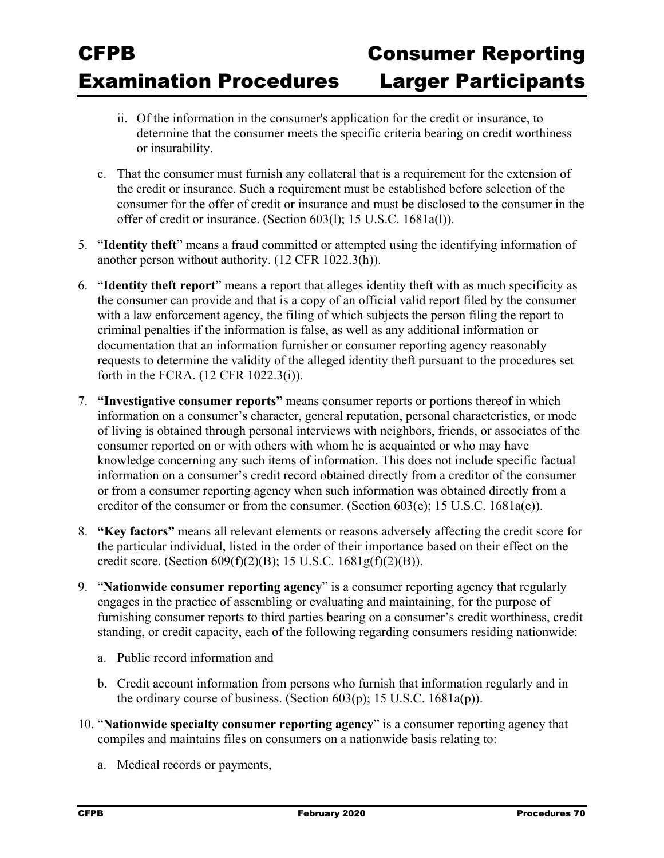- ii. Of the information in the consumer's application for the credit or insurance, to determine that the consumer meets the specific criteria bearing on credit worthiness or insurability.
- c. That the consumer must furnish any collateral that is a requirement for the extension of the credit or insurance. Such a requirement must be established before selection of the consumer for the offer of credit or insurance and must be disclosed to the consumer in the offer of credit or insurance. (Section 603(l); 15 U.S.C. 1681a(l)).
- 5. "**Identity theft**" means a fraud committed or attempted using the identifying information of another person without authority. (12 CFR 1022.3(h)).
- 6. "**Identity theft report**" means a report that alleges identity theft with as much specificity as the consumer can provide and that is a copy of an official valid report filed by the consumer with a law enforcement agency, the filing of which subjects the person filing the report to criminal penalties if the information is false, as well as any additional information or documentation that an information furnisher or consumer reporting agency reasonably requests to determine the validity of the alleged identity theft pursuant to the procedures set forth in the FCRA. (12 CFR 1022.3(i)).
- 7. **"Investigative consumer reports"** means consumer reports or portions thereof in which information on a consumer's character, general reputation, personal characteristics, or mode of living is obtained through personal interviews with neighbors, friends, or associates of the consumer reported on or with others with whom he is acquainted or who may have knowledge concerning any such items of information. This does not include specific factual information on a consumer's credit record obtained directly from a creditor of the consumer or from a consumer reporting agency when such information was obtained directly from a creditor of the consumer or from the consumer. (Section 603(e); 15 U.S.C. 1681a(e)).
- 8. **"Key factors"** means all relevant elements or reasons adversely affecting the credit score for the particular individual, listed in the order of their importance based on their effect on the credit score. (Section  $609(f)(2)(B)$ ; 15 U.S.C.  $1681g(f)(2)(B)$ ).
- 9. "**Nationwide consumer reporting agency**" is a consumer reporting agency that regularly engages in the practice of assembling or evaluating and maintaining, for the purpose of furnishing consumer reports to third parties bearing on a consumer's credit worthiness, credit standing, or credit capacity, each of the following regarding consumers residing nationwide:
	- a. Public record information and
	- b. Credit account information from persons who furnish that information regularly and in the ordinary course of business. (Section  $603(p)$ ; 15 U.S.C. 1681a(p)).
- 10. "**Nationwide specialty consumer reporting agency**" is a consumer reporting agency that compiles and maintains files on consumers on a nationwide basis relating to:
	- a. Medical records or payments,